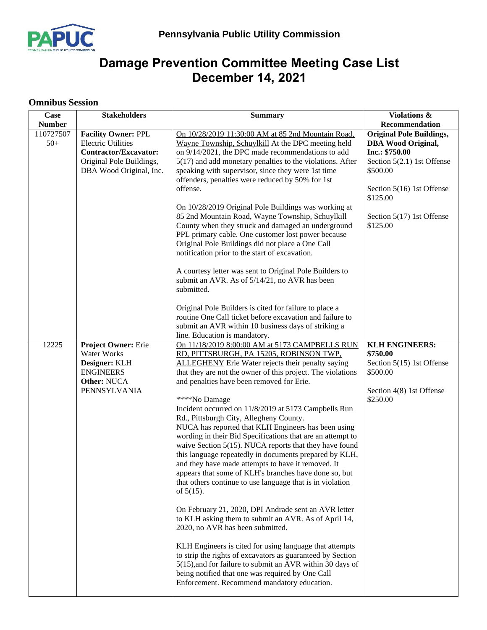

## **Damage Prevention Committee Meeting Case List December 14, 2021**

## **Omnibus Session**

| Case          | <b>Stakeholders</b>                                                                                              | <b>Summary</b>                                                                                                                                                                                                                                                                                                                                                                                                                                                                                                                                                                                                                                                                                                                                                                                                                                                                                                                                                                                                                                                                                                                                                                                                                                                             | Violations &                                                                                                                                                              |
|---------------|------------------------------------------------------------------------------------------------------------------|----------------------------------------------------------------------------------------------------------------------------------------------------------------------------------------------------------------------------------------------------------------------------------------------------------------------------------------------------------------------------------------------------------------------------------------------------------------------------------------------------------------------------------------------------------------------------------------------------------------------------------------------------------------------------------------------------------------------------------------------------------------------------------------------------------------------------------------------------------------------------------------------------------------------------------------------------------------------------------------------------------------------------------------------------------------------------------------------------------------------------------------------------------------------------------------------------------------------------------------------------------------------------|---------------------------------------------------------------------------------------------------------------------------------------------------------------------------|
| <b>Number</b> |                                                                                                                  |                                                                                                                                                                                                                                                                                                                                                                                                                                                                                                                                                                                                                                                                                                                                                                                                                                                                                                                                                                                                                                                                                                                                                                                                                                                                            | Recommendation                                                                                                                                                            |
| 110727507     | <b>Facility Owner: PPL</b>                                                                                       | On 10/28/2019 11:30:00 AM at 85 2nd Mountain Road,                                                                                                                                                                                                                                                                                                                                                                                                                                                                                                                                                                                                                                                                                                                                                                                                                                                                                                                                                                                                                                                                                                                                                                                                                         | <b>Original Pole Buildings,</b>                                                                                                                                           |
| $50+$         | <b>Electric Utilities</b><br><b>Contractor/Excavator:</b><br>Original Pole Buildings,<br>DBA Wood Original, Inc. | Wayne Township, Schuylkill At the DPC meeting held<br>on 9/14/2021, the DPC made recommendations to add<br>$5(17)$ and add monetary penalties to the violations. After<br>speaking with supervisor, since they were 1st time<br>offenders, penalties were reduced by 50% for 1st<br>offense.<br>On 10/28/2019 Original Pole Buildings was working at<br>85 2nd Mountain Road, Wayne Township, Schuylkill<br>County when they struck and damaged an underground<br>PPL primary cable. One customer lost power because<br>Original Pole Buildings did not place a One Call<br>notification prior to the start of excavation.<br>A courtesy letter was sent to Original Pole Builders to<br>submit an AVR. As of 5/14/21, no AVR has been<br>submitted.                                                                                                                                                                                                                                                                                                                                                                                                                                                                                                                       | <b>DBA</b> Wood Original,<br>Inc.: \$750.00<br>Section $5(2.1)$ 1st Offense<br>\$500.00<br>Section 5(16) 1st Offense<br>\$125.00<br>Section 5(17) 1st Offense<br>\$125.00 |
|               |                                                                                                                  | Original Pole Builders is cited for failure to place a<br>routine One Call ticket before excavation and failure to<br>submit an AVR within 10 business days of striking a<br>line. Education is mandatory.                                                                                                                                                                                                                                                                                                                                                                                                                                                                                                                                                                                                                                                                                                                                                                                                                                                                                                                                                                                                                                                                 |                                                                                                                                                                           |
| 12225         | <b>Project Owner: Erie</b><br>Water Works<br>Designer: KLH<br><b>ENGINEERS</b><br>Other: NUCA<br>PENNSYLVANIA    | On 11/18/2019 8:00:00 AM at 5173 CAMPBELLS RUN<br>RD, PITTSBURGH, PA 15205, ROBINSON TWP,<br><b>ALLEGHENY</b> Erie Water rejects their penalty saying<br>that they are not the owner of this project. The violations<br>and penalties have been removed for Erie.<br>****No Damage<br>Incident occurred on 11/8/2019 at 5173 Campbells Run<br>Rd., Pittsburgh City, Allegheny County.<br>NUCA has reported that KLH Engineers has been using<br>wording in their Bid Specifications that are an attempt to<br>waive Section $5(15)$ . NUCA reports that they have found<br>this language repeatedly in documents prepared by KLH,<br>and they have made attempts to have it removed. It<br>appears that some of KLH's branches have done so, but<br>that others continue to use language that is in violation<br>of $5(15)$ .<br>On February 21, 2020, DPI Andrade sent an AVR letter<br>to KLH asking them to submit an AVR. As of April 14,<br>2020, no AVR has been submitted.<br>KLH Engineers is cited for using language that attempts<br>to strip the rights of excavators as guaranteed by Section<br>5(15), and for failure to submit an AVR within 30 days of<br>being notified that one was required by One Call<br>Enforcement. Recommend mandatory education. | <b>KLH ENGINEERS:</b><br>\$750.00<br>Section 5(15) 1st Offense<br>\$500.00<br>Section 4(8) 1st Offense<br>\$250.00                                                        |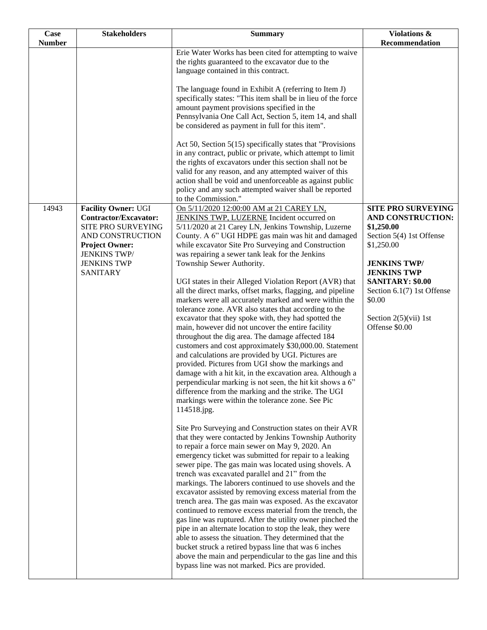| Case          | <b>Stakeholders</b>                                 | <b>Summary</b>                                                                                                         | Violations &                                          |
|---------------|-----------------------------------------------------|------------------------------------------------------------------------------------------------------------------------|-------------------------------------------------------|
| <b>Number</b> |                                                     |                                                                                                                        | Recommendation                                        |
|               |                                                     | Erie Water Works has been cited for attempting to waive                                                                |                                                       |
|               |                                                     | the rights guaranteed to the excavator due to the<br>language contained in this contract.                              |                                                       |
|               |                                                     |                                                                                                                        |                                                       |
|               |                                                     | The language found in Exhibit A (referring to Item J)                                                                  |                                                       |
|               |                                                     | specifically states: "This item shall be in lieu of the force                                                          |                                                       |
|               |                                                     | amount payment provisions specified in the                                                                             |                                                       |
|               |                                                     | Pennsylvania One Call Act, Section 5, item 14, and shall                                                               |                                                       |
|               |                                                     | be considered as payment in full for this item".                                                                       |                                                       |
|               |                                                     | Act 50, Section $5(15)$ specifically states that "Provisions"                                                          |                                                       |
|               |                                                     | in any contract, public or private, which attempt to limit                                                             |                                                       |
|               |                                                     | the rights of excavators under this section shall not be                                                               |                                                       |
|               |                                                     | valid for any reason, and any attempted waiver of this                                                                 |                                                       |
|               |                                                     | action shall be void and unenforceable as against public                                                               |                                                       |
|               |                                                     | policy and any such attempted waiver shall be reported                                                                 |                                                       |
|               |                                                     | to the Commission."                                                                                                    |                                                       |
| 14943         | <b>Facility Owner: UGI</b><br>Contractor/Excavator: | On 5/11/2020 12:00:00 AM at 21 CAREY LN,<br>JENKINS TWP, LUZERNE Incident occurred on                                  | <b>SITE PRO SURVEYING</b><br>AND CONSTRUCTION:        |
|               | SITE PRO SURVEYING                                  | 5/11/2020 at 21 Carey LN, Jenkins Township, Luzerne                                                                    | \$1,250.00                                            |
|               | AND CONSTRUCTION                                    | County. A 6" UGI HDPE gas main was hit and damaged                                                                     | Section 5(4) 1st Offense                              |
|               | <b>Project Owner:</b>                               | while excavator Site Pro Surveying and Construction                                                                    | \$1,250.00                                            |
|               | <b>JENKINS TWP/</b>                                 | was repairing a sewer tank leak for the Jenkins                                                                        |                                                       |
|               | <b>JENKINS TWP</b>                                  | Township Sewer Authority.                                                                                              | <b>JENKINS TWP/</b>                                   |
|               | <b>SANITARY</b>                                     |                                                                                                                        | <b>JENKINS TWP</b>                                    |
|               |                                                     | UGI states in their Alleged Violation Report (AVR) that<br>all the direct marks, offset marks, flagging, and pipeline  | <b>SANITARY: \$0.00</b><br>Section 6.1(7) 1st Offense |
|               |                                                     | markers were all accurately marked and were within the                                                                 | \$0.00                                                |
|               |                                                     | tolerance zone. AVR also states that according to the                                                                  |                                                       |
|               |                                                     | excavator that they spoke with, they had spotted the                                                                   | Section $2(5)(vii)$ 1st                               |
|               |                                                     | main, however did not uncover the entire facility                                                                      | Offense \$0.00                                        |
|               |                                                     | throughout the dig area. The damage affected 184                                                                       |                                                       |
|               |                                                     | customers and cost approximately \$30,000.00. Statement                                                                |                                                       |
|               |                                                     | and calculations are provided by UGI. Pictures are                                                                     |                                                       |
|               |                                                     | provided. Pictures from UGI show the markings and                                                                      |                                                       |
|               |                                                     | damage with a hit kit, in the excavation area. Although a<br>perpendicular marking is not seen, the hit kit shows a 6" |                                                       |
|               |                                                     | difference from the marking and the strike. The UGI                                                                    |                                                       |
|               |                                                     | markings were within the tolerance zone. See Pic                                                                       |                                                       |
|               |                                                     | 114518.jpg.                                                                                                            |                                                       |
|               |                                                     |                                                                                                                        |                                                       |
|               |                                                     | Site Pro Surveying and Construction states on their AVR<br>that they were contacted by Jenkins Township Authority      |                                                       |
|               |                                                     | to repair a force main sewer on May 9, 2020. An                                                                        |                                                       |
|               |                                                     | emergency ticket was submitted for repair to a leaking                                                                 |                                                       |
|               |                                                     | sewer pipe. The gas main was located using shovels. A                                                                  |                                                       |
|               |                                                     | trench was excavated parallel and 21" from the                                                                         |                                                       |
|               |                                                     | markings. The laborers continued to use shovels and the                                                                |                                                       |
|               |                                                     | excavator assisted by removing excess material from the                                                                |                                                       |
|               |                                                     | trench area. The gas main was exposed. As the excavator                                                                |                                                       |
|               |                                                     | continued to remove excess material from the trench, the<br>gas line was ruptured. After the utility owner pinched the |                                                       |
|               |                                                     | pipe in an alternate location to stop the leak, they were                                                              |                                                       |
|               |                                                     | able to assess the situation. They determined that the                                                                 |                                                       |
|               |                                                     | bucket struck a retired bypass line that was 6 inches                                                                  |                                                       |
|               |                                                     | above the main and perpendicular to the gas line and this                                                              |                                                       |
|               |                                                     | bypass line was not marked. Pics are provided.                                                                         |                                                       |
|               |                                                     |                                                                                                                        |                                                       |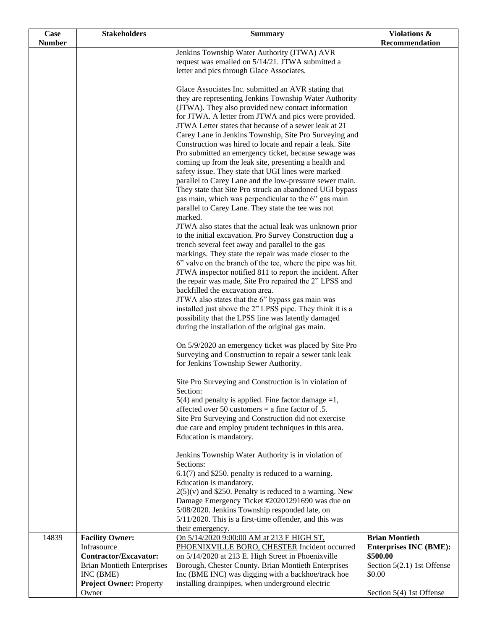| Case          | <b>Stakeholders</b>                                        | <b>Summary</b>                                                                                                     | Violations &                           |
|---------------|------------------------------------------------------------|--------------------------------------------------------------------------------------------------------------------|----------------------------------------|
| <b>Number</b> |                                                            |                                                                                                                    | Recommendation                         |
|               |                                                            | Jenkins Township Water Authority (JTWA) AVR<br>request was emailed on 5/14/21. JTWA submitted a                    |                                        |
|               |                                                            | letter and pics through Glace Associates.                                                                          |                                        |
|               |                                                            |                                                                                                                    |                                        |
|               |                                                            | Glace Associates Inc. submitted an AVR stating that                                                                |                                        |
|               |                                                            | they are representing Jenkins Township Water Authority                                                             |                                        |
|               |                                                            | (JTWA). They also provided new contact information                                                                 |                                        |
|               |                                                            | for JTWA. A letter from JTWA and pics were provided.                                                               |                                        |
|               |                                                            | JTWA Letter states that because of a sewer leak at 21                                                              |                                        |
|               |                                                            | Carey Lane in Jenkins Township, Site Pro Surveying and<br>Construction was hired to locate and repair a leak. Site |                                        |
|               |                                                            | Pro submitted an emergency ticket, because sewage was                                                              |                                        |
|               |                                                            | coming up from the leak site, presenting a health and                                                              |                                        |
|               |                                                            | safety issue. They state that UGI lines were marked                                                                |                                        |
|               |                                                            | parallel to Carey Lane and the low-pressure sewer main.                                                            |                                        |
|               |                                                            | They state that Site Pro struck an abandoned UGI bypass                                                            |                                        |
|               |                                                            | gas main, which was perpendicular to the 6" gas main                                                               |                                        |
|               |                                                            | parallel to Carey Lane. They state the tee was not<br>marked.                                                      |                                        |
|               |                                                            | JTWA also states that the actual leak was unknown prior                                                            |                                        |
|               |                                                            | to the initial excavation. Pro Survey Construction dug a                                                           |                                        |
|               |                                                            | trench several feet away and parallel to the gas                                                                   |                                        |
|               |                                                            | markings. They state the repair was made closer to the                                                             |                                        |
|               |                                                            | 6" valve on the branch of the tee, where the pipe was hit.                                                         |                                        |
|               |                                                            | JTWA inspector notified 811 to report the incident. After                                                          |                                        |
|               |                                                            | the repair was made, Site Pro repaired the 2" LPSS and<br>backfilled the excavation area.                          |                                        |
|               |                                                            | JTWA also states that the 6" bypass gas main was                                                                   |                                        |
|               |                                                            | installed just above the 2" LPSS pipe. They think it is a                                                          |                                        |
|               |                                                            | possibility that the LPSS line was latently damaged                                                                |                                        |
|               |                                                            | during the installation of the original gas main.                                                                  |                                        |
|               |                                                            | On 5/9/2020 an emergency ticket was placed by Site Pro                                                             |                                        |
|               |                                                            | Surveying and Construction to repair a sewer tank leak                                                             |                                        |
|               |                                                            | for Jenkins Township Sewer Authority.                                                                              |                                        |
|               |                                                            | Site Pro Surveying and Construction is in violation of                                                             |                                        |
|               |                                                            | Section:                                                                                                           |                                        |
|               |                                                            | $5(4)$ and penalty is applied. Fine factor damage =1,                                                              |                                        |
|               |                                                            | affected over 50 customers = a fine factor of $.5$ .                                                               |                                        |
|               |                                                            | Site Pro Surveying and Construction did not exercise                                                               |                                        |
|               |                                                            | due care and employ prudent techniques in this area.<br>Education is mandatory.                                    |                                        |
|               |                                                            |                                                                                                                    |                                        |
|               |                                                            | Jenkins Township Water Authority is in violation of                                                                |                                        |
|               |                                                            | Sections:                                                                                                          |                                        |
|               |                                                            | $6.1(7)$ and \$250. penalty is reduced to a warning.                                                               |                                        |
|               |                                                            | Education is mandatory.<br>$2(5)(v)$ and \$250. Penalty is reduced to a warning. New                               |                                        |
|               |                                                            | Damage Emergency Ticket #20201291690 was due on                                                                    |                                        |
|               |                                                            | 5/08/2020. Jenkins Township responded late, on                                                                     |                                        |
|               |                                                            | 5/11/2020. This is a first-time offender, and this was                                                             |                                        |
|               |                                                            | their emergency.                                                                                                   |                                        |
| 14839         | <b>Facility Owner:</b>                                     | On 5/14/2020 9:00:00 AM at 213 E HIGH ST,                                                                          | <b>Brian Montieth</b>                  |
|               | Infrasource                                                | PHOENIXVILLE BORO, CHESTER Incident occurred                                                                       | <b>Enterprises INC (BME):</b>          |
|               | Contractor/Excavator:<br><b>Brian Montieth Enterprises</b> | on 5/14/2020 at 213 E. High Street in Phoenixville<br>Borough, Chester County. Brian Montieth Enterprises          | \$500.00<br>Section 5(2.1) 1st Offense |
|               | INC (BME)                                                  | Inc (BME INC) was digging with a backhoe/track hoe                                                                 | \$0.00                                 |
|               | <b>Project Owner: Property</b>                             | installing drainpipes, when underground electric                                                                   |                                        |
|               | Owner                                                      |                                                                                                                    | Section 5(4) 1st Offense               |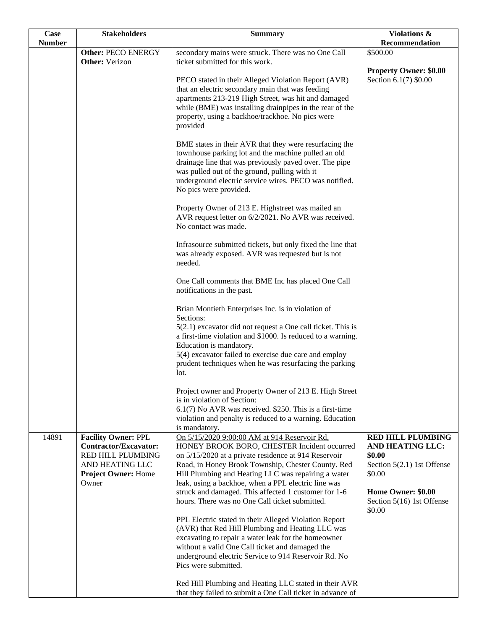| Case          | <b>Stakeholders</b>                                                                                                                       | <b>Summary</b>                                                                                                                                                                                                                                                                                                                                                                  | Violations &                                                                                                                |
|---------------|-------------------------------------------------------------------------------------------------------------------------------------------|---------------------------------------------------------------------------------------------------------------------------------------------------------------------------------------------------------------------------------------------------------------------------------------------------------------------------------------------------------------------------------|-----------------------------------------------------------------------------------------------------------------------------|
| <b>Number</b> |                                                                                                                                           |                                                                                                                                                                                                                                                                                                                                                                                 | Recommendation                                                                                                              |
|               | <b>Other: PECO ENERGY</b><br><b>Other:</b> Verizon                                                                                        | secondary mains were struck. There was no One Call<br>ticket submitted for this work.                                                                                                                                                                                                                                                                                           | \$500.00                                                                                                                    |
|               |                                                                                                                                           |                                                                                                                                                                                                                                                                                                                                                                                 | <b>Property Owner: \$0.00</b>                                                                                               |
|               |                                                                                                                                           | PECO stated in their Alleged Violation Report (AVR)<br>that an electric secondary main that was feeding<br>apartments 213-219 High Street, was hit and damaged<br>while (BME) was installing drainpipes in the rear of the<br>property, using a backhoe/trackhoe. No pics were<br>provided                                                                                      | Section 6.1(7) \$0.00                                                                                                       |
|               |                                                                                                                                           | BME states in their AVR that they were resurfacing the<br>townhouse parking lot and the machine pulled an old<br>drainage line that was previously paved over. The pipe<br>was pulled out of the ground, pulling with it<br>underground electric service wires. PECO was notified.<br>No pics were provided.                                                                    |                                                                                                                             |
|               |                                                                                                                                           | Property Owner of 213 E. Highstreet was mailed an<br>AVR request letter on 6/2/2021. No AVR was received.<br>No contact was made.                                                                                                                                                                                                                                               |                                                                                                                             |
|               |                                                                                                                                           | Infrasource submitted tickets, but only fixed the line that<br>was already exposed. AVR was requested but is not<br>needed.                                                                                                                                                                                                                                                     |                                                                                                                             |
|               |                                                                                                                                           | One Call comments that BME Inc has placed One Call<br>notifications in the past.                                                                                                                                                                                                                                                                                                |                                                                                                                             |
|               |                                                                                                                                           | Brian Montieth Enterprises Inc. is in violation of<br>Sections:                                                                                                                                                                                                                                                                                                                 |                                                                                                                             |
|               |                                                                                                                                           | $5(2.1)$ excavator did not request a One call ticket. This is<br>a first-time violation and \$1000. Is reduced to a warning.<br>Education is mandatory.<br>5(4) excavator failed to exercise due care and employ<br>prudent techniques when he was resurfacing the parking                                                                                                      |                                                                                                                             |
|               |                                                                                                                                           | lot.                                                                                                                                                                                                                                                                                                                                                                            |                                                                                                                             |
|               |                                                                                                                                           | Project owner and Property Owner of 213 E. High Street<br>is in violation of Section:<br>$6.1(7)$ No AVR was received. \$250. This is a first-time<br>violation and penalty is reduced to a warning. Education                                                                                                                                                                  |                                                                                                                             |
|               |                                                                                                                                           | is mandatory.                                                                                                                                                                                                                                                                                                                                                                   |                                                                                                                             |
| 14891         | <b>Facility Owner: PPL</b><br>Contractor/Excavator:<br><b>RED HILL PLUMBING</b><br>AND HEATING LLC<br><b>Project Owner: Home</b><br>Owner | On 5/15/2020 9:00:00 AM at 914 Reservoir Rd,<br>HONEY BROOK BORO, CHESTER Incident occurred<br>on 5/15/2020 at a private residence at 914 Reservoir<br>Road, in Honey Brook Township, Chester County. Red<br>Hill Plumbing and Heating LLC was repairing a water<br>leak, using a backhoe, when a PPL electric line was<br>struck and damaged. This affected 1 customer for 1-6 | <b>RED HILL PLUMBING</b><br><b>AND HEATING LLC:</b><br>\$0.00<br>Section 5(2.1) 1st Offense<br>\$0.00<br>Home Owner: \$0.00 |
|               |                                                                                                                                           | hours. There was no One Call ticket submitted.<br>PPL Electric stated in their Alleged Violation Report                                                                                                                                                                                                                                                                         | Section 5(16) 1st Offense<br>\$0.00                                                                                         |
|               |                                                                                                                                           | (AVR) that Red Hill Plumbing and Heating LLC was                                                                                                                                                                                                                                                                                                                                |                                                                                                                             |
|               |                                                                                                                                           | excavating to repair a water leak for the homeowner                                                                                                                                                                                                                                                                                                                             |                                                                                                                             |
|               |                                                                                                                                           | without a valid One Call ticket and damaged the                                                                                                                                                                                                                                                                                                                                 |                                                                                                                             |
|               |                                                                                                                                           | underground electric Service to 914 Reservoir Rd. No<br>Pics were submitted.                                                                                                                                                                                                                                                                                                    |                                                                                                                             |
|               |                                                                                                                                           | Red Hill Plumbing and Heating LLC stated in their AVR<br>that they failed to submit a One Call ticket in advance of                                                                                                                                                                                                                                                             |                                                                                                                             |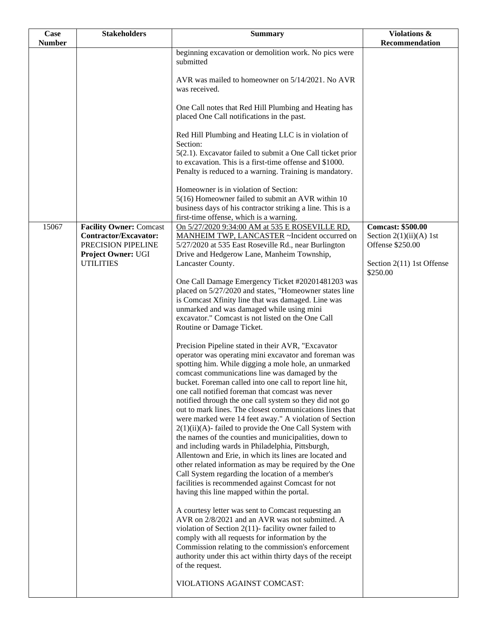| Case<br><b>Number</b> | <b>Stakeholders</b>                                                           | <b>Summary</b>                                                                                                                                                                                                                                                                                                                                                                                                                                                                                                                                                                                                                                                                                                                                                                                                                                                                                                                  | Violations &<br>Recommendation                                            |
|-----------------------|-------------------------------------------------------------------------------|---------------------------------------------------------------------------------------------------------------------------------------------------------------------------------------------------------------------------------------------------------------------------------------------------------------------------------------------------------------------------------------------------------------------------------------------------------------------------------------------------------------------------------------------------------------------------------------------------------------------------------------------------------------------------------------------------------------------------------------------------------------------------------------------------------------------------------------------------------------------------------------------------------------------------------|---------------------------------------------------------------------------|
|                       |                                                                               | beginning excavation or demolition work. No pics were<br>submitted                                                                                                                                                                                                                                                                                                                                                                                                                                                                                                                                                                                                                                                                                                                                                                                                                                                              |                                                                           |
|                       |                                                                               | AVR was mailed to homeowner on 5/14/2021. No AVR<br>was received.                                                                                                                                                                                                                                                                                                                                                                                                                                                                                                                                                                                                                                                                                                                                                                                                                                                               |                                                                           |
|                       |                                                                               | One Call notes that Red Hill Plumbing and Heating has<br>placed One Call notifications in the past.                                                                                                                                                                                                                                                                                                                                                                                                                                                                                                                                                                                                                                                                                                                                                                                                                             |                                                                           |
|                       |                                                                               | Red Hill Plumbing and Heating LLC is in violation of<br>Section:<br>5(2.1). Excavator failed to submit a One Call ticket prior                                                                                                                                                                                                                                                                                                                                                                                                                                                                                                                                                                                                                                                                                                                                                                                                  |                                                                           |
|                       |                                                                               | to excavation. This is a first-time offense and \$1000.<br>Penalty is reduced to a warning. Training is mandatory.                                                                                                                                                                                                                                                                                                                                                                                                                                                                                                                                                                                                                                                                                                                                                                                                              |                                                                           |
|                       |                                                                               | Homeowner is in violation of Section:<br>5(16) Homeowner failed to submit an AVR within 10<br>business days of his contractor striking a line. This is a<br>first-time offense, which is a warning.                                                                                                                                                                                                                                                                                                                                                                                                                                                                                                                                                                                                                                                                                                                             |                                                                           |
| 15067                 | <b>Facility Owner: Comcast</b><br>Contractor/Excavator:<br>PRECISION PIPELINE | On 5/27/2020 9:34:00 AM at 535 E ROSEVILLE RD,<br>MANHEIM TWP, LANCASTER ~Incident occurred on<br>5/27/2020 at 535 East Roseville Rd., near Burlington                                                                                                                                                                                                                                                                                                                                                                                                                                                                                                                                                                                                                                                                                                                                                                          | <b>Comcast: \$500.00</b><br>Section $2(1)(ii)(A)$ 1st<br>Offense \$250.00 |
|                       | Project Owner: UGI<br><b>UTILITIES</b>                                        | Drive and Hedgerow Lane, Manheim Township,<br>Lancaster County.                                                                                                                                                                                                                                                                                                                                                                                                                                                                                                                                                                                                                                                                                                                                                                                                                                                                 | Section 2(11) 1st Offense<br>\$250.00                                     |
|                       |                                                                               | One Call Damage Emergency Ticket #20201481203 was<br>placed on 5/27/2020 and states, "Homeowner states line                                                                                                                                                                                                                                                                                                                                                                                                                                                                                                                                                                                                                                                                                                                                                                                                                     |                                                                           |
|                       |                                                                               | is Comcast Xfinity line that was damaged. Line was<br>unmarked and was damaged while using mini<br>excavator." Comcast is not listed on the One Call<br>Routine or Damage Ticket.                                                                                                                                                                                                                                                                                                                                                                                                                                                                                                                                                                                                                                                                                                                                               |                                                                           |
|                       |                                                                               | Precision Pipeline stated in their AVR, "Excavator<br>operator was operating mini excavator and foreman was<br>spotting him. While digging a mole hole, an unmarked<br>comcast communications line was damaged by the<br>bucket. Foreman called into one call to report line hit,<br>one call notified foreman that comcast was never<br>notified through the one call system so they did not go<br>out to mark lines. The closest communications lines that<br>were marked were 14 feet away." A violation of Section<br>$2(1)(ii)(A)$ - failed to provide the One Call System with<br>the names of the counties and municipalities, down to<br>and including wards in Philadelphia, Pittsburgh,<br>Allentown and Erie, in which its lines are located and<br>other related information as may be required by the One<br>Call System regarding the location of a member's<br>facilities is recommended against Comcast for not |                                                                           |
|                       |                                                                               | having this line mapped within the portal.<br>A courtesy letter was sent to Comcast requesting an<br>AVR on 2/8/2021 and an AVR was not submitted. A<br>violation of Section 2(11)- facility owner failed to<br>comply with all requests for information by the<br>Commission relating to the commission's enforcement<br>authority under this act within thirty days of the receipt<br>of the request.<br>VIOLATIONS AGAINST COMCAST:                                                                                                                                                                                                                                                                                                                                                                                                                                                                                          |                                                                           |
|                       |                                                                               |                                                                                                                                                                                                                                                                                                                                                                                                                                                                                                                                                                                                                                                                                                                                                                                                                                                                                                                                 |                                                                           |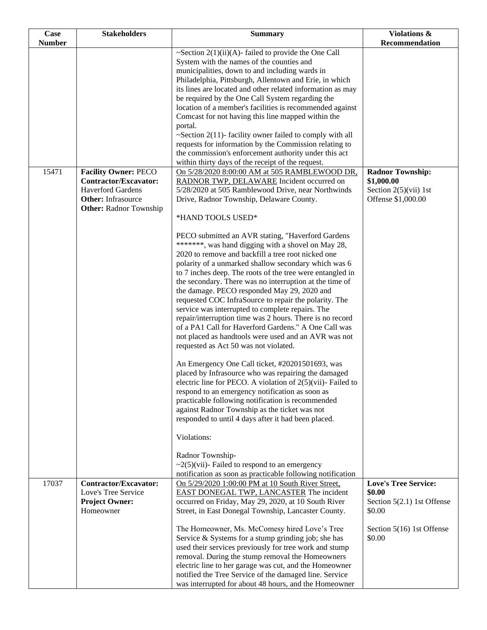| Case          | <b>Stakeholders</b>                                                                                             | <b>Summary</b>                                                                                                                                                                                                                                                                                                                                                                                                                                                                                                                                                                                                                                                                                                                                                                                                                                                                                                                                                                                                                                                                                                                                                                                                                                                                                                                                                                                                                                                   | Violations &                                                                                                         |
|---------------|-----------------------------------------------------------------------------------------------------------------|------------------------------------------------------------------------------------------------------------------------------------------------------------------------------------------------------------------------------------------------------------------------------------------------------------------------------------------------------------------------------------------------------------------------------------------------------------------------------------------------------------------------------------------------------------------------------------------------------------------------------------------------------------------------------------------------------------------------------------------------------------------------------------------------------------------------------------------------------------------------------------------------------------------------------------------------------------------------------------------------------------------------------------------------------------------------------------------------------------------------------------------------------------------------------------------------------------------------------------------------------------------------------------------------------------------------------------------------------------------------------------------------------------------------------------------------------------------|----------------------------------------------------------------------------------------------------------------------|
| <b>Number</b> |                                                                                                                 |                                                                                                                                                                                                                                                                                                                                                                                                                                                                                                                                                                                                                                                                                                                                                                                                                                                                                                                                                                                                                                                                                                                                                                                                                                                                                                                                                                                                                                                                  | Recommendation                                                                                                       |
| 15471         | <b>Facility Owner: PECO</b>                                                                                     | $\sim$ Section 2(1)(ii)(A)-failed to provide the One Call<br>System with the names of the counties and<br>municipalities, down to and including wards in<br>Philadelphia, Pittsburgh, Allentown and Erie, in which<br>its lines are located and other related information as may<br>be required by the One Call System regarding the<br>location of a member's facilities is recommended against<br>Comcast for not having this line mapped within the<br>portal.<br>$\sim$ Section 2(11)-facility owner failed to comply with all<br>requests for information by the Commission relating to<br>the commission's enforcement authority under this act<br>within thirty days of the receipt of the request.<br>On 5/28/2020 8:00:00 AM at 505 RAMBLEWOOD DR,                                                                                                                                                                                                                                                                                                                                                                                                                                                                                                                                                                                                                                                                                                      | <b>Radnor Township:</b>                                                                                              |
|               | <b>Contractor/Excavator:</b><br><b>Haverford Gardens</b><br>Other: Infrasource<br><b>Other: Radnor Township</b> | RADNOR TWP, DELAWARE Incident occurred on<br>5/28/2020 at 505 Ramblewood Drive, near Northwinds<br>Drive, Radnor Township, Delaware County.<br>*HAND TOOLS USED*<br>PECO submitted an AVR stating, "Haverford Gardens<br>*******, was hand digging with a shovel on May 28,<br>2020 to remove and backfill a tree root nicked one<br>polarity of a unmarked shallow secondary which was 6<br>to 7 inches deep. The roots of the tree were entangled in<br>the secondary. There was no interruption at the time of<br>the damage. PECO responded May 29, 2020 and<br>requested COC InfraSource to repair the polarity. The<br>service was interrupted to complete repairs. The<br>repair/interruption time was 2 hours. There is no record<br>of a PA1 Call for Haverford Gardens." A One Call was<br>not placed as handtools were used and an AVR was not<br>requested as Act 50 was not violated.<br>An Emergency One Call ticket, #20201501693, was<br>placed by Infrasource who was repairing the damaged<br>electric line for PECO. A violation of $2(5)(\n \text{vii})$ - Failed to<br>respond to an emergency notification as soon as<br>practicable following notification is recommended<br>against Radnor Township as the ticket was not<br>responded to until 4 days after it had been placed.<br>Violations:<br>Radnor Township-<br>$\sim$ 2(5)(vii)- Failed to respond to an emergency<br>notification as soon as practicable following notification | \$1,000.00<br>Section $2(5)(vii)$ 1st<br>Offense \$1,000.00                                                          |
| 17037         | <b>Contractor/Excavator:</b><br>Love's Tree Service<br><b>Project Owner:</b><br>Homeowner                       | On 5/29/2020 1:00:00 PM at 10 South River Street,<br><b>EAST DONEGAL TWP, LANCASTER The incident</b><br>occurred on Friday, May 29, 2020, at 10 South River<br>Street, in East Donegal Township, Lancaster County.<br>The Homeowner, Ms. McComesy hired Love's Tree<br>Service $&$ Systems for a stump grinding job; she has<br>used their services previously for tree work and stump<br>removal. During the stump removal the Homeowners<br>electric line to her garage was cut, and the Homeowner<br>notified the Tree Service of the damaged line. Service<br>was interrupted for about 48 hours, and the Homeowner                                                                                                                                                                                                                                                                                                                                                                                                                                                                                                                                                                                                                                                                                                                                                                                                                                          | <b>Love's Tree Service:</b><br>\$0.00<br>Section 5(2.1) 1st Offense<br>\$0.00<br>Section 5(16) 1st Offense<br>\$0.00 |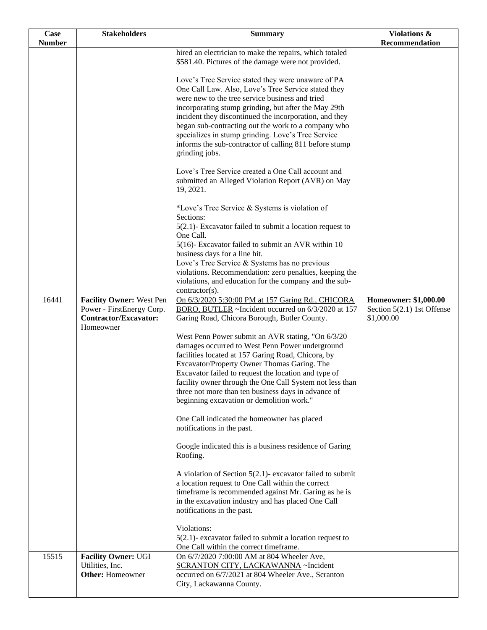| Case          | <b>Stakeholders</b>                                                                                       | <b>Summary</b>                                                                                                                                                                                                                                                | Violations &                                                        |
|---------------|-----------------------------------------------------------------------------------------------------------|---------------------------------------------------------------------------------------------------------------------------------------------------------------------------------------------------------------------------------------------------------------|---------------------------------------------------------------------|
| <b>Number</b> |                                                                                                           |                                                                                                                                                                                                                                                               | Recommendation                                                      |
|               |                                                                                                           | hired an electrician to make the repairs, which totaled<br>\$581.40. Pictures of the damage were not provided.<br>Love's Tree Service stated they were unaware of PA                                                                                          |                                                                     |
|               |                                                                                                           | One Call Law. Also, Love's Tree Service stated they<br>were new to the tree service business and tried<br>incorporating stump grinding, but after the May 29th<br>incident they discontinued the incorporation, and they                                      |                                                                     |
|               |                                                                                                           | began sub-contracting out the work to a company who<br>specializes in stump grinding. Love's Tree Service<br>informs the sub-contractor of calling 811 before stump<br>grinding jobs.                                                                         |                                                                     |
|               |                                                                                                           | Love's Tree Service created a One Call account and<br>submitted an Alleged Violation Report (AVR) on May<br>19, 2021.                                                                                                                                         |                                                                     |
|               |                                                                                                           | *Love's Tree Service & Systems is violation of<br>Sections:                                                                                                                                                                                                   |                                                                     |
|               |                                                                                                           | $5(2.1)$ - Excavator failed to submit a location request to<br>One Call.<br>5(16)- Excavator failed to submit an AVR within 10                                                                                                                                |                                                                     |
|               |                                                                                                           | business days for a line hit.<br>Love's Tree Service & Systems has no previous                                                                                                                                                                                |                                                                     |
|               |                                                                                                           | violations. Recommendation: zero penalties, keeping the<br>violations, and education for the company and the sub-<br>contractor(s).                                                                                                                           |                                                                     |
| 16441         | <b>Facility Owner: West Pen</b><br>Power - FirstEnergy Corp.<br><b>Contractor/Excavator:</b><br>Homeowner | On 6/3/2020 5:30:00 PM at 157 Garing Rd., CHICORA<br>BORO, BUTLER ~Incident occurred on 6/3/2020 at 157<br>Garing Road, Chicora Borough, Butler County.                                                                                                       | Homeowner: \$1,000.00<br>Section $5(2.1)$ 1st Offense<br>\$1,000.00 |
|               |                                                                                                           | West Penn Power submit an AVR stating, "On 6/3/20<br>damages occurred to West Penn Power underground<br>facilities located at 157 Garing Road, Chicora, by                                                                                                    |                                                                     |
|               |                                                                                                           | Excavator/Property Owner Thomas Garing. The<br>Excavator failed to request the location and type of<br>facility owner through the One Call System not less than                                                                                               |                                                                     |
|               |                                                                                                           | three not more than ten business days in advance of<br>beginning excavation or demolition work."                                                                                                                                                              |                                                                     |
|               |                                                                                                           | One Call indicated the homeowner has placed<br>notifications in the past.                                                                                                                                                                                     |                                                                     |
|               |                                                                                                           | Google indicated this is a business residence of Garing<br>Roofing.                                                                                                                                                                                           |                                                                     |
|               |                                                                                                           | A violation of Section $5(2.1)$ - excavator failed to submit<br>a location request to One Call within the correct<br>timeframe is recommended against Mr. Garing as he is<br>in the excavation industry and has placed One Call<br>notifications in the past. |                                                                     |
|               |                                                                                                           | Violations:<br>$5(2.1)$ - excavator failed to submit a location request to<br>One Call within the correct timeframe.                                                                                                                                          |                                                                     |
| 15515         | <b>Facility Owner: UGI</b><br>Utilities, Inc.<br><b>Other:</b> Homeowner                                  | On 6/7/2020 7:00:00 AM at 804 Wheeler Ave,<br>SCRANTON CITY, LACKAWANNA ~Incident<br>occurred on 6/7/2021 at 804 Wheeler Ave., Scranton<br>City, Lackawanna County.                                                                                           |                                                                     |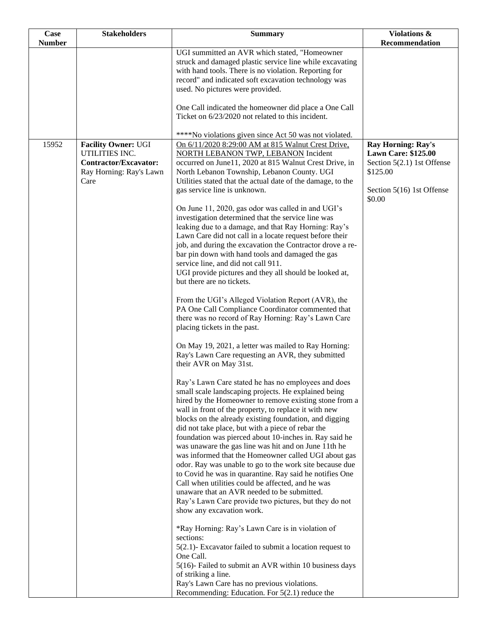| Case          | <b>Stakeholders</b>                          | <b>Summary</b>                                                                                                  | Violations &                                            |
|---------------|----------------------------------------------|-----------------------------------------------------------------------------------------------------------------|---------------------------------------------------------|
| <b>Number</b> |                                              | UGI summitted an AVR which stated, "Homeowner                                                                   | Recommendation                                          |
|               |                                              | struck and damaged plastic service line while excavating                                                        |                                                         |
|               |                                              | with hand tools. There is no violation. Reporting for                                                           |                                                         |
|               |                                              | record" and indicated soft excavation technology was                                                            |                                                         |
|               |                                              | used. No pictures were provided.                                                                                |                                                         |
|               |                                              | One Call indicated the homeowner did place a One Call                                                           |                                                         |
|               |                                              | Ticket on 6/23/2020 not related to this incident.                                                               |                                                         |
|               |                                              | ****No violations given since Act 50 was not violated.                                                          |                                                         |
| 15952         | <b>Facility Owner: UGI</b><br>UTILITIES INC. | On 6/11/2020 8:29:00 AM at 815 Walnut Crest Drive,<br><b>NORTH LEBANON TWP, LEBANON Incident</b>                | <b>Ray Horning: Ray's</b><br><b>Lawn Care: \$125.00</b> |
|               | <b>Contractor/Excavator:</b>                 | occurred on June11, 2020 at 815 Walnut Crest Drive, in                                                          | Section $5(2.1)$ 1st Offense                            |
|               | Ray Horning: Ray's Lawn                      | North Lebanon Township, Lebanon County. UGI                                                                     | \$125.00                                                |
|               | Care                                         | Utilities stated that the actual date of the damage, to the                                                     |                                                         |
|               |                                              | gas service line is unknown.                                                                                    | Section 5(16) 1st Offense<br>\$0.00                     |
|               |                                              | On June 11, 2020, gas odor was called in and UGI's                                                              |                                                         |
|               |                                              | investigation determined that the service line was<br>leaking due to a damage, and that Ray Horning: Ray's      |                                                         |
|               |                                              | Lawn Care did not call in a locate request before their                                                         |                                                         |
|               |                                              | job, and during the excavation the Contractor drove a re-                                                       |                                                         |
|               |                                              | bar pin down with hand tools and damaged the gas<br>service line, and did not call 911.                         |                                                         |
|               |                                              | UGI provide pictures and they all should be looked at,                                                          |                                                         |
|               |                                              | but there are no tickets.                                                                                       |                                                         |
|               |                                              | From the UGI's Alleged Violation Report (AVR), the                                                              |                                                         |
|               |                                              | PA One Call Compliance Coordinator commented that<br>there was no record of Ray Horning: Ray's Lawn Care        |                                                         |
|               |                                              | placing tickets in the past.                                                                                    |                                                         |
|               |                                              | On May 19, 2021, a letter was mailed to Ray Horning:<br>Ray's Lawn Care requesting an AVR, they submitted       |                                                         |
|               |                                              | their AVR on May 31st.                                                                                          |                                                         |
|               |                                              | Ray's Lawn Care stated he has no employees and does                                                             |                                                         |
|               |                                              | small scale landscaping projects. He explained being                                                            |                                                         |
|               |                                              | hired by the Homeowner to remove existing stone from a<br>wall in front of the property, to replace it with new |                                                         |
|               |                                              | blocks on the already existing foundation, and digging                                                          |                                                         |
|               |                                              | did not take place, but with a piece of rebar the                                                               |                                                         |
|               |                                              | foundation was pierced about 10-inches in. Ray said he                                                          |                                                         |
|               |                                              | was unaware the gas line was hit and on June 11th he<br>was informed that the Homeowner called UGI about gas    |                                                         |
|               |                                              | odor. Ray was unable to go to the work site because due                                                         |                                                         |
|               |                                              | to Covid he was in quarantine. Ray said he notifies One                                                         |                                                         |
|               |                                              | Call when utilities could be affected, and he was                                                               |                                                         |
|               |                                              | unaware that an AVR needed to be submitted.<br>Ray's Lawn Care provide two pictures, but they do not            |                                                         |
|               |                                              | show any excavation work.                                                                                       |                                                         |
|               |                                              | *Ray Horning: Ray's Lawn Care is in violation of                                                                |                                                         |
|               |                                              | sections:<br>$5(2.1)$ - Excavator failed to submit a location request to                                        |                                                         |
|               |                                              | One Call.                                                                                                       |                                                         |
|               |                                              | 5(16)- Failed to submit an AVR within 10 business days<br>of striking a line.                                   |                                                         |
|               |                                              | Ray's Lawn Care has no previous violations.<br>Recommending: Education. For $5(2.1)$ reduce the                 |                                                         |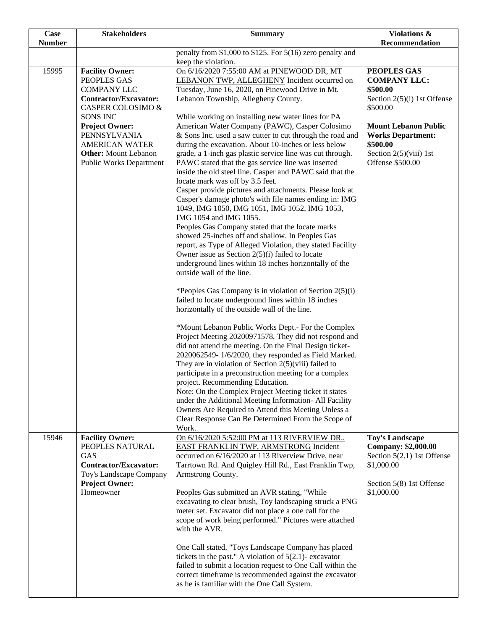| Case<br><b>Number</b> | <b>Stakeholders</b>                                                                                                                                                                                                                                                    | <b>Summary</b>                                                                                                                                                                                                                                                                                                                                                                                                                                                                                                                                                                                                                                                                                                                                                                                                                                                                                                                                                                                                                                                                                                                                                                                                                                                                                                                                                                                                                                                                                                                                                                                                                                                                                                                                                                                                                                                                                                                                                            | Violations &<br>Recommendation                                                                                                                                                                                     |
|-----------------------|------------------------------------------------------------------------------------------------------------------------------------------------------------------------------------------------------------------------------------------------------------------------|---------------------------------------------------------------------------------------------------------------------------------------------------------------------------------------------------------------------------------------------------------------------------------------------------------------------------------------------------------------------------------------------------------------------------------------------------------------------------------------------------------------------------------------------------------------------------------------------------------------------------------------------------------------------------------------------------------------------------------------------------------------------------------------------------------------------------------------------------------------------------------------------------------------------------------------------------------------------------------------------------------------------------------------------------------------------------------------------------------------------------------------------------------------------------------------------------------------------------------------------------------------------------------------------------------------------------------------------------------------------------------------------------------------------------------------------------------------------------------------------------------------------------------------------------------------------------------------------------------------------------------------------------------------------------------------------------------------------------------------------------------------------------------------------------------------------------------------------------------------------------------------------------------------------------------------------------------------------------|--------------------------------------------------------------------------------------------------------------------------------------------------------------------------------------------------------------------|
|                       |                                                                                                                                                                                                                                                                        | penalty from $$1,000$ to $$125$ . For $5(16)$ zero penalty and                                                                                                                                                                                                                                                                                                                                                                                                                                                                                                                                                                                                                                                                                                                                                                                                                                                                                                                                                                                                                                                                                                                                                                                                                                                                                                                                                                                                                                                                                                                                                                                                                                                                                                                                                                                                                                                                                                            |                                                                                                                                                                                                                    |
| 15995                 | <b>Facility Owner:</b><br>PEOPLES GAS<br><b>COMPANY LLC</b><br><b>Contractor/Excavator:</b><br>CASPER COLOSIMO &<br><b>SONS INC</b><br><b>Project Owner:</b><br>PENNSYLVANIA<br><b>AMERICAN WATER</b><br><b>Other:</b> Mount Lebanon<br><b>Public Works Department</b> | keep the violation.<br>On 6/16/2020 7:55:00 AM at PINEWOOD DR, MT<br>LEBANON TWP, ALLEGHENY Incident occurred on<br>Tuesday, June 16, 2020, on Pinewood Drive in Mt.<br>Lebanon Township, Allegheny County.<br>While working on installing new water lines for PA<br>American Water Company (PAWC), Casper Colosimo<br>& Sons Inc. used a saw cutter to cut through the road and<br>during the excavation. About 10-inches or less below<br>grade, a 1-inch gas plastic service line was cut through.<br>PAWC stated that the gas service line was inserted<br>inside the old steel line. Casper and PAWC said that the<br>locate mark was off by 3.5 feet.<br>Casper provide pictures and attachments. Please look at<br>Casper's damage photo's with file names ending in: IMG<br>1049, IMG 1050, IMG 1051, IMG 1052, IMG 1053,<br>IMG 1054 and IMG 1055.<br>Peoples Gas Company stated that the locate marks<br>showed 25-inches off and shallow. In Peoples Gas<br>report, as Type of Alleged Violation, they stated Facility<br>Owner issue as Section 2(5)(i) failed to locate<br>underground lines within 18 inches horizontally of the<br>outside wall of the line.<br>*Peoples Gas Company is in violation of Section 2(5)(i)<br>failed to locate underground lines within 18 inches<br>horizontally of the outside wall of the line.<br>*Mount Lebanon Public Works Dept.- For the Complex<br>Project Meeting 20200971578, They did not respond and<br>did not attend the meeting. On the Final Design ticket-<br>2020062549-1/6/2020, they responded as Field Marked.<br>They are in violation of Section $2(5)(viii)$ failed to<br>participate in a preconstruction meeting for a complex<br>project. Recommending Education.<br>Note: On the Complex Project Meeting ticket it states<br>under the Additional Meeting Information- All Facility<br>Owners Are Required to Attend this Meeting Unless a<br>Clear Response Can Be Determined From the Scope of | PEOPLES GAS<br><b>COMPANY LLC:</b><br>\$500.00<br>Section $2(5)(i)$ 1st Offense<br>\$500.00<br><b>Mount Lebanon Public</b><br><b>Works Department:</b><br>\$500.00<br>Section $2(5)(viii)$ 1st<br>Offense \$500.00 |
| 15946                 | <b>Facility Owner:</b><br>PEOPLES NATURAL<br><b>GAS</b><br>Contractor/Excavator:<br>Toy's Landscape Company<br><b>Project Owner:</b><br>Homeowner                                                                                                                      | Work.<br>On 6/16/2020 5:52:00 PM at 113 RIVERVIEW DR.,<br>EAST FRANKLIN TWP, ARMSTRONG Incident<br>occurred on 6/16/2020 at 113 Riverview Drive, near<br>Tarrtown Rd. And Quigley Hill Rd., East Franklin Twp,<br>Armstrong County.<br>Peoples Gas submitted an AVR stating, "While<br>excavating to clear brush, Toy landscaping struck a PNG<br>meter set. Excavator did not place a one call for the<br>scope of work being performed." Pictures were attached<br>with the AVR.<br>One Call stated, "Toys Landscape Company has placed<br>tickets in the past." A violation of $5(2.1)$ - excavator<br>failed to submit a location request to One Call within the<br>correct timeframe is recommended against the excavator<br>as he is familiar with the One Call System.                                                                                                                                                                                                                                                                                                                                                                                                                                                                                                                                                                                                                                                                                                                                                                                                                                                                                                                                                                                                                                                                                                                                                                                             | <b>Toy's Landscape</b><br><b>Company: \$2,000.00</b><br>Section 5(2.1) 1st Offense<br>\$1,000.00<br>Section 5(8) 1st Offense<br>\$1,000.00                                                                         |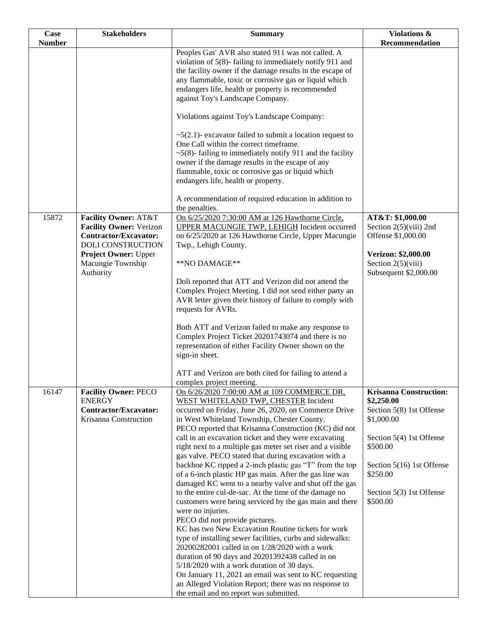| Case          | <b>Stakeholders</b>                                                                                                                                                                     | <b>Summary</b>                                                                                                                                                                                                                                                                                                                                                                                                                                                                                                                                                                                                                                                                                                                                                                                                                                                                                                                                                                                                                                                                                                                                                                                                                     | Violations &                                                                                                                                                                                                   |
|---------------|-----------------------------------------------------------------------------------------------------------------------------------------------------------------------------------------|------------------------------------------------------------------------------------------------------------------------------------------------------------------------------------------------------------------------------------------------------------------------------------------------------------------------------------------------------------------------------------------------------------------------------------------------------------------------------------------------------------------------------------------------------------------------------------------------------------------------------------------------------------------------------------------------------------------------------------------------------------------------------------------------------------------------------------------------------------------------------------------------------------------------------------------------------------------------------------------------------------------------------------------------------------------------------------------------------------------------------------------------------------------------------------------------------------------------------------|----------------------------------------------------------------------------------------------------------------------------------------------------------------------------------------------------------------|
| <b>Number</b> |                                                                                                                                                                                         |                                                                                                                                                                                                                                                                                                                                                                                                                                                                                                                                                                                                                                                                                                                                                                                                                                                                                                                                                                                                                                                                                                                                                                                                                                    | Recommendation                                                                                                                                                                                                 |
|               |                                                                                                                                                                                         | Peoples Gas' AVR also stated 911 was not called. A<br>violation of 5(8)-failing to immediately notify 911 and<br>the facility owner if the damage results in the escape of<br>any flammable, toxic or corrosive gas or liquid which<br>endangers life, health or property is recommended<br>against Toy's Landscape Company.                                                                                                                                                                                                                                                                                                                                                                                                                                                                                                                                                                                                                                                                                                                                                                                                                                                                                                       |                                                                                                                                                                                                                |
| 15872         | <b>Facility Owner: AT&amp;T</b><br><b>Facility Owner: Verizon</b><br><b>Contractor/Excavator:</b><br>DOLI CONSTRUCTION<br><b>Project Owner: Upper</b><br>Macungie Township<br>Authority | Violations against Toy's Landscape Company:<br>$\sim$ 5(2.1)- excavator failed to submit a location request to<br>One Call within the correct timeframe.<br>$\sim$ 5(8)-failing to immediately notify 911 and the facility<br>owner if the damage results in the escape of any<br>flammable, toxic or corrosive gas or liquid which<br>endangers life, health or property.<br>A recommendation of required education in addition to<br>the penalties.<br>On 6/25/2020 7:30:00 AM at 126 Hawthorne Circle,<br><b>UPPER MACUNGIE TWP, LEHIGH Incident occurred</b><br>on 6/25/2020 at 126 Hawthorne Circle, Upper Macungie<br>Twp., Lehigh County.<br>**NO DAMAGE**<br>Doli reported that ATT and Verizon did not attend the<br>Complex Project Meeting. I did not send either party an<br>AVR letter given their history of failure to comply with                                                                                                                                                                                                                                                                                                                                                                                  | AT&T: \$1,000.00<br>Section $2(5)$ (viii) 2nd<br>Offense \$1,000.00<br>Verizon: \$2,000.00<br>Section $2(5)(viii)$<br>Subsequent \$2,000.00                                                                    |
|               |                                                                                                                                                                                         | requests for AVRs.<br>Both ATT and Verizon failed to make any response to<br>Complex Project Ticket 20201743074 and there is no<br>representation of either Facility Owner shown on the<br>sign-in sheet.<br>ATT and Verizon are both cited for failing to attend a<br>complex project meeting.                                                                                                                                                                                                                                                                                                                                                                                                                                                                                                                                                                                                                                                                                                                                                                                                                                                                                                                                    |                                                                                                                                                                                                                |
| 16147         | <b>Facility Owner: PECO</b><br><b>ENERGY</b><br><b>Contractor/Excavator:</b><br>Krisanna Construction                                                                                   | On 6/26/2020 7:00:00 AM at 109 COMMERCE DR,<br>WEST WHITELAND TWP, CHESTER Incident<br>occurred on Friday, June 26, 2020, on Commerce Drive<br>in West Whiteland Township, Chester County.<br>PECO reported that Krisanna Construction (KC) did not<br>call in an excavation ticket and they were excavating<br>right next to a multiple gas meter set riser and a visible<br>gas valve. PECO stated that during excavation with a<br>backhoe KC ripped a 2-inch plastic gas "T" from the top<br>of a 6-inch plastic HP gas main. After the gas line was<br>damaged KC went to a nearby valve and shut off the gas<br>to the entire cul-de-sac. At the time of the damage no<br>customers were being serviced by the gas main and there<br>were no injuries.<br>PECO did not provide pictures.<br>KC has two New Excavation Routine tickets for work<br>type of installing sewer facilities, curbs and sidewalks:<br>20200282001 called in on 1/28/2020 with a work<br>duration of 90 days and 20201392438 called in on<br>5/18/2020 with a work duration of 30 days.<br>On January 11, 2021 an email was sent to KC requesting<br>an Alleged Violation Report; there was no response to<br>the email and no report was submitted. | <b>Krisanna Construction:</b><br>\$2,250.00<br>Section 5(8) 1st Offense<br>\$1,000.00<br>Section 5(4) 1st Offense<br>\$500.00<br>Section 5(16) 1st Offense<br>\$250.00<br>Section 5(3) 1st Offense<br>\$500.00 |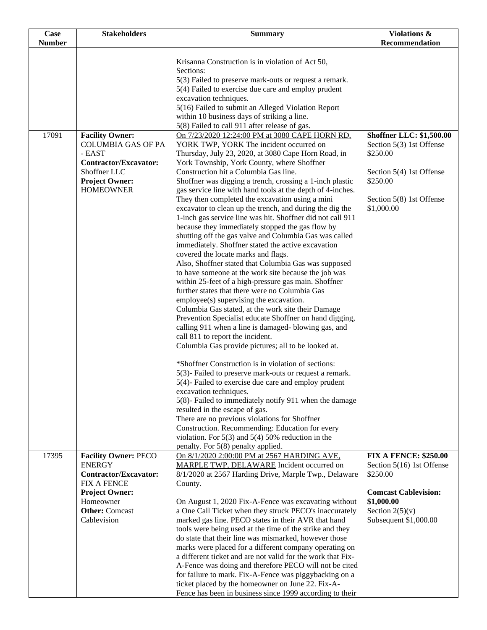| Case          | <b>Stakeholders</b>                                                                                                                    | <b>Summary</b>                                                                                                                                                                                                                                                                                                                                                                                                                                                                                                                                                                                                                                                                                                                                                                                                                                                                                                                                                                                                                                                                                                                                                                                                                                                                                                                                                                                 | Violations &                                                                                                    |
|---------------|----------------------------------------------------------------------------------------------------------------------------------------|------------------------------------------------------------------------------------------------------------------------------------------------------------------------------------------------------------------------------------------------------------------------------------------------------------------------------------------------------------------------------------------------------------------------------------------------------------------------------------------------------------------------------------------------------------------------------------------------------------------------------------------------------------------------------------------------------------------------------------------------------------------------------------------------------------------------------------------------------------------------------------------------------------------------------------------------------------------------------------------------------------------------------------------------------------------------------------------------------------------------------------------------------------------------------------------------------------------------------------------------------------------------------------------------------------------------------------------------------------------------------------------------|-----------------------------------------------------------------------------------------------------------------|
| <b>Number</b> |                                                                                                                                        |                                                                                                                                                                                                                                                                                                                                                                                                                                                                                                                                                                                                                                                                                                                                                                                                                                                                                                                                                                                                                                                                                                                                                                                                                                                                                                                                                                                                | Recommendation                                                                                                  |
|               |                                                                                                                                        | Krisanna Construction is in violation of Act 50,<br>Sections:<br>5(3) Failed to preserve mark-outs or request a remark.                                                                                                                                                                                                                                                                                                                                                                                                                                                                                                                                                                                                                                                                                                                                                                                                                                                                                                                                                                                                                                                                                                                                                                                                                                                                        |                                                                                                                 |
|               |                                                                                                                                        | 5(4) Failed to exercise due care and employ prudent<br>excavation techniques.                                                                                                                                                                                                                                                                                                                                                                                                                                                                                                                                                                                                                                                                                                                                                                                                                                                                                                                                                                                                                                                                                                                                                                                                                                                                                                                  |                                                                                                                 |
|               |                                                                                                                                        | 5(16) Failed to submit an Alleged Violation Report                                                                                                                                                                                                                                                                                                                                                                                                                                                                                                                                                                                                                                                                                                                                                                                                                                                                                                                                                                                                                                                                                                                                                                                                                                                                                                                                             |                                                                                                                 |
|               |                                                                                                                                        | within 10 business days of striking a line.<br>5(8) Failed to call 911 after release of gas.                                                                                                                                                                                                                                                                                                                                                                                                                                                                                                                                                                                                                                                                                                                                                                                                                                                                                                                                                                                                                                                                                                                                                                                                                                                                                                   |                                                                                                                 |
| 17091         | <b>Facility Owner:</b><br><b>COLUMBIA GAS OF PA</b><br>- EAST<br><b>Contractor/Excavator:</b><br>Shoffner LLC<br><b>Project Owner:</b> | On 7/23/2020 12:24:00 PM at 3080 CAPE HORN RD,<br>YORK TWP, YORK The incident occurred on<br>Thursday, July 23, 2020, at 3080 Cape Horn Road, in<br>York Township, York County, where Shoffner<br>Construction hit a Columbia Gas line.<br>Shoffner was digging a trench, crossing a 1-inch plastic                                                                                                                                                                                                                                                                                                                                                                                                                                                                                                                                                                                                                                                                                                                                                                                                                                                                                                                                                                                                                                                                                            | <b>Shoffner LLC: \$1,500.00</b><br>Section 5(3) 1st Offense<br>\$250.00<br>Section 5(4) 1st Offense<br>\$250.00 |
|               | <b>HOMEOWNER</b>                                                                                                                       | gas service line with hand tools at the depth of 4-inches.<br>They then completed the excavation using a mini<br>excavator to clean up the trench, and during the dig the<br>1-inch gas service line was hit. Shoffner did not call 911<br>because they immediately stopped the gas flow by<br>shutting off the gas valve and Columbia Gas was called<br>immediately. Shoffner stated the active excavation<br>covered the locate marks and flags.<br>Also, Shoffner stated that Columbia Gas was supposed<br>to have someone at the work site because the job was<br>within 25-feet of a high-pressure gas main. Shoffner<br>further states that there were no Columbia Gas<br>employee(s) supervising the excavation.<br>Columbia Gas stated, at the work site their Damage<br>Prevention Specialist educate Shoffner on hand digging,<br>calling 911 when a line is damaged-blowing gas, and<br>call 811 to report the incident.<br>Columbia Gas provide pictures; all to be looked at.<br>*Shoffner Construction is in violation of sections:<br>5(3)- Failed to preserve mark-outs or request a remark.<br>5(4)- Failed to exercise due care and employ prudent<br>excavation techniques.<br>5(8)- Failed to immediately notify 911 when the damage<br>resulted in the escape of gas.<br>There are no previous violations for Shoffner<br>Construction. Recommending: Education for every | Section 5(8) 1st Offense<br>\$1,000.00                                                                          |
|               |                                                                                                                                        | violation. For $5(3)$ and $5(4)$ 50% reduction in the<br>penalty. For 5(8) penalty applied.                                                                                                                                                                                                                                                                                                                                                                                                                                                                                                                                                                                                                                                                                                                                                                                                                                                                                                                                                                                                                                                                                                                                                                                                                                                                                                    |                                                                                                                 |
| 17395         | <b>Facility Owner: PECO</b><br><b>ENERGY</b><br><b>Contractor/Excavator:</b><br><b>FIX A FENCE</b>                                     | On 8/1/2020 2:00:00 PM at 2567 HARDING AVE,<br>MARPLE TWP, DELAWARE Incident occurred on<br>8/1/2020 at 2567 Harding Drive, Marple Twp., Delaware<br>County.                                                                                                                                                                                                                                                                                                                                                                                                                                                                                                                                                                                                                                                                                                                                                                                                                                                                                                                                                                                                                                                                                                                                                                                                                                   | <b>FIX A FENCE: \$250.00</b><br>Section 5(16) 1st Offense<br>\$250.00                                           |
|               | <b>Project Owner:</b><br>Homeowner<br><b>Other:</b> Comcast<br>Cablevision                                                             | On August 1, 2020 Fix-A-Fence was excavating without<br>a One Call Ticket when they struck PECO's inaccurately<br>marked gas line. PECO states in their AVR that hand<br>tools were being used at the time of the strike and they<br>do state that their line was mismarked, however those<br>marks were placed for a different company operating on<br>a different ticket and are not valid for the work that Fix-<br>A-Fence was doing and therefore PECO will not be cited<br>for failure to mark. Fix-A-Fence was piggybacking on a<br>ticket placed by the homeowner on June 22. Fix-A-<br>Fence has been in business since 1999 according to their                                                                                                                                                                                                                                                                                                                                                                                                                                                                                                                                                                                                                                                                                                                                       | <b>Comcast Cablevision:</b><br>\$1,000.00<br>Section $2(5)(v)$<br>Subsequent \$1,000.00                         |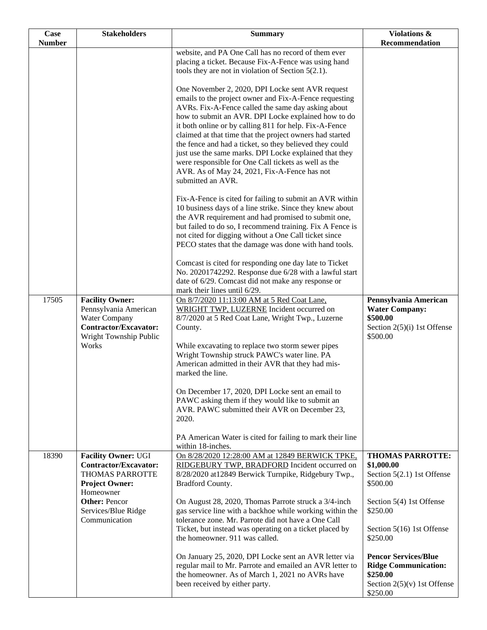| <b>Case</b>   | <b>Stakeholders</b>                                                                                                          | <b>Summary</b>                                                                                                                                                                                                                                                                                                                                             | <b>Violations &amp;</b>                                                                                             |
|---------------|------------------------------------------------------------------------------------------------------------------------------|------------------------------------------------------------------------------------------------------------------------------------------------------------------------------------------------------------------------------------------------------------------------------------------------------------------------------------------------------------|---------------------------------------------------------------------------------------------------------------------|
| <b>Number</b> |                                                                                                                              |                                                                                                                                                                                                                                                                                                                                                            | Recommendation                                                                                                      |
|               |                                                                                                                              | website, and PA One Call has no record of them ever<br>placing a ticket. Because Fix-A-Fence was using hand                                                                                                                                                                                                                                                |                                                                                                                     |
|               |                                                                                                                              | tools they are not in violation of Section $5(2.1)$ .                                                                                                                                                                                                                                                                                                      |                                                                                                                     |
|               |                                                                                                                              | One November 2, 2020, DPI Locke sent AVR request<br>emails to the project owner and Fix-A-Fence requesting<br>AVRs. Fix-A-Fence called the same day asking about<br>how to submit an AVR. DPI Locke explained how to do<br>it both online or by calling 811 for help. Fix-A-Fence<br>claimed at that time that the project owners had started              |                                                                                                                     |
|               |                                                                                                                              | the fence and had a ticket, so they believed they could<br>just use the same marks. DPI Locke explained that they<br>were responsible for One Call tickets as well as the<br>AVR. As of May 24, 2021, Fix-A-Fence has not<br>submitted an AVR.                                                                                                             |                                                                                                                     |
|               |                                                                                                                              | Fix-A-Fence is cited for failing to submit an AVR within<br>10 business days of a line strike. Since they knew about<br>the AVR requirement and had promised to submit one,<br>but failed to do so, I recommend training. Fix A Fence is<br>not cited for digging without a One Call ticket since<br>PECO states that the damage was done with hand tools. |                                                                                                                     |
|               |                                                                                                                              | Comcast is cited for responding one day late to Ticket<br>No. 20201742292. Response due 6/28 with a lawful start<br>date of 6/29. Comcast did not make any response or<br>mark their lines until 6/29.                                                                                                                                                     |                                                                                                                     |
| 17505         | <b>Facility Owner:</b><br>Pennsylvania American<br>Water Company<br>Contractor/Excavator:<br>Wright Township Public<br>Works | On 8/7/2020 11:13:00 AM at 5 Red Coat Lane,<br>WRIGHT TWP, LUZERNE Incident occurred on<br>8/7/2020 at 5 Red Coat Lane, Wright Twp., Luzerne<br>County.<br>While excavating to replace two storm sewer pipes                                                                                                                                               | Pennsylvania American<br><b>Water Company:</b><br>\$500.00<br>Section $2(5)(i)$ 1st Offense<br>\$500.00             |
|               |                                                                                                                              | Wright Township struck PAWC's water line. PA<br>American admitted in their AVR that they had mis-<br>marked the line.                                                                                                                                                                                                                                      |                                                                                                                     |
|               |                                                                                                                              | On December 17, 2020, DPI Locke sent an email to<br>PAWC asking them if they would like to submit an<br>AVR. PAWC submitted their AVR on December 23,<br>2020.                                                                                                                                                                                             |                                                                                                                     |
|               |                                                                                                                              | PA American Water is cited for failing to mark their line<br>within 18-inches.                                                                                                                                                                                                                                                                             |                                                                                                                     |
| 18390         | <b>Facility Owner: UGI</b><br><b>Contractor/Excavator:</b><br>THOMAS PARROTTE<br><b>Project Owner:</b><br>Homeowner          | On 8/28/2020 12:28:00 AM at 12849 BERWICK TPKE,<br>RIDGEBURY TWP, BRADFORD Incident occurred on<br>8/28/2020 at 12849 Berwick Turnpike, Ridgebury Twp.,<br>Bradford County.                                                                                                                                                                                | <b>THOMAS PARROTTE:</b><br>\$1,000.00<br>Section 5(2.1) 1st Offense<br>\$500.00                                     |
|               | <b>Other: Pencor</b><br>Services/Blue Ridge<br>Communication                                                                 | On August 28, 2020, Thomas Parrote struck a 3/4-inch<br>gas service line with a backhoe while working within the<br>tolerance zone. Mr. Parrote did not have a One Call                                                                                                                                                                                    | Section 5(4) 1st Offense<br>\$250.00                                                                                |
|               |                                                                                                                              | Ticket, but instead was operating on a ticket placed by<br>the homeowner. 911 was called.                                                                                                                                                                                                                                                                  | Section 5(16) 1st Offense<br>\$250.00                                                                               |
|               |                                                                                                                              | On January 25, 2020, DPI Locke sent an AVR letter via<br>regular mail to Mr. Parrote and emailed an AVR letter to<br>the homeowner. As of March 1, 2021 no AVRs have<br>been received by either party.                                                                                                                                                     | <b>Pencor Services/Blue</b><br><b>Ridge Communication:</b><br>\$250.00<br>Section $2(5)(v)$ 1st Offense<br>\$250.00 |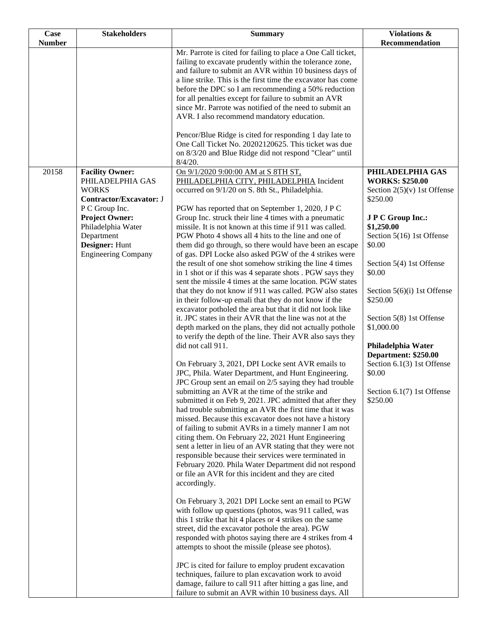| <b>Case</b>   | <b>Stakeholders</b>                        | <b>Summary</b>                                                                                                        | Violations &                               |
|---------------|--------------------------------------------|-----------------------------------------------------------------------------------------------------------------------|--------------------------------------------|
| <b>Number</b> |                                            | Mr. Parrote is cited for failing to place a One Call ticket,                                                          | Recommendation                             |
|               |                                            | failing to excavate prudently within the tolerance zone,                                                              |                                            |
|               |                                            | and failure to submit an AVR within 10 business days of                                                               |                                            |
|               |                                            | a line strike. This is the first time the excavator has come                                                          |                                            |
|               |                                            | before the DPC so I am recommending a 50% reduction<br>for all penalties except for failure to submit an AVR          |                                            |
|               |                                            | since Mr. Parrote was notified of the need to submit an                                                               |                                            |
|               |                                            | AVR. I also recommend mandatory education.                                                                            |                                            |
|               |                                            |                                                                                                                       |                                            |
|               |                                            | Pencor/Blue Ridge is cited for responding 1 day late to<br>One Call Ticket No. 20202120625. This ticket was due       |                                            |
|               |                                            | on 8/3/20 and Blue Ridge did not respond "Clear" until                                                                |                                            |
|               |                                            | 8/4/20.                                                                                                               |                                            |
| 20158         | <b>Facility Owner:</b><br>PHILADELPHIA GAS | On 9/1/2020 9:00:00 AM at S 8TH ST,                                                                                   | PHILADELPHIA GAS<br><b>WORKS: \$250.00</b> |
|               | <b>WORKS</b>                               | PHILADELPHIA CITY, PHILADELPHIA Incident<br>occurred on 9/1/20 on S. 8th St., Philadelphia.                           | Section $2(5)(v)$ 1st Offense              |
|               | <b>Contractor/Excavator: J</b>             |                                                                                                                       | \$250.00                                   |
|               | P C Group Inc.                             | PGW has reported that on September 1, 2020, J P C                                                                     |                                            |
|               | <b>Project Owner:</b>                      | Group Inc. struck their line 4 times with a pneumatic<br>missile. It is not known at this time if 911 was called.     | <b>J P C Group Inc.:</b><br>\$1,250.00     |
|               | Philadelphia Water<br>Department           | PGW Photo 4 shows all 4 hits to the line and one of                                                                   | Section 5(16) 1st Offense                  |
|               | Designer: Hunt                             | them did go through, so there would have been an escape                                                               | \$0.00                                     |
|               | <b>Engineering Company</b>                 | of gas. DPI Locke also asked PGW of the 4 strikes were                                                                |                                            |
|               |                                            | the result of one shot somehow striking the line 4 times<br>in 1 shot or if this was 4 separate shots . PGW says they | Section 5(4) 1st Offense<br>\$0.00         |
|               |                                            | sent the missile 4 times at the same location. PGW states                                                             |                                            |
|               |                                            | that they do not know if 911 was called. PGW also states                                                              | Section $5(6)(i)$ 1st Offense              |
|               |                                            | in their follow-up emali that they do not know if the                                                                 | \$250.00                                   |
|               |                                            | excavator potholed the area but that it did not look like<br>it. JPC states in their AVR that the line was not at the | Section 5(8) 1st Offense                   |
|               |                                            | depth marked on the plans, they did not actually pothole                                                              | \$1,000.00                                 |
|               |                                            | to verify the depth of the line. Their AVR also says they                                                             |                                            |
|               |                                            | did not call 911.                                                                                                     | Philadelphia Water<br>Department: \$250.00 |
|               |                                            | On February 3, 2021, DPI Locke sent AVR emails to                                                                     | Section 6.1(3) 1st Offense                 |
|               |                                            | JPC, Phila. Water Department, and Hunt Engineering.                                                                   | \$0.00                                     |
|               |                                            | JPC Group sent an email on 2/5 saying they had trouble                                                                |                                            |
|               |                                            | submitting an AVR at the time of the strike and                                                                       | Section 6.1(7) 1st Offense<br>\$250.00     |
|               |                                            | submitted it on Feb 9, 2021. JPC admitted that after they<br>had trouble submitting an AVR the first time that it was |                                            |
|               |                                            | missed. Because this excavator does not have a history                                                                |                                            |
|               |                                            | of failing to submit AVRs in a timely manner I am not                                                                 |                                            |
|               |                                            | citing them. On February 22, 2021 Hunt Engineering<br>sent a letter in lieu of an AVR stating that they were not      |                                            |
|               |                                            | responsible because their services were terminated in                                                                 |                                            |
|               |                                            | February 2020. Phila Water Department did not respond                                                                 |                                            |
|               |                                            | or file an AVR for this incident and they are cited                                                                   |                                            |
|               |                                            | accordingly.                                                                                                          |                                            |
|               |                                            | On February 3, 2021 DPI Locke sent an email to PGW                                                                    |                                            |
|               |                                            | with follow up questions (photos, was 911 called, was                                                                 |                                            |
|               |                                            | this 1 strike that hit 4 places or 4 strikes on the same                                                              |                                            |
|               |                                            | street, did the excavator pothole the area). PGW<br>responded with photos saying there are 4 strikes from 4           |                                            |
|               |                                            | attempts to shoot the missile (please see photos).                                                                    |                                            |
|               |                                            | JPC is cited for failure to employ prudent excavation                                                                 |                                            |
|               |                                            | techniques, failure to plan excavation work to avoid                                                                  |                                            |
|               |                                            | damage, failure to call 911 after hitting a gas line, and                                                             |                                            |
|               |                                            | failure to submit an AVR within 10 business days. All                                                                 |                                            |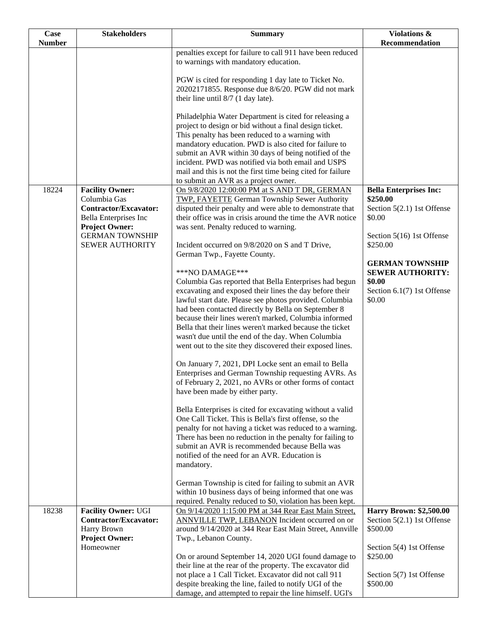| <b>Number</b><br>Recommendation<br>penalties except for failure to call 911 have been reduced<br>to warnings with mandatory education.<br>PGW is cited for responding 1 day late to Ticket No.<br>20202171855. Response due 8/6/20. PGW did not mark<br>their line until $8/7$ (1 day late).<br>Philadelphia Water Department is cited for releasing a<br>project to design or bid without a final design ticket.<br>This penalty has been reduced to a warning with<br>mandatory education. PWD is also cited for failure to<br>submit an AVR within 30 days of being notified of the<br>incident. PWD was notified via both email and USPS<br>mail and this is not the first time being cited for failure<br>to submit an AVR as a project owner.<br>18224<br><b>Facility Owner:</b><br>On 9/8/2020 12:00:00 PM at S AND T DR, GERMAN<br><b>Bella Enterprises Inc:</b><br>Columbia Gas<br>TWP, FAYETTE German Township Sewer Authority<br>\$250.00<br><b>Contractor/Excavator:</b><br>disputed their penalty and were able to demonstrate that<br>Section 5(2.1) 1st Offense<br>their office was in crisis around the time the AVR notice<br>\$0.00<br>Bella Enterprises Inc<br><b>Project Owner:</b><br>was sent. Penalty reduced to warning.<br><b>GERMAN TOWNSHIP</b><br>Section 5(16) 1st Offense<br>\$250.00<br><b>SEWER AUTHORITY</b><br>Incident occurred on 9/8/2020 on S and T Drive,<br>German Twp., Fayette County.<br><b>GERMAN TOWNSHIP</b><br>***NO DAMAGE***<br><b>SEWER AUTHORITY:</b><br>Columbia Gas reported that Bella Enterprises had begun<br>\$0.00<br>excavating and exposed their lines the day before their<br>Section 6.1(7) 1st Offense<br>\$0.00<br>lawful start date. Please see photos provided. Columbia<br>had been contacted directly by Bella on September 8<br>because their lines weren't marked, Columbia informed<br>Bella that their lines weren't marked because the ticket<br>wasn't due until the end of the day. When Columbia<br>went out to the site they discovered their exposed lines.<br>On January 7, 2021, DPI Locke sent an email to Bella<br>Enterprises and German Township requesting AVRs. As<br>of February 2, 2021, no AVRs or other forms of contact<br>have been made by either party. |
|-------------------------------------------------------------------------------------------------------------------------------------------------------------------------------------------------------------------------------------------------------------------------------------------------------------------------------------------------------------------------------------------------------------------------------------------------------------------------------------------------------------------------------------------------------------------------------------------------------------------------------------------------------------------------------------------------------------------------------------------------------------------------------------------------------------------------------------------------------------------------------------------------------------------------------------------------------------------------------------------------------------------------------------------------------------------------------------------------------------------------------------------------------------------------------------------------------------------------------------------------------------------------------------------------------------------------------------------------------------------------------------------------------------------------------------------------------------------------------------------------------------------------------------------------------------------------------------------------------------------------------------------------------------------------------------------------------------------------------------------------------------------------------------------------------------------------------------------------------------------------------------------------------------------------------------------------------------------------------------------------------------------------------------------------------------------------------------------------------------------------------------------------------------------------------------------------------------------------------------------------------|
|                                                                                                                                                                                                                                                                                                                                                                                                                                                                                                                                                                                                                                                                                                                                                                                                                                                                                                                                                                                                                                                                                                                                                                                                                                                                                                                                                                                                                                                                                                                                                                                                                                                                                                                                                                                                                                                                                                                                                                                                                                                                                                                                                                                                                                                       |
|                                                                                                                                                                                                                                                                                                                                                                                                                                                                                                                                                                                                                                                                                                                                                                                                                                                                                                                                                                                                                                                                                                                                                                                                                                                                                                                                                                                                                                                                                                                                                                                                                                                                                                                                                                                                                                                                                                                                                                                                                                                                                                                                                                                                                                                       |
|                                                                                                                                                                                                                                                                                                                                                                                                                                                                                                                                                                                                                                                                                                                                                                                                                                                                                                                                                                                                                                                                                                                                                                                                                                                                                                                                                                                                                                                                                                                                                                                                                                                                                                                                                                                                                                                                                                                                                                                                                                                                                                                                                                                                                                                       |
|                                                                                                                                                                                                                                                                                                                                                                                                                                                                                                                                                                                                                                                                                                                                                                                                                                                                                                                                                                                                                                                                                                                                                                                                                                                                                                                                                                                                                                                                                                                                                                                                                                                                                                                                                                                                                                                                                                                                                                                                                                                                                                                                                                                                                                                       |
|                                                                                                                                                                                                                                                                                                                                                                                                                                                                                                                                                                                                                                                                                                                                                                                                                                                                                                                                                                                                                                                                                                                                                                                                                                                                                                                                                                                                                                                                                                                                                                                                                                                                                                                                                                                                                                                                                                                                                                                                                                                                                                                                                                                                                                                       |
|                                                                                                                                                                                                                                                                                                                                                                                                                                                                                                                                                                                                                                                                                                                                                                                                                                                                                                                                                                                                                                                                                                                                                                                                                                                                                                                                                                                                                                                                                                                                                                                                                                                                                                                                                                                                                                                                                                                                                                                                                                                                                                                                                                                                                                                       |
|                                                                                                                                                                                                                                                                                                                                                                                                                                                                                                                                                                                                                                                                                                                                                                                                                                                                                                                                                                                                                                                                                                                                                                                                                                                                                                                                                                                                                                                                                                                                                                                                                                                                                                                                                                                                                                                                                                                                                                                                                                                                                                                                                                                                                                                       |
|                                                                                                                                                                                                                                                                                                                                                                                                                                                                                                                                                                                                                                                                                                                                                                                                                                                                                                                                                                                                                                                                                                                                                                                                                                                                                                                                                                                                                                                                                                                                                                                                                                                                                                                                                                                                                                                                                                                                                                                                                                                                                                                                                                                                                                                       |
|                                                                                                                                                                                                                                                                                                                                                                                                                                                                                                                                                                                                                                                                                                                                                                                                                                                                                                                                                                                                                                                                                                                                                                                                                                                                                                                                                                                                                                                                                                                                                                                                                                                                                                                                                                                                                                                                                                                                                                                                                                                                                                                                                                                                                                                       |
|                                                                                                                                                                                                                                                                                                                                                                                                                                                                                                                                                                                                                                                                                                                                                                                                                                                                                                                                                                                                                                                                                                                                                                                                                                                                                                                                                                                                                                                                                                                                                                                                                                                                                                                                                                                                                                                                                                                                                                                                                                                                                                                                                                                                                                                       |
|                                                                                                                                                                                                                                                                                                                                                                                                                                                                                                                                                                                                                                                                                                                                                                                                                                                                                                                                                                                                                                                                                                                                                                                                                                                                                                                                                                                                                                                                                                                                                                                                                                                                                                                                                                                                                                                                                                                                                                                                                                                                                                                                                                                                                                                       |
|                                                                                                                                                                                                                                                                                                                                                                                                                                                                                                                                                                                                                                                                                                                                                                                                                                                                                                                                                                                                                                                                                                                                                                                                                                                                                                                                                                                                                                                                                                                                                                                                                                                                                                                                                                                                                                                                                                                                                                                                                                                                                                                                                                                                                                                       |
|                                                                                                                                                                                                                                                                                                                                                                                                                                                                                                                                                                                                                                                                                                                                                                                                                                                                                                                                                                                                                                                                                                                                                                                                                                                                                                                                                                                                                                                                                                                                                                                                                                                                                                                                                                                                                                                                                                                                                                                                                                                                                                                                                                                                                                                       |
|                                                                                                                                                                                                                                                                                                                                                                                                                                                                                                                                                                                                                                                                                                                                                                                                                                                                                                                                                                                                                                                                                                                                                                                                                                                                                                                                                                                                                                                                                                                                                                                                                                                                                                                                                                                                                                                                                                                                                                                                                                                                                                                                                                                                                                                       |
|                                                                                                                                                                                                                                                                                                                                                                                                                                                                                                                                                                                                                                                                                                                                                                                                                                                                                                                                                                                                                                                                                                                                                                                                                                                                                                                                                                                                                                                                                                                                                                                                                                                                                                                                                                                                                                                                                                                                                                                                                                                                                                                                                                                                                                                       |
|                                                                                                                                                                                                                                                                                                                                                                                                                                                                                                                                                                                                                                                                                                                                                                                                                                                                                                                                                                                                                                                                                                                                                                                                                                                                                                                                                                                                                                                                                                                                                                                                                                                                                                                                                                                                                                                                                                                                                                                                                                                                                                                                                                                                                                                       |
|                                                                                                                                                                                                                                                                                                                                                                                                                                                                                                                                                                                                                                                                                                                                                                                                                                                                                                                                                                                                                                                                                                                                                                                                                                                                                                                                                                                                                                                                                                                                                                                                                                                                                                                                                                                                                                                                                                                                                                                                                                                                                                                                                                                                                                                       |
|                                                                                                                                                                                                                                                                                                                                                                                                                                                                                                                                                                                                                                                                                                                                                                                                                                                                                                                                                                                                                                                                                                                                                                                                                                                                                                                                                                                                                                                                                                                                                                                                                                                                                                                                                                                                                                                                                                                                                                                                                                                                                                                                                                                                                                                       |
|                                                                                                                                                                                                                                                                                                                                                                                                                                                                                                                                                                                                                                                                                                                                                                                                                                                                                                                                                                                                                                                                                                                                                                                                                                                                                                                                                                                                                                                                                                                                                                                                                                                                                                                                                                                                                                                                                                                                                                                                                                                                                                                                                                                                                                                       |
|                                                                                                                                                                                                                                                                                                                                                                                                                                                                                                                                                                                                                                                                                                                                                                                                                                                                                                                                                                                                                                                                                                                                                                                                                                                                                                                                                                                                                                                                                                                                                                                                                                                                                                                                                                                                                                                                                                                                                                                                                                                                                                                                                                                                                                                       |
|                                                                                                                                                                                                                                                                                                                                                                                                                                                                                                                                                                                                                                                                                                                                                                                                                                                                                                                                                                                                                                                                                                                                                                                                                                                                                                                                                                                                                                                                                                                                                                                                                                                                                                                                                                                                                                                                                                                                                                                                                                                                                                                                                                                                                                                       |
|                                                                                                                                                                                                                                                                                                                                                                                                                                                                                                                                                                                                                                                                                                                                                                                                                                                                                                                                                                                                                                                                                                                                                                                                                                                                                                                                                                                                                                                                                                                                                                                                                                                                                                                                                                                                                                                                                                                                                                                                                                                                                                                                                                                                                                                       |
|                                                                                                                                                                                                                                                                                                                                                                                                                                                                                                                                                                                                                                                                                                                                                                                                                                                                                                                                                                                                                                                                                                                                                                                                                                                                                                                                                                                                                                                                                                                                                                                                                                                                                                                                                                                                                                                                                                                                                                                                                                                                                                                                                                                                                                                       |
|                                                                                                                                                                                                                                                                                                                                                                                                                                                                                                                                                                                                                                                                                                                                                                                                                                                                                                                                                                                                                                                                                                                                                                                                                                                                                                                                                                                                                                                                                                                                                                                                                                                                                                                                                                                                                                                                                                                                                                                                                                                                                                                                                                                                                                                       |
|                                                                                                                                                                                                                                                                                                                                                                                                                                                                                                                                                                                                                                                                                                                                                                                                                                                                                                                                                                                                                                                                                                                                                                                                                                                                                                                                                                                                                                                                                                                                                                                                                                                                                                                                                                                                                                                                                                                                                                                                                                                                                                                                                                                                                                                       |
|                                                                                                                                                                                                                                                                                                                                                                                                                                                                                                                                                                                                                                                                                                                                                                                                                                                                                                                                                                                                                                                                                                                                                                                                                                                                                                                                                                                                                                                                                                                                                                                                                                                                                                                                                                                                                                                                                                                                                                                                                                                                                                                                                                                                                                                       |
|                                                                                                                                                                                                                                                                                                                                                                                                                                                                                                                                                                                                                                                                                                                                                                                                                                                                                                                                                                                                                                                                                                                                                                                                                                                                                                                                                                                                                                                                                                                                                                                                                                                                                                                                                                                                                                                                                                                                                                                                                                                                                                                                                                                                                                                       |
|                                                                                                                                                                                                                                                                                                                                                                                                                                                                                                                                                                                                                                                                                                                                                                                                                                                                                                                                                                                                                                                                                                                                                                                                                                                                                                                                                                                                                                                                                                                                                                                                                                                                                                                                                                                                                                                                                                                                                                                                                                                                                                                                                                                                                                                       |
|                                                                                                                                                                                                                                                                                                                                                                                                                                                                                                                                                                                                                                                                                                                                                                                                                                                                                                                                                                                                                                                                                                                                                                                                                                                                                                                                                                                                                                                                                                                                                                                                                                                                                                                                                                                                                                                                                                                                                                                                                                                                                                                                                                                                                                                       |
|                                                                                                                                                                                                                                                                                                                                                                                                                                                                                                                                                                                                                                                                                                                                                                                                                                                                                                                                                                                                                                                                                                                                                                                                                                                                                                                                                                                                                                                                                                                                                                                                                                                                                                                                                                                                                                                                                                                                                                                                                                                                                                                                                                                                                                                       |
|                                                                                                                                                                                                                                                                                                                                                                                                                                                                                                                                                                                                                                                                                                                                                                                                                                                                                                                                                                                                                                                                                                                                                                                                                                                                                                                                                                                                                                                                                                                                                                                                                                                                                                                                                                                                                                                                                                                                                                                                                                                                                                                                                                                                                                                       |
|                                                                                                                                                                                                                                                                                                                                                                                                                                                                                                                                                                                                                                                                                                                                                                                                                                                                                                                                                                                                                                                                                                                                                                                                                                                                                                                                                                                                                                                                                                                                                                                                                                                                                                                                                                                                                                                                                                                                                                                                                                                                                                                                                                                                                                                       |
|                                                                                                                                                                                                                                                                                                                                                                                                                                                                                                                                                                                                                                                                                                                                                                                                                                                                                                                                                                                                                                                                                                                                                                                                                                                                                                                                                                                                                                                                                                                                                                                                                                                                                                                                                                                                                                                                                                                                                                                                                                                                                                                                                                                                                                                       |
|                                                                                                                                                                                                                                                                                                                                                                                                                                                                                                                                                                                                                                                                                                                                                                                                                                                                                                                                                                                                                                                                                                                                                                                                                                                                                                                                                                                                                                                                                                                                                                                                                                                                                                                                                                                                                                                                                                                                                                                                                                                                                                                                                                                                                                                       |
|                                                                                                                                                                                                                                                                                                                                                                                                                                                                                                                                                                                                                                                                                                                                                                                                                                                                                                                                                                                                                                                                                                                                                                                                                                                                                                                                                                                                                                                                                                                                                                                                                                                                                                                                                                                                                                                                                                                                                                                                                                                                                                                                                                                                                                                       |
|                                                                                                                                                                                                                                                                                                                                                                                                                                                                                                                                                                                                                                                                                                                                                                                                                                                                                                                                                                                                                                                                                                                                                                                                                                                                                                                                                                                                                                                                                                                                                                                                                                                                                                                                                                                                                                                                                                                                                                                                                                                                                                                                                                                                                                                       |
|                                                                                                                                                                                                                                                                                                                                                                                                                                                                                                                                                                                                                                                                                                                                                                                                                                                                                                                                                                                                                                                                                                                                                                                                                                                                                                                                                                                                                                                                                                                                                                                                                                                                                                                                                                                                                                                                                                                                                                                                                                                                                                                                                                                                                                                       |
| Bella Enterprises is cited for excavating without a valid                                                                                                                                                                                                                                                                                                                                                                                                                                                                                                                                                                                                                                                                                                                                                                                                                                                                                                                                                                                                                                                                                                                                                                                                                                                                                                                                                                                                                                                                                                                                                                                                                                                                                                                                                                                                                                                                                                                                                                                                                                                                                                                                                                                             |
| One Call Ticket. This is Bella's first offense, so the                                                                                                                                                                                                                                                                                                                                                                                                                                                                                                                                                                                                                                                                                                                                                                                                                                                                                                                                                                                                                                                                                                                                                                                                                                                                                                                                                                                                                                                                                                                                                                                                                                                                                                                                                                                                                                                                                                                                                                                                                                                                                                                                                                                                |
| penalty for not having a ticket was reduced to a warning.                                                                                                                                                                                                                                                                                                                                                                                                                                                                                                                                                                                                                                                                                                                                                                                                                                                                                                                                                                                                                                                                                                                                                                                                                                                                                                                                                                                                                                                                                                                                                                                                                                                                                                                                                                                                                                                                                                                                                                                                                                                                                                                                                                                             |
| There has been no reduction in the penalty for failing to                                                                                                                                                                                                                                                                                                                                                                                                                                                                                                                                                                                                                                                                                                                                                                                                                                                                                                                                                                                                                                                                                                                                                                                                                                                                                                                                                                                                                                                                                                                                                                                                                                                                                                                                                                                                                                                                                                                                                                                                                                                                                                                                                                                             |
| submit an AVR is recommended because Bella was                                                                                                                                                                                                                                                                                                                                                                                                                                                                                                                                                                                                                                                                                                                                                                                                                                                                                                                                                                                                                                                                                                                                                                                                                                                                                                                                                                                                                                                                                                                                                                                                                                                                                                                                                                                                                                                                                                                                                                                                                                                                                                                                                                                                        |
| notified of the need for an AVR. Education is<br>mandatory.                                                                                                                                                                                                                                                                                                                                                                                                                                                                                                                                                                                                                                                                                                                                                                                                                                                                                                                                                                                                                                                                                                                                                                                                                                                                                                                                                                                                                                                                                                                                                                                                                                                                                                                                                                                                                                                                                                                                                                                                                                                                                                                                                                                           |
|                                                                                                                                                                                                                                                                                                                                                                                                                                                                                                                                                                                                                                                                                                                                                                                                                                                                                                                                                                                                                                                                                                                                                                                                                                                                                                                                                                                                                                                                                                                                                                                                                                                                                                                                                                                                                                                                                                                                                                                                                                                                                                                                                                                                                                                       |
| German Township is cited for failing to submit an AVR                                                                                                                                                                                                                                                                                                                                                                                                                                                                                                                                                                                                                                                                                                                                                                                                                                                                                                                                                                                                                                                                                                                                                                                                                                                                                                                                                                                                                                                                                                                                                                                                                                                                                                                                                                                                                                                                                                                                                                                                                                                                                                                                                                                                 |
| within 10 business days of being informed that one was                                                                                                                                                                                                                                                                                                                                                                                                                                                                                                                                                                                                                                                                                                                                                                                                                                                                                                                                                                                                                                                                                                                                                                                                                                                                                                                                                                                                                                                                                                                                                                                                                                                                                                                                                                                                                                                                                                                                                                                                                                                                                                                                                                                                |
| required. Penalty reduced to \$0, violation has been kept.                                                                                                                                                                                                                                                                                                                                                                                                                                                                                                                                                                                                                                                                                                                                                                                                                                                                                                                                                                                                                                                                                                                                                                                                                                                                                                                                                                                                                                                                                                                                                                                                                                                                                                                                                                                                                                                                                                                                                                                                                                                                                                                                                                                            |
| 18238<br><b>Facility Owner: UGI</b><br><b>Harry Brown: \$2,500.00</b><br>On 9/14/2020 1:15:00 PM at 344 Rear East Main Street,                                                                                                                                                                                                                                                                                                                                                                                                                                                                                                                                                                                                                                                                                                                                                                                                                                                                                                                                                                                                                                                                                                                                                                                                                                                                                                                                                                                                                                                                                                                                                                                                                                                                                                                                                                                                                                                                                                                                                                                                                                                                                                                        |
| <b>Contractor/Excavator:</b><br>Section 5(2.1) 1st Offense<br><b>ANNVILLE TWP, LEBANON Incident occurred on or</b>                                                                                                                                                                                                                                                                                                                                                                                                                                                                                                                                                                                                                                                                                                                                                                                                                                                                                                                                                                                                                                                                                                                                                                                                                                                                                                                                                                                                                                                                                                                                                                                                                                                                                                                                                                                                                                                                                                                                                                                                                                                                                                                                    |
| \$500.00<br>Harry Brown<br>around 9/14/2020 at 344 Rear East Main Street, Annville                                                                                                                                                                                                                                                                                                                                                                                                                                                                                                                                                                                                                                                                                                                                                                                                                                                                                                                                                                                                                                                                                                                                                                                                                                                                                                                                                                                                                                                                                                                                                                                                                                                                                                                                                                                                                                                                                                                                                                                                                                                                                                                                                                    |
| <b>Project Owner:</b><br>Twp., Lebanon County.                                                                                                                                                                                                                                                                                                                                                                                                                                                                                                                                                                                                                                                                                                                                                                                                                                                                                                                                                                                                                                                                                                                                                                                                                                                                                                                                                                                                                                                                                                                                                                                                                                                                                                                                                                                                                                                                                                                                                                                                                                                                                                                                                                                                        |
| Homeowner<br>Section 5(4) 1st Offense                                                                                                                                                                                                                                                                                                                                                                                                                                                                                                                                                                                                                                                                                                                                                                                                                                                                                                                                                                                                                                                                                                                                                                                                                                                                                                                                                                                                                                                                                                                                                                                                                                                                                                                                                                                                                                                                                                                                                                                                                                                                                                                                                                                                                 |
| \$250.00<br>On or around September 14, 2020 UGI found damage to                                                                                                                                                                                                                                                                                                                                                                                                                                                                                                                                                                                                                                                                                                                                                                                                                                                                                                                                                                                                                                                                                                                                                                                                                                                                                                                                                                                                                                                                                                                                                                                                                                                                                                                                                                                                                                                                                                                                                                                                                                                                                                                                                                                       |
| their line at the rear of the property. The excavator did                                                                                                                                                                                                                                                                                                                                                                                                                                                                                                                                                                                                                                                                                                                                                                                                                                                                                                                                                                                                                                                                                                                                                                                                                                                                                                                                                                                                                                                                                                                                                                                                                                                                                                                                                                                                                                                                                                                                                                                                                                                                                                                                                                                             |
| not place a 1 Call Ticket. Excavator did not call 911<br>Section 5(7) 1st Offense<br>\$500.00                                                                                                                                                                                                                                                                                                                                                                                                                                                                                                                                                                                                                                                                                                                                                                                                                                                                                                                                                                                                                                                                                                                                                                                                                                                                                                                                                                                                                                                                                                                                                                                                                                                                                                                                                                                                                                                                                                                                                                                                                                                                                                                                                         |
| despite breaking the line, failed to notify UGI of the<br>damage, and attempted to repair the line himself. UGI's                                                                                                                                                                                                                                                                                                                                                                                                                                                                                                                                                                                                                                                                                                                                                                                                                                                                                                                                                                                                                                                                                                                                                                                                                                                                                                                                                                                                                                                                                                                                                                                                                                                                                                                                                                                                                                                                                                                                                                                                                                                                                                                                     |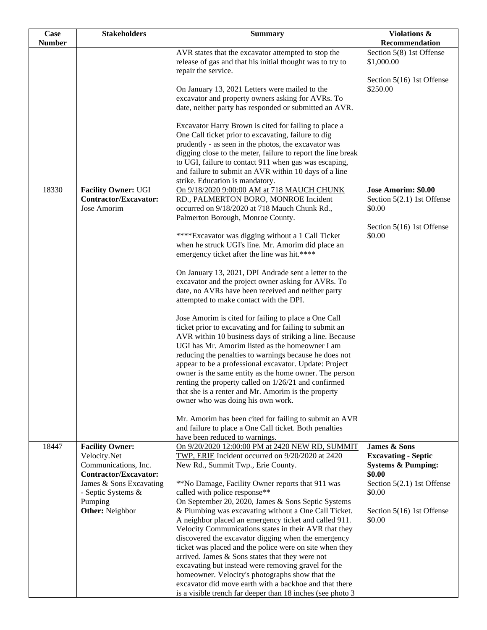| <b>Case</b>   | <b>Stakeholders</b>                                  | <b>Summary</b>                                                                                                                          | Violations &                            |
|---------------|------------------------------------------------------|-----------------------------------------------------------------------------------------------------------------------------------------|-----------------------------------------|
| <b>Number</b> |                                                      |                                                                                                                                         | Recommendation                          |
|               |                                                      | AVR states that the excavator attempted to stop the<br>release of gas and that his initial thought was to try to<br>repair the service. | Section 5(8) 1st Offense<br>\$1,000.00  |
|               |                                                      |                                                                                                                                         | Section 5(16) 1st Offense               |
|               |                                                      | On January 13, 2021 Letters were mailed to the<br>excavator and property owners asking for AVRs. To                                     | \$250.00                                |
|               |                                                      | date, neither party has responded or submitted an AVR.                                                                                  |                                         |
|               |                                                      |                                                                                                                                         |                                         |
|               |                                                      | Excavator Harry Brown is cited for failing to place a<br>One Call ticket prior to excavating, failure to dig                            |                                         |
|               |                                                      | prudently - as seen in the photos, the excavator was                                                                                    |                                         |
|               |                                                      | digging close to the meter, failure to report the line break                                                                            |                                         |
|               |                                                      | to UGI, failure to contact 911 when gas was escaping,<br>and failure to submit an AVR within 10 days of a line                          |                                         |
|               |                                                      | strike. Education is mandatory.                                                                                                         |                                         |
| 18330         | <b>Facility Owner: UGI</b>                           | On 9/18/2020 9:00:00 AM at 718 MAUCH CHUNK                                                                                              | Jose Amorim: \$0.00                     |
|               | <b>Contractor/Excavator:</b><br>Jose Amorim          | RD., PALMERTON BORO, MONROE Incident<br>occurred on 9/18/2020 at 718 Mauch Chunk Rd.,                                                   | Section 5(2.1) 1st Offense<br>\$0.00    |
|               |                                                      | Palmerton Borough, Monroe County.                                                                                                       |                                         |
|               |                                                      |                                                                                                                                         | Section 5(16) 1st Offense               |
|               |                                                      | ****Excavator was digging without a 1 Call Ticket<br>when he struck UGI's line. Mr. Amorim did place an                                 | \$0.00                                  |
|               |                                                      | emergency ticket after the line was hit.****                                                                                            |                                         |
|               |                                                      | On January 13, 2021, DPI Andrade sent a letter to the                                                                                   |                                         |
|               |                                                      | excavator and the project owner asking for AVRs. To                                                                                     |                                         |
|               |                                                      | date, no AVRs have been received and neither party                                                                                      |                                         |
|               |                                                      | attempted to make contact with the DPI.                                                                                                 |                                         |
|               |                                                      | Jose Amorim is cited for failing to place a One Call                                                                                    |                                         |
|               |                                                      | ticket prior to excavating and for failing to submit an<br>AVR within 10 business days of striking a line. Because                      |                                         |
|               |                                                      | UGI has Mr. Amorim listed as the homeowner I am                                                                                         |                                         |
|               |                                                      | reducing the penalties to warnings because he does not                                                                                  |                                         |
|               |                                                      | appear to be a professional excavator. Update: Project<br>owner is the same entity as the home owner. The person                        |                                         |
|               |                                                      | renting the property called on 1/26/21 and confirmed                                                                                    |                                         |
|               |                                                      | that she is a renter and Mr. Amorim is the property                                                                                     |                                         |
|               |                                                      | owner who was doing his own work.                                                                                                       |                                         |
|               |                                                      | Mr. Amorim has been cited for failing to submit an AVR                                                                                  |                                         |
|               |                                                      | and failure to place a One Call ticket. Both penalties                                                                                  |                                         |
| 18447         | <b>Facility Owner:</b>                               | have been reduced to warnings.<br>On 9/20/2020 12:00:00 PM at 2420 NEW RD, SUMMIT                                                       | <b>James &amp; Sons</b>                 |
|               | Velocity.Net                                         | TWP, ERIE Incident occurred on 9/20/2020 at 2420                                                                                        | <b>Excavating - Septic</b>              |
|               | Communications, Inc.<br><b>Contractor/Excavator:</b> | New Rd., Summit Twp., Erie County.                                                                                                      | <b>Systems &amp; Pumping:</b><br>\$0.00 |
|               | James & Sons Excavating                              | **No Damage, Facility Owner reports that 911 was                                                                                        | Section 5(2.1) 1st Offense              |
|               | - Septic Systems &                                   | called with police response**                                                                                                           | \$0.00                                  |
|               | Pumping<br><b>Other:</b> Neighbor                    | On September 20, 2020, James & Sons Septic Systems<br>& Plumbing was excavating without a One Call Ticket.                              | Section 5(16) 1st Offense               |
|               |                                                      | A neighbor placed an emergency ticket and called 911.                                                                                   | \$0.00                                  |
|               |                                                      | Velocity Communications states in their AVR that they                                                                                   |                                         |
|               |                                                      | discovered the excavator digging when the emergency<br>ticket was placed and the police were on site when they                          |                                         |
|               |                                                      | arrived. James & Sons states that they were not                                                                                         |                                         |
|               |                                                      | excavating but instead were removing gravel for the                                                                                     |                                         |
|               |                                                      | homeowner. Velocity's photographs show that the<br>excavator did move earth with a backhoe and that there                               |                                         |
|               |                                                      | is a visible trench far deeper than 18 inches (see photo 3                                                                              |                                         |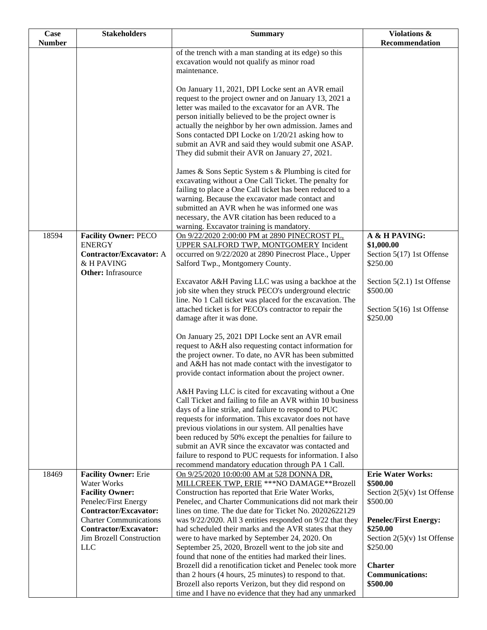| <b>Number</b><br>Recommendation<br>of the trench with a man standing at its edge) so this<br>excavation would not qualify as minor road<br>maintenance.<br>On January 11, 2021, DPI Locke sent an AVR email<br>request to the project owner and on January 13, 2021 a<br>letter was mailed to the excavator for an AVR. The<br>person initially believed to be the project owner is<br>actually the neighbor by her own admission. James and |
|----------------------------------------------------------------------------------------------------------------------------------------------------------------------------------------------------------------------------------------------------------------------------------------------------------------------------------------------------------------------------------------------------------------------------------------------|
|                                                                                                                                                                                                                                                                                                                                                                                                                                              |
|                                                                                                                                                                                                                                                                                                                                                                                                                                              |
|                                                                                                                                                                                                                                                                                                                                                                                                                                              |
|                                                                                                                                                                                                                                                                                                                                                                                                                                              |
|                                                                                                                                                                                                                                                                                                                                                                                                                                              |
|                                                                                                                                                                                                                                                                                                                                                                                                                                              |
|                                                                                                                                                                                                                                                                                                                                                                                                                                              |
|                                                                                                                                                                                                                                                                                                                                                                                                                                              |
|                                                                                                                                                                                                                                                                                                                                                                                                                                              |
| Sons contacted DPI Locke on 1/20/21 asking how to                                                                                                                                                                                                                                                                                                                                                                                            |
| submit an AVR and said they would submit one ASAP.<br>They did submit their AVR on January 27, 2021.                                                                                                                                                                                                                                                                                                                                         |
|                                                                                                                                                                                                                                                                                                                                                                                                                                              |
| James & Sons Septic System s & Plumbing is cited for                                                                                                                                                                                                                                                                                                                                                                                         |
| excavating without a One Call Ticket. The penalty for                                                                                                                                                                                                                                                                                                                                                                                        |
| failing to place a One Call ticket has been reduced to a                                                                                                                                                                                                                                                                                                                                                                                     |
| warning. Because the excavator made contact and                                                                                                                                                                                                                                                                                                                                                                                              |
| submitted an AVR when he was informed one was                                                                                                                                                                                                                                                                                                                                                                                                |
| necessary, the AVR citation has been reduced to a<br>warning. Excavator training is mandatory.                                                                                                                                                                                                                                                                                                                                               |
| 18594<br><b>Facility Owner: PECO</b><br>On 9/22/2020 2:00:00 PM at 2890 PINECROST PL,<br>A & H PAVING:                                                                                                                                                                                                                                                                                                                                       |
| <b>ENERGY</b><br>\$1,000.00<br><b>UPPER SALFORD TWP, MONTGOMERY Incident</b>                                                                                                                                                                                                                                                                                                                                                                 |
| occurred on 9/22/2020 at 2890 Pinecrost Place., Upper<br>Section 5(17) 1st Offense<br>Contractor/Excavator: A                                                                                                                                                                                                                                                                                                                                |
| & H PAVING<br>\$250.00<br>Salford Twp., Montgomery County.                                                                                                                                                                                                                                                                                                                                                                                   |
| <b>Other:</b> Infrasource                                                                                                                                                                                                                                                                                                                                                                                                                    |
| Excavator A&H Paving LLC was using a backhoe at the<br>Section 5(2.1) 1st Offense                                                                                                                                                                                                                                                                                                                                                            |
| job site when they struck PECO's underground electric<br>\$500.00                                                                                                                                                                                                                                                                                                                                                                            |
| line. No 1 Call ticket was placed for the excavation. The<br>attached ticket is for PECO's contractor to repair the<br>Section 5(16) 1st Offense                                                                                                                                                                                                                                                                                             |
| \$250.00<br>damage after it was done.                                                                                                                                                                                                                                                                                                                                                                                                        |
|                                                                                                                                                                                                                                                                                                                                                                                                                                              |
| On January 25, 2021 DPI Locke sent an AVR email                                                                                                                                                                                                                                                                                                                                                                                              |
| request to A&H also requesting contact information for                                                                                                                                                                                                                                                                                                                                                                                       |
| the project owner. To date, no AVR has been submitted                                                                                                                                                                                                                                                                                                                                                                                        |
| and A&H has not made contact with the investigator to<br>provide contact information about the project owner.                                                                                                                                                                                                                                                                                                                                |
|                                                                                                                                                                                                                                                                                                                                                                                                                                              |
| A&H Paving LLC is cited for excavating without a One                                                                                                                                                                                                                                                                                                                                                                                         |
| Call Ticket and failing to file an AVR within 10 business                                                                                                                                                                                                                                                                                                                                                                                    |
| days of a line strike, and failure to respond to PUC                                                                                                                                                                                                                                                                                                                                                                                         |
| requests for information. This excavator does not have                                                                                                                                                                                                                                                                                                                                                                                       |
| previous violations in our system. All penalties have                                                                                                                                                                                                                                                                                                                                                                                        |
| been reduced by 50% except the penalties for failure to<br>submit an AVR since the excavator was contacted and                                                                                                                                                                                                                                                                                                                               |
| failure to respond to PUC requests for information. I also                                                                                                                                                                                                                                                                                                                                                                                   |
| recommend mandatory education through PA 1 Call.                                                                                                                                                                                                                                                                                                                                                                                             |
| <b>Erie Water Works:</b><br>18469<br><b>Facility Owner: Erie</b><br>On 9/25/2020 10:00:00 AM at 528 DONNA DR,                                                                                                                                                                                                                                                                                                                                |
| <b>Water Works</b><br>MILLCREEK TWP, ERIE ***NO DAMAGE**Brozell<br>\$500.00                                                                                                                                                                                                                                                                                                                                                                  |
| <b>Facility Owner:</b><br>Construction has reported that Erie Water Works,<br>Section $2(5)(v)$ 1st Offense                                                                                                                                                                                                                                                                                                                                  |
| Penelec/First Energy<br>Penelec, and Charter Communications did not mark their<br>\$500.00                                                                                                                                                                                                                                                                                                                                                   |
| <b>Contractor/Excavator:</b><br>lines on time. The due date for Ticket No. 20202622129<br><b>Charter Communications</b><br>was 9/22/2020. All 3 entities responded on 9/22 that they<br><b>Penelec/First Energy:</b>                                                                                                                                                                                                                         |
| Contractor/Excavator:<br>had scheduled their marks and the AVR states that they<br>\$250.00                                                                                                                                                                                                                                                                                                                                                  |
| Jim Brozell Construction<br>were to have marked by September 24, 2020. On<br>Section $2(5)(v)$ 1st Offense                                                                                                                                                                                                                                                                                                                                   |
| September 25, 2020, Brozell went to the job site and<br>\$250.00<br><b>LLC</b>                                                                                                                                                                                                                                                                                                                                                               |
| found that none of the entities had marked their lines.                                                                                                                                                                                                                                                                                                                                                                                      |
| Brozell did a renotification ticket and Penelec took more<br><b>Charter</b>                                                                                                                                                                                                                                                                                                                                                                  |
| than 2 hours (4 hours, 25 minutes) to respond to that.<br><b>Communications:</b>                                                                                                                                                                                                                                                                                                                                                             |
| \$500.00<br>Brozell also reports Verizon, but they did respond on<br>time and I have no evidence that they had any unmarked                                                                                                                                                                                                                                                                                                                  |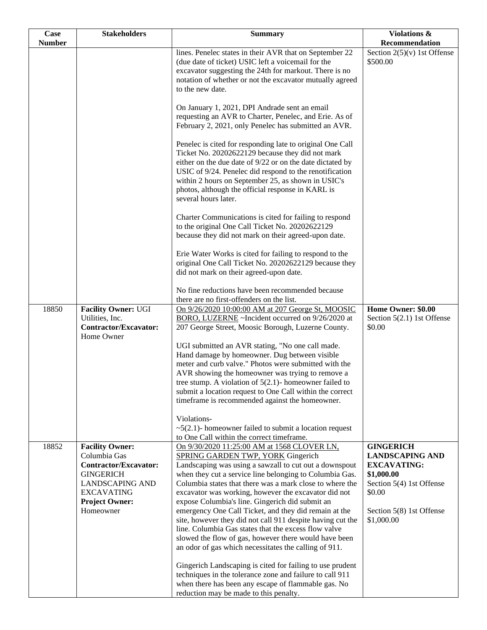| <b>Case</b>   | <b>Stakeholders</b>                                                                                                                                                             | <b>Summary</b>                                                                                                                                                                                                                                                                                                                                                                                                                                                                                                                                                                                                                                                                       | Violations &                                                                                                                                                   |
|---------------|---------------------------------------------------------------------------------------------------------------------------------------------------------------------------------|--------------------------------------------------------------------------------------------------------------------------------------------------------------------------------------------------------------------------------------------------------------------------------------------------------------------------------------------------------------------------------------------------------------------------------------------------------------------------------------------------------------------------------------------------------------------------------------------------------------------------------------------------------------------------------------|----------------------------------------------------------------------------------------------------------------------------------------------------------------|
| <b>Number</b> |                                                                                                                                                                                 |                                                                                                                                                                                                                                                                                                                                                                                                                                                                                                                                                                                                                                                                                      | Recommendation                                                                                                                                                 |
|               |                                                                                                                                                                                 | lines. Penelec states in their AVR that on September 22<br>(due date of ticket) USIC left a voicemail for the<br>excavator suggesting the 24th for markout. There is no<br>notation of whether or not the excavator mutually agreed<br>to the new date.                                                                                                                                                                                                                                                                                                                                                                                                                              | Section $2(5)(v)$ 1st Offense<br>\$500.00                                                                                                                      |
|               |                                                                                                                                                                                 | On January 1, 2021, DPI Andrade sent an email<br>requesting an AVR to Charter, Penelec, and Erie. As of<br>February 2, 2021, only Penelec has submitted an AVR.                                                                                                                                                                                                                                                                                                                                                                                                                                                                                                                      |                                                                                                                                                                |
|               |                                                                                                                                                                                 | Penelec is cited for responding late to original One Call<br>Ticket No. 20202622129 because they did not mark<br>either on the due date of 9/22 or on the date dictated by<br>USIC of 9/24. Penelec did respond to the renotification<br>within 2 hours on September 25, as shown in USIC's<br>photos, although the official response in KARL is<br>several hours later.                                                                                                                                                                                                                                                                                                             |                                                                                                                                                                |
|               |                                                                                                                                                                                 | Charter Communications is cited for failing to respond<br>to the original One Call Ticket No. 20202622129<br>because they did not mark on their agreed-upon date.                                                                                                                                                                                                                                                                                                                                                                                                                                                                                                                    |                                                                                                                                                                |
|               |                                                                                                                                                                                 | Erie Water Works is cited for failing to respond to the<br>original One Call Ticket No. 20202622129 because they<br>did not mark on their agreed-upon date.                                                                                                                                                                                                                                                                                                                                                                                                                                                                                                                          |                                                                                                                                                                |
|               |                                                                                                                                                                                 | No fine reductions have been recommended because<br>there are no first-offenders on the list.                                                                                                                                                                                                                                                                                                                                                                                                                                                                                                                                                                                        |                                                                                                                                                                |
| 18850         | <b>Facility Owner: UGI</b><br>Utilities, Inc.<br><b>Contractor/Excavator:</b><br>Home Owner                                                                                     | On 9/26/2020 10:00:00 AM at 207 George St, MOOSIC<br>BORO, LUZERNE ~Incident occurred on 9/26/2020 at<br>207 George Street, Moosic Borough, Luzerne County.                                                                                                                                                                                                                                                                                                                                                                                                                                                                                                                          | Home Owner: \$0.00<br>Section 5(2.1) 1st Offense<br>\$0.00                                                                                                     |
|               |                                                                                                                                                                                 | UGI submitted an AVR stating, "No one call made.<br>Hand damage by homeowner. Dug between visible<br>meter and curb valve." Photos were submitted with the<br>AVR showing the homeowner was trying to remove a<br>tree stump. A violation of $5(2.1)$ - homeowner failed to<br>submit a location request to One Call within the correct<br>timeframe is recommended against the homeowner.                                                                                                                                                                                                                                                                                           |                                                                                                                                                                |
|               |                                                                                                                                                                                 | Violations-<br>$\sim$ 5(2.1)- homeowner failed to submit a location request<br>to One Call within the correct timeframe.                                                                                                                                                                                                                                                                                                                                                                                                                                                                                                                                                             |                                                                                                                                                                |
| 18852         | <b>Facility Owner:</b><br>Columbia Gas<br><b>Contractor/Excavator:</b><br><b>GINGERICH</b><br><b>LANDSCAPING AND</b><br><b>EXCAVATING</b><br><b>Project Owner:</b><br>Homeowner | On 9/30/2020 11:25:00 AM at 1568 CLOVER LN,<br><b>SPRING GARDEN TWP, YORK Gingerich</b><br>Landscaping was using a sawzall to cut out a downspout<br>when they cut a service line belonging to Columbia Gas.<br>Columbia states that there was a mark close to where the<br>excavator was working, however the excavator did not<br>expose Columbia's line. Gingerich did submit an<br>emergency One Call Ticket, and they did remain at the<br>site, however they did not call 911 despite having cut the<br>line. Columbia Gas states that the excess flow valve<br>slowed the flow of gas, however there would have been<br>an odor of gas which necessitates the calling of 911. | <b>GINGERICH</b><br><b>LANDSCAPING AND</b><br><b>EXCAVATING:</b><br>\$1,000.00<br>Section 5(4) 1st Offense<br>\$0.00<br>Section 5(8) 1st Offense<br>\$1,000.00 |
|               |                                                                                                                                                                                 | Gingerich Landscaping is cited for failing to use prudent<br>techniques in the tolerance zone and failure to call 911<br>when there has been any escape of flammable gas. No<br>reduction may be made to this penalty.                                                                                                                                                                                                                                                                                                                                                                                                                                                               |                                                                                                                                                                |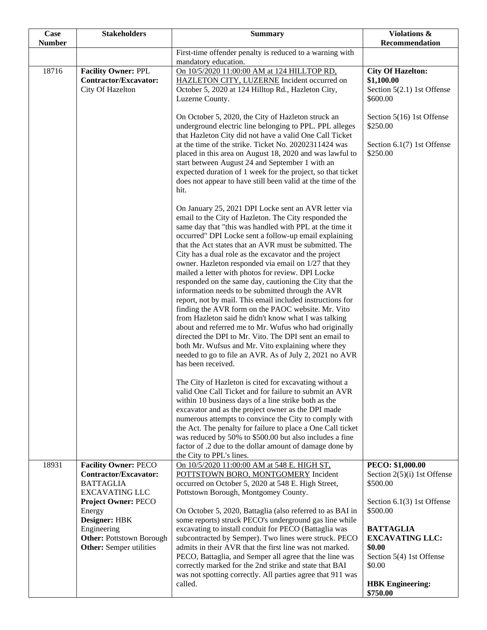| Case<br><b>Number</b> | <b>Stakeholders</b>                                                                                                                       | <b>Summary</b>                                                                                                                                                                                                                                                                                                                                                                                                                                                                                                                                                                                                                                                                                                                                                                                                                                                                                                                                                                                                         | Violations &<br>Recommendation                                                                                                                                              |
|-----------------------|-------------------------------------------------------------------------------------------------------------------------------------------|------------------------------------------------------------------------------------------------------------------------------------------------------------------------------------------------------------------------------------------------------------------------------------------------------------------------------------------------------------------------------------------------------------------------------------------------------------------------------------------------------------------------------------------------------------------------------------------------------------------------------------------------------------------------------------------------------------------------------------------------------------------------------------------------------------------------------------------------------------------------------------------------------------------------------------------------------------------------------------------------------------------------|-----------------------------------------------------------------------------------------------------------------------------------------------------------------------------|
|                       |                                                                                                                                           | First-time offender penalty is reduced to a warning with<br>mandatory education.                                                                                                                                                                                                                                                                                                                                                                                                                                                                                                                                                                                                                                                                                                                                                                                                                                                                                                                                       |                                                                                                                                                                             |
| 18716                 | <b>Facility Owner: PPL</b><br><b>Contractor/Excavator:</b><br>City Of Hazelton                                                            | On 10/5/2020 11:00:00 AM at 124 HILLTOP RD,<br>HAZLETON CITY, LUZERNE Incident occurred on<br>October 5, 2020 at 124 Hilltop Rd., Hazleton City,<br>Luzerne County.                                                                                                                                                                                                                                                                                                                                                                                                                                                                                                                                                                                                                                                                                                                                                                                                                                                    | <b>City Of Hazelton:</b><br>\$1,100.00<br>Section $5(2.1)$ 1st Offense<br>\$600.00                                                                                          |
|                       |                                                                                                                                           | On October 5, 2020, the City of Hazleton struck an<br>underground electric line belonging to PPL. PPL alleges<br>\$250.00<br>that Hazleton City did not have a valid One Call Ticket<br>at the time of the strike. Ticket No. 20202311424 was<br>\$250.00<br>placed in this area on August 18, 2020 and was lawful to<br>start between August 24 and September 1 with an<br>expected duration of 1 week for the project, so that ticket<br>does not appear to have still been valid at the time of the<br>hit.                                                                                                                                                                                                                                                                                                                                                                                                                                                                                                         | Section 5(16) 1st Offense<br>Section 6.1(7) 1st Offense                                                                                                                     |
|                       |                                                                                                                                           | On January 25, 2021 DPI Locke sent an AVR letter via<br>email to the City of Hazleton. The City responded the<br>same day that "this was handled with PPL at the time it<br>occurred" DPI Locke sent a follow-up email explaining<br>that the Act states that an AVR must be submitted. The<br>City has a dual role as the excavator and the project<br>owner. Hazleton responded via email on 1/27 that they<br>mailed a letter with photos for review. DPI Locke<br>responded on the same day, cautioning the City that the<br>information needs to be submitted through the AVR<br>report, not by mail. This email included instructions for<br>finding the AVR form on the PAOC website. Mr. Vito<br>from Hazleton said he didn't know what I was talking<br>about and referred me to Mr. Wufus who had originally<br>directed the DPI to Mr. Vito. The DPI sent an email to<br>both Mr. Wufsus and Mr. Vito explaining where they<br>needed to go to file an AVR. As of July 2, 2021 no AVR<br>has been received. |                                                                                                                                                                             |
|                       |                                                                                                                                           | The City of Hazleton is cited for excavating without a<br>valid One Call Ticket and for failure to submit an AVR<br>within 10 business days of a line strike both as the<br>excavator and as the project owner as the DPI made<br>numerous attempts to convince the City to comply with<br>the Act. The penalty for failure to place a One Call ticket<br>was reduced by 50% to \$500.00 but also includes a fine<br>factor of .2 due to the dollar amount of damage done by<br>the City to PPL's lines.                                                                                                                                                                                                                                                                                                                                                                                                                                                                                                               |                                                                                                                                                                             |
| 18931                 | <b>Facility Owner: PECO</b><br><b>Contractor/Excavator:</b><br><b>BATTAGLIA</b><br><b>EXCAVATING LLC</b>                                  | On 10/5/2020 11:00:00 AM at 548 E. HIGH ST,<br>POTTSTOWN BORO, MONTGOMERY Incident<br>occurred on October 5, 2020 at 548 E. High Street,<br>Pottstown Borough, Montgomey County.                                                                                                                                                                                                                                                                                                                                                                                                                                                                                                                                                                                                                                                                                                                                                                                                                                       | PECO: \$1,000.00<br>Section $2(5)(i)$ 1st Offense<br>\$500.00                                                                                                               |
|                       | <b>Project Owner: PECO</b><br>Energy<br>Designer: HBK<br>Engineering<br><b>Other: Pottstown Borough</b><br><b>Other:</b> Semper utilities | On October 5, 2020, Battaglia (also referred to as BAI in<br>some reports) struck PECO's underground gas line while<br>excavating to install conduit for PECO (Battaglia was<br>subcontracted by Semper). Two lines were struck. PECO<br>admits in their AVR that the first line was not marked.<br>PECO, Battaglia, and Semper all agree that the line was<br>correctly marked for the 2nd strike and state that BAI<br>was not spotting correctly. All parties agree that 911 was<br>called.                                                                                                                                                                                                                                                                                                                                                                                                                                                                                                                         | Section 6.1(3) 1st Offense<br>\$500.00<br><b>BATTAGLIA</b><br><b>EXCAVATING LLC:</b><br>\$0.00<br>Section 5(4) 1st Offense<br>\$0.00<br><b>HBK</b> Engineering:<br>\$750.00 |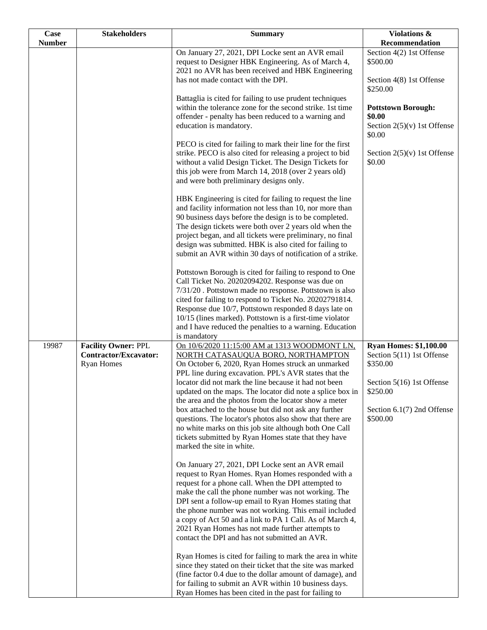| <b>Case</b>   | <b>Stakeholders</b>          | <b>Summary</b>                                                                                                 | Violations &                            |
|---------------|------------------------------|----------------------------------------------------------------------------------------------------------------|-----------------------------------------|
| <b>Number</b> |                              |                                                                                                                | Recommendation                          |
|               |                              | On January 27, 2021, DPI Locke sent an AVR email                                                               | Section 4(2) 1st Offense                |
|               |                              | request to Designer HBK Engineering. As of March 4,<br>2021 no AVR has been received and HBK Engineering       | \$500.00                                |
|               |                              | has not made contact with the DPI.                                                                             | Section 4(8) 1st Offense                |
|               |                              |                                                                                                                | \$250.00                                |
|               |                              | Battaglia is cited for failing to use prudent techniques                                                       |                                         |
|               |                              | within the tolerance zone for the second strike. 1st time                                                      | <b>Pottstown Borough:</b>               |
|               |                              | offender - penalty has been reduced to a warning and                                                           | \$0.00                                  |
|               |                              | education is mandatory.                                                                                        | Section $2(5)(v)$ 1st Offense<br>\$0.00 |
|               |                              | PECO is cited for failing to mark their line for the first                                                     |                                         |
|               |                              | strike. PECO is also cited for releasing a project to bid                                                      | Section $2(5)(v)$ 1st Offense           |
|               |                              | without a valid Design Ticket. The Design Tickets for                                                          | \$0.00                                  |
|               |                              | this job were from March 14, 2018 (over 2 years old)                                                           |                                         |
|               |                              | and were both preliminary designs only.                                                                        |                                         |
|               |                              | HBK Engineering is cited for failing to request the line                                                       |                                         |
|               |                              | and facility information not less than 10, nor more than                                                       |                                         |
|               |                              | 90 business days before the design is to be completed.                                                         |                                         |
|               |                              | The design tickets were both over 2 years old when the                                                         |                                         |
|               |                              | project began, and all tickets were preliminary, no final                                                      |                                         |
|               |                              | design was submitted. HBK is also cited for failing to                                                         |                                         |
|               |                              | submit an AVR within 30 days of notification of a strike.                                                      |                                         |
|               |                              | Pottstown Borough is cited for failing to respond to One                                                       |                                         |
|               |                              | Call Ticket No. 20202094202. Response was due on                                                               |                                         |
|               |                              | 7/31/20. Pottstown made no response. Pottstown is also                                                         |                                         |
|               |                              | cited for failing to respond to Ticket No. 20202791814.                                                        |                                         |
|               |                              | Response due 10/7, Pottstown responded 8 days late on                                                          |                                         |
|               |                              | 10/15 (lines marked). Pottstown is a first-time violator                                                       |                                         |
|               |                              | and I have reduced the penalties to a warning. Education<br>is mandatory                                       |                                         |
| 19987         | <b>Facility Owner: PPL</b>   | On 10/6/2020 11:15:00 AM at 1313 WOODMONT LN,                                                                  | <b>Ryan Homes: \$1,100.00</b>           |
|               | <b>Contractor/Excavator:</b> | NORTH CATASAUQUA BORO, NORTHAMPTON                                                                             | Section 5(11) 1st Offense               |
|               | <b>Ryan Homes</b>            | On October 6, 2020, Ryan Homes struck an unmarked                                                              | \$350.00                                |
|               |                              | PPL line during excavation. PPL's AVR states that the                                                          |                                         |
|               |                              | locator did not mark the line because it had not been                                                          | Section 5(16) 1st Offense               |
|               |                              | updated on the maps. The locator did note a splice box in                                                      | \$250.00                                |
|               |                              | the area and the photos from the locator show a meter<br>box attached to the house but did not ask any further | Section $6.1(7)$ 2nd Offense            |
|               |                              | questions. The locator's photos also show that there are                                                       | \$500.00                                |
|               |                              | no white marks on this job site although both One Call                                                         |                                         |
|               |                              | tickets submitted by Ryan Homes state that they have                                                           |                                         |
|               |                              | marked the site in white.                                                                                      |                                         |
|               |                              | On January 27, 2021, DPI Locke sent an AVR email                                                               |                                         |
|               |                              | request to Ryan Homes. Ryan Homes responded with a                                                             |                                         |
|               |                              | request for a phone call. When the DPI attempted to                                                            |                                         |
|               |                              | make the call the phone number was not working. The                                                            |                                         |
|               |                              | DPI sent a follow-up email to Ryan Homes stating that                                                          |                                         |
|               |                              | the phone number was not working. This email included                                                          |                                         |
|               |                              | a copy of Act 50 and a link to PA 1 Call. As of March 4,                                                       |                                         |
|               |                              | 2021 Ryan Homes has not made further attempts to<br>contact the DPI and has not submitted an AVR.              |                                         |
|               |                              |                                                                                                                |                                         |
|               |                              | Ryan Homes is cited for failing to mark the area in white                                                      |                                         |
|               |                              | since they stated on their ticket that the site was marked                                                     |                                         |
|               |                              | (fine factor 0.4 due to the dollar amount of damage), and                                                      |                                         |
|               |                              | for failing to submit an AVR within 10 business days.                                                          |                                         |
|               |                              | Ryan Homes has been cited in the past for failing to                                                           |                                         |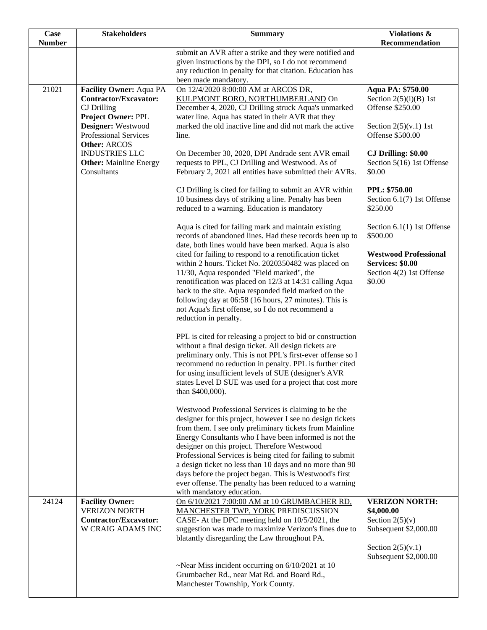| Case          | <b>Stakeholders</b>                            | <b>Summary</b>                                                                                                         | Violations &                       |
|---------------|------------------------------------------------|------------------------------------------------------------------------------------------------------------------------|------------------------------------|
| <b>Number</b> |                                                |                                                                                                                        | <b>Recommendation</b>              |
|               |                                                | submit an AVR after a strike and they were notified and<br>given instructions by the DPI, so I do not recommend        |                                    |
|               |                                                | any reduction in penalty for that citation. Education has                                                              |                                    |
|               |                                                | been made mandatory.                                                                                                   |                                    |
| 21021         | Facility Owner: Aqua PA                        | On 12/4/2020 8:00:00 AM at ARCOS DR,                                                                                   | Aqua PA: \$750.00                  |
|               | Contractor/Excavator:                          | KULPMONT BORO, NORTHUMBERLAND On                                                                                       | Section $2(5)(i)(B)$ 1st           |
|               | CJ Drilling<br>Project Owner: PPL              | December 4, 2020, CJ Drilling struck Aqua's unmarked<br>water line. Aqua has stated in their AVR that they             | Offense \$250.00                   |
|               | Designer: Westwood                             | marked the old inactive line and did not mark the active                                                               | Section $2(5)(v.1)$ 1st            |
|               | Professional Services                          | line.                                                                                                                  | Offense \$500.00                   |
|               | Other: ARCOS<br><b>INDUSTRIES LLC</b>          | On December 30, 2020, DPI Andrade sent AVR email                                                                       | <b>CJ Drilling: \$0.00</b>         |
|               | <b>Other:</b> Mainline Energy                  | requests to PPL, CJ Drilling and Westwood. As of                                                                       | Section 5(16) 1st Offense          |
|               | Consultants                                    | February 2, 2021 all entities have submitted their AVRs.                                                               | \$0.00                             |
|               |                                                | CJ Drilling is cited for failing to submit an AVR within                                                               | <b>PPL: \$750.00</b>               |
|               |                                                | 10 business days of striking a line. Penalty has been                                                                  | Section 6.1(7) 1st Offense         |
|               |                                                | reduced to a warning. Education is mandatory                                                                           | \$250.00                           |
|               |                                                | Aqua is cited for failing mark and maintain existing                                                                   | Section 6.1(1) 1st Offense         |
|               |                                                | records of abandoned lines. Had these records been up to<br>date, both lines would have been marked. Aqua is also      | \$500.00                           |
|               |                                                | cited for failing to respond to a renotification ticket                                                                | <b>Westwood Professional</b>       |
|               |                                                | within 2 hours. Ticket No. 2020350482 was placed on                                                                    | <b>Services: \$0.00</b>            |
|               |                                                | 11/30, Aqua responded "Field marked", the<br>renotification was placed on 12/3 at 14:31 calling Aqua                   | Section 4(2) 1st Offense<br>\$0.00 |
|               |                                                | back to the site. Aqua responded field marked on the                                                                   |                                    |
|               |                                                | following day at 06:58 (16 hours, 27 minutes). This is                                                                 |                                    |
|               |                                                | not Aqua's first offense, so I do not recommend a                                                                      |                                    |
|               |                                                | reduction in penalty.                                                                                                  |                                    |
|               |                                                | PPL is cited for releasing a project to bid or construction                                                            |                                    |
|               |                                                | without a final design ticket. All design tickets are                                                                  |                                    |
|               |                                                | preliminary only. This is not PPL's first-ever offense so I<br>recommend no reduction in penalty. PPL is further cited |                                    |
|               |                                                | for using insufficient levels of SUE (designer's AVR                                                                   |                                    |
|               |                                                | states Level D SUE was used for a project that cost more                                                               |                                    |
|               |                                                | than \$400,000).                                                                                                       |                                    |
|               |                                                | Westwood Professional Services is claiming to be the                                                                   |                                    |
|               |                                                | designer for this project, however I see no design tickets                                                             |                                    |
|               |                                                | from them. I see only preliminary tickets from Mainline<br>Energy Consultants who I have been informed is not the      |                                    |
|               |                                                | designer on this project. Therefore Westwood                                                                           |                                    |
|               |                                                | Professional Services is being cited for failing to submit                                                             |                                    |
|               |                                                | a design ticket no less than 10 days and no more than 90                                                               |                                    |
|               |                                                | days before the project began. This is Westwood's first<br>ever offense. The penalty has been reduced to a warning     |                                    |
|               |                                                | with mandatory education.                                                                                              |                                    |
| 24124         | <b>Facility Owner:</b><br><b>VERIZON NORTH</b> | On 6/10/2021 7:00:00 AM at 10 GRUMBACHER RD,                                                                           | <b>VERIZON NORTH:</b>              |
|               | <b>Contractor/Excavator:</b>                   | <b>MANCHESTER TWP, YORK PREDISCUSSION</b><br>CASE- At the DPC meeting held on 10/5/2021, the                           | \$4,000.00<br>Section $2(5)(v)$    |
|               | <b>W CRAIG ADAMS INC</b>                       | suggestion was made to maximize Verizon's fines due to                                                                 | Subsequent \$2,000.00              |
|               |                                                | blatantly disregarding the Law throughout PA.                                                                          | Section $2(5)(v.1)$                |
|               |                                                |                                                                                                                        | Subsequent \$2,000.00              |
|               |                                                | ~Near Miss incident occurring on $6/10/2021$ at 10                                                                     |                                    |
|               |                                                | Grumbacher Rd., near Mat Rd. and Board Rd.,<br>Manchester Township, York County.                                       |                                    |
|               |                                                |                                                                                                                        |                                    |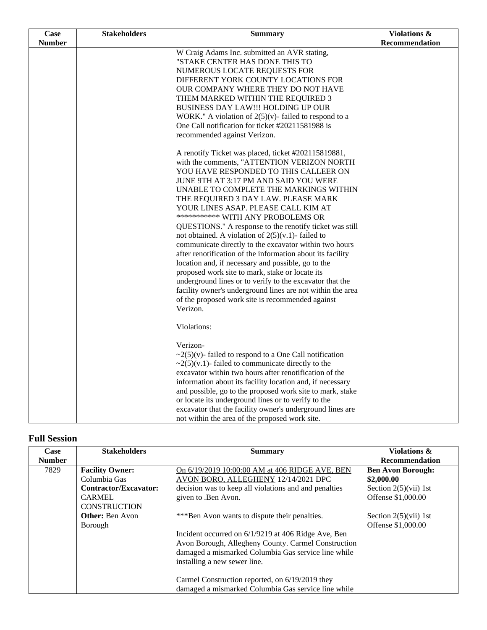| <b>Case</b>   | <b>Stakeholders</b> | <b>Summary</b>                                                                                                                                                                                                                                                                                                                                                                                                                                                                                                                                                                                                                                                                                                                                                                                                                                                                                                                                                                                                                                                                                                                                                                                                                                                                                                 | <b>Violations &amp;</b> |
|---------------|---------------------|----------------------------------------------------------------------------------------------------------------------------------------------------------------------------------------------------------------------------------------------------------------------------------------------------------------------------------------------------------------------------------------------------------------------------------------------------------------------------------------------------------------------------------------------------------------------------------------------------------------------------------------------------------------------------------------------------------------------------------------------------------------------------------------------------------------------------------------------------------------------------------------------------------------------------------------------------------------------------------------------------------------------------------------------------------------------------------------------------------------------------------------------------------------------------------------------------------------------------------------------------------------------------------------------------------------|-------------------------|
| <b>Number</b> |                     |                                                                                                                                                                                                                                                                                                                                                                                                                                                                                                                                                                                                                                                                                                                                                                                                                                                                                                                                                                                                                                                                                                                                                                                                                                                                                                                | Recommendation          |
|               |                     | W Craig Adams Inc. submitted an AVR stating,<br>"STAKE CENTER HAS DONE THIS TO<br>NUMEROUS LOCATE REQUESTS FOR<br>DIFFERENT YORK COUNTY LOCATIONS FOR<br>OUR COMPANY WHERE THEY DO NOT HAVE<br>THEM MARKED WITHIN THE REQUIRED 3<br>BUSINESS DAY LAW !!! HOLDING UP OUR<br>WORK." A violation of $2(5)(v)$ - failed to respond to a<br>One Call notification for ticket #20211581988 is<br>recommended against Verizon.<br>A renotify Ticket was placed, ticket #202115819881,<br>with the comments, "ATTENTION VERIZON NORTH<br>YOU HAVE RESPONDED TO THIS CALLEER ON<br>JUNE 9TH AT 3:17 PM AND SAID YOU WERE<br>UNABLE TO COMPLETE THE MARKINGS WITHIN<br>THE REQUIRED 3 DAY LAW. PLEASE MARK<br>YOUR LINES ASAP. PLEASE CALL KIM AT<br>*********** WITH ANY PROBOLEMS OR<br>QUESTIONS." A response to the renotify ticket was still<br>not obtained. A violation of $2(5)(v.1)$ - failed to<br>communicate directly to the excavator within two hours<br>after renotification of the information about its facility<br>location and, if necessary and possible, go to the<br>proposed work site to mark, stake or locate its<br>underground lines or to verify to the excavator that the<br>facility owner's underground lines are not within the area<br>of the proposed work site is recommended against |                         |
|               |                     | Verizon.<br>Violations:<br>Verizon-<br>$\sim$ 2(5)(v)-failed to respond to a One Call notification<br>$\sim$ 2(5)(v.1)-failed to communicate directly to the<br>excavator within two hours after renotification of the<br>information about its facility location and, if necessary<br>and possible, go to the proposed work site to mark, stake<br>or locate its underground lines or to verify to the<br>excavator that the facility owner's underground lines are<br>not within the area of the proposed work site.                                                                                                                                                                                                                                                                                                                                                                                                                                                                                                                                                                                                                                                                                                                                                                                         |                         |

## **Full Session**

| Case          | <b>Stakeholders</b>          | <b>Summary</b>                                        | <b>Violations &amp;</b>                                    |
|---------------|------------------------------|-------------------------------------------------------|------------------------------------------------------------|
| <b>Number</b> |                              |                                                       | Recommendation                                             |
| 7829          | <b>Facility Owner:</b>       | On 6/19/2019 10:00:00 AM at 406 RIDGE AVE, BEN        | <b>Ben Avon Borough:</b>                                   |
|               | Columbia Gas                 | AVON BORO, ALLEGHENY 12/14/2021 DPC                   | \$2,000.00                                                 |
|               | <b>Contractor/Excavator:</b> | decision was to keep all violations and and penalties | Section $2(5)(\n \n \tilde{\text{v}}\tilde{\text{u}})$ 1st |
|               | <b>CARMEL</b>                | given to .Ben Avon.                                   | Offense \$1,000.00                                         |
|               | <b>CONSTRUCTION</b>          |                                                       |                                                            |
|               | <b>Other:</b> Ben Avon       | *** Ben Avon wants to dispute their penalties.        | Section $2(5)(\n \n \tilde{\text{v}}\tilde{\text{u}})$ 1st |
|               | Borough                      |                                                       | Offense \$1,000.00                                         |
|               |                              | Incident occurred on 6/1/9219 at 406 Ridge Ave, Ben   |                                                            |
|               |                              | Avon Borough, Allegheny County. Carmel Construction   |                                                            |
|               |                              | damaged a mismarked Columbia Gas service line while   |                                                            |
|               |                              | installing a new sewer line.                          |                                                            |
|               |                              |                                                       |                                                            |
|               |                              | Carmel Construction reported, on 6/19/2019 they       |                                                            |
|               |                              | damaged a mismarked Columbia Gas service line while   |                                                            |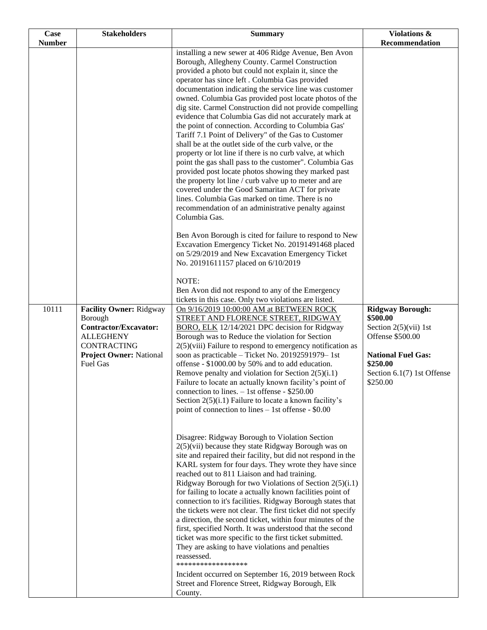| Case                   | <b>Stakeholders</b>                                                                                                                                 | <b>Summary</b>                                                                                                                                                                                                                                                                                                                                                                                                                                                                                                                                                                                                                                                                                                                                                                                                                                                                                                                                                                                                                                                                                                                                                                                                                                                                                                                                                                                                                                                                                                                                                                                                                                                                                                                                                                                                                                                                                                                                                                                                                                                                                                                                                                                                                                                                                                                                                                                                                                                                                                                                                                                                                                                                                                                                                                                                                                                                                                                                                                               | <b>Violations &amp;</b>                                                                                                                                                                 |
|------------------------|-----------------------------------------------------------------------------------------------------------------------------------------------------|----------------------------------------------------------------------------------------------------------------------------------------------------------------------------------------------------------------------------------------------------------------------------------------------------------------------------------------------------------------------------------------------------------------------------------------------------------------------------------------------------------------------------------------------------------------------------------------------------------------------------------------------------------------------------------------------------------------------------------------------------------------------------------------------------------------------------------------------------------------------------------------------------------------------------------------------------------------------------------------------------------------------------------------------------------------------------------------------------------------------------------------------------------------------------------------------------------------------------------------------------------------------------------------------------------------------------------------------------------------------------------------------------------------------------------------------------------------------------------------------------------------------------------------------------------------------------------------------------------------------------------------------------------------------------------------------------------------------------------------------------------------------------------------------------------------------------------------------------------------------------------------------------------------------------------------------------------------------------------------------------------------------------------------------------------------------------------------------------------------------------------------------------------------------------------------------------------------------------------------------------------------------------------------------------------------------------------------------------------------------------------------------------------------------------------------------------------------------------------------------------------------------------------------------------------------------------------------------------------------------------------------------------------------------------------------------------------------------------------------------------------------------------------------------------------------------------------------------------------------------------------------------------------------------------------------------------------------------------------------------|-----------------------------------------------------------------------------------------------------------------------------------------------------------------------------------------|
| <b>Number</b><br>10111 | Facility Owner: Ridgway<br>Borough<br>Contractor/Excavator:<br><b>ALLEGHENY</b><br>CONTRACTING<br><b>Project Owner: National</b><br><b>Fuel Gas</b> | installing a new sewer at 406 Ridge Avenue, Ben Avon<br>Borough, Allegheny County. Carmel Construction<br>provided a photo but could not explain it, since the<br>operator has since left . Columbia Gas provided<br>documentation indicating the service line was customer<br>owned. Columbia Gas provided post locate photos of the<br>dig site. Carmel Construction did not provide compelling<br>evidence that Columbia Gas did not accurately mark at<br>the point of connection. According to Columbia Gas'<br>Tariff 7.1 Point of Delivery" of the Gas to Customer<br>shall be at the outlet side of the curb valve, or the<br>property or lot line if there is no curb valve, at which<br>point the gas shall pass to the customer". Columbia Gas<br>provided post locate photos showing they marked past<br>the property lot line / curb valve up to meter and are<br>covered under the Good Samaritan ACT for private<br>lines. Columbia Gas marked on time. There is no<br>recommendation of an administrative penalty against<br>Columbia Gas.<br>Ben Avon Borough is cited for failure to respond to New<br>Excavation Emergency Ticket No. 20191491468 placed<br>on 5/29/2019 and New Excavation Emergency Ticket<br>No. 20191611157 placed on 6/10/2019<br>NOTE:<br>Ben Avon did not respond to any of the Emergency<br>tickets in this case. Only two violations are listed.<br>On 9/16/2019 10:00:00 AM at BETWEEN ROCK<br>STREET AND FLORENCE STREET, RIDGWAY<br>BORO, ELK 12/14/2021 DPC decision for Ridgway<br>Borough was to Reduce the violation for Section<br>$2(5)$ (viii) Failure to respond to emergency notification as<br>soon as practicable – Ticket No. 20192591979–1st<br>offense - \$1000.00 by 50% and to add education.<br>Remove penalty and violation for Section $2(5)(i.1)$<br>Failure to locate an actually known facility's point of<br>connection to lines. $-1st$ offense - \$250.00<br>Section $2(5)(i.1)$ Failure to locate a known facility's<br>point of connection to lines $-1st$ offense - \$0.00<br>Disagree: Ridgway Borough to Violation Section<br>$2(5)$ (vii) because they state Ridgway Borough was on<br>site and repaired their facility, but did not respond in the<br>KARL system for four days. They wrote they have since<br>reached out to 811 Liaison and had training.<br>Ridgway Borough for two Violations of Section 2(5)(i.1)<br>for failing to locate a actually known facilities point of<br>connection to it's facilities. Ridgway Borough states that<br>the tickets were not clear. The first ticket did not specify<br>a direction, the second ticket, within four minutes of the<br>first, specified North. It was understood that the second<br>ticket was more specific to the first ticket submitted.<br>They are asking to have violations and penalties<br>reassessed.<br>******************<br>Incident occurred on September 16, 2019 between Rock<br>Street and Florence Street, Ridgway Borough, Elk | Recommendation<br><b>Ridgway Borough:</b><br>\$500.00<br>Section $2(5)(vii)$ 1st<br>Offense \$500.00<br><b>National Fuel Gas:</b><br>\$250.00<br>Section 6.1(7) 1st Offense<br>\$250.00 |
|                        |                                                                                                                                                     | County.                                                                                                                                                                                                                                                                                                                                                                                                                                                                                                                                                                                                                                                                                                                                                                                                                                                                                                                                                                                                                                                                                                                                                                                                                                                                                                                                                                                                                                                                                                                                                                                                                                                                                                                                                                                                                                                                                                                                                                                                                                                                                                                                                                                                                                                                                                                                                                                                                                                                                                                                                                                                                                                                                                                                                                                                                                                                                                                                                                                      |                                                                                                                                                                                         |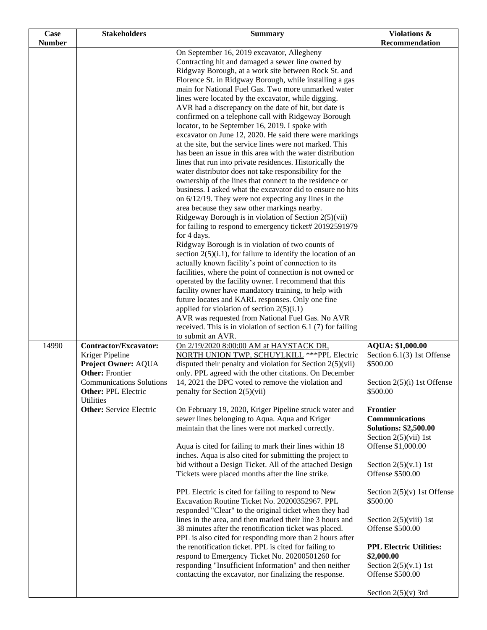| Case                   | <b>Stakeholders</b>                                                                                                                                                                                       | <b>Summary</b>                                                                                                                                                                                                                                                                                                                                                                                                                                                                                                                                                                                                                                                                                                                                                                                                                                                                                                                                                                                                                                                                                                                                                                                                                                                                                                                                                                                                                                                                                                                                                                                                                                                                                                                                                                                                                                                                                                                                                                                                                                                                                                                                                                                                                                                                          | Violations &                                                                                                                                                                          |
|------------------------|-----------------------------------------------------------------------------------------------------------------------------------------------------------------------------------------------------------|-----------------------------------------------------------------------------------------------------------------------------------------------------------------------------------------------------------------------------------------------------------------------------------------------------------------------------------------------------------------------------------------------------------------------------------------------------------------------------------------------------------------------------------------------------------------------------------------------------------------------------------------------------------------------------------------------------------------------------------------------------------------------------------------------------------------------------------------------------------------------------------------------------------------------------------------------------------------------------------------------------------------------------------------------------------------------------------------------------------------------------------------------------------------------------------------------------------------------------------------------------------------------------------------------------------------------------------------------------------------------------------------------------------------------------------------------------------------------------------------------------------------------------------------------------------------------------------------------------------------------------------------------------------------------------------------------------------------------------------------------------------------------------------------------------------------------------------------------------------------------------------------------------------------------------------------------------------------------------------------------------------------------------------------------------------------------------------------------------------------------------------------------------------------------------------------------------------------------------------------------------------------------------------------|---------------------------------------------------------------------------------------------------------------------------------------------------------------------------------------|
|                        |                                                                                                                                                                                                           |                                                                                                                                                                                                                                                                                                                                                                                                                                                                                                                                                                                                                                                                                                                                                                                                                                                                                                                                                                                                                                                                                                                                                                                                                                                                                                                                                                                                                                                                                                                                                                                                                                                                                                                                                                                                                                                                                                                                                                                                                                                                                                                                                                                                                                                                                         |                                                                                                                                                                                       |
| <b>Number</b><br>14990 | Contractor/Excavator:<br>Kriger Pipeline<br>Project Owner: AQUA<br><b>Other: Frontier</b><br><b>Communications Solutions</b><br><b>Other: PPL Electric</b><br>Utilities<br><b>Other:</b> Service Electric | On September 16, 2019 excavator, Allegheny<br>Contracting hit and damaged a sewer line owned by<br>Ridgway Borough, at a work site between Rock St. and<br>Florence St. in Ridgway Borough, while installing a gas<br>main for National Fuel Gas. Two more unmarked water<br>lines were located by the excavator, while digging.<br>AVR had a discrepancy on the date of hit, but date is<br>confirmed on a telephone call with Ridgeway Borough<br>locator, to be September 16, 2019. I spoke with<br>excavator on June 12, 2020. He said there were markings<br>at the site, but the service lines were not marked. This<br>has been an issue in this area with the water distribution<br>lines that run into private residences. Historically the<br>water distributor does not take responsibility for the<br>ownership of the lines that connect to the residence or<br>business. I asked what the excavator did to ensure no hits<br>on $6/12/19$ . They were not expecting any lines in the<br>area because they saw other markings nearby.<br>Ridgeway Borough is in violation of Section 2(5)(vii)<br>for failing to respond to emergency ticket# 20192591979<br>for 4 days.<br>Ridgway Borough is in violation of two counts of<br>section $2(5)(i.1)$ , for failure to identify the location of an<br>actually known facility's point of connection to its<br>facilities, where the point of connection is not owned or<br>operated by the facility owner. I recommend that this<br>facility owner have mandatory training, to help with<br>future locates and KARL responses. Only one fine<br>applied for violation of section $2(5)(i.1)$<br>AVR was requested from National Fuel Gas. No AVR<br>received. This is in violation of section 6.1 (7) for failing<br>to submit an AVR.<br>On 2/19/2020 8:00:00 AM at HAYSTACK DR,<br>NORTH UNION TWP, SCHUYLKILL *** PPL Electric<br>disputed their penalty and violation for Section $2(5)(\n{\rm vii})$<br>only. PPL agreed with the other citations. On December<br>14, 2021 the DPC voted to remove the violation and<br>penalty for Section 2(5)(vii)<br>On February 19, 2020, Kriger Pipeline struck water and<br>sewer lines belonging to Aqua. Aqua and Kriger<br>maintain that the lines were not marked correctly. | Recommendation<br>AQUA: \$1,000.00<br>Section 6.1(3) 1st Offense<br>\$500.00<br>Section 2(5)(i) 1st Offense<br>\$500.00<br>Frontier<br>Communications<br><b>Solutions: \$2,500.00</b> |
|                        |                                                                                                                                                                                                           |                                                                                                                                                                                                                                                                                                                                                                                                                                                                                                                                                                                                                                                                                                                                                                                                                                                                                                                                                                                                                                                                                                                                                                                                                                                                                                                                                                                                                                                                                                                                                                                                                                                                                                                                                                                                                                                                                                                                                                                                                                                                                                                                                                                                                                                                                         | Section $2(5)(vii)$ 1st                                                                                                                                                               |
|                        |                                                                                                                                                                                                           | Aqua is cited for failing to mark their lines within 18<br>inches. Aqua is also cited for submitting the project to<br>bid without a Design Ticket. All of the attached Design<br>Tickets were placed months after the line strike.                                                                                                                                                                                                                                                                                                                                                                                                                                                                                                                                                                                                                                                                                                                                                                                                                                                                                                                                                                                                                                                                                                                                                                                                                                                                                                                                                                                                                                                                                                                                                                                                                                                                                                                                                                                                                                                                                                                                                                                                                                                     | Offense \$1,000.00<br>Section $2(5)(v.1)$ 1st<br>Offense \$500.00                                                                                                                     |
|                        |                                                                                                                                                                                                           | PPL Electric is cited for failing to respond to New<br>Excavation Routine Ticket No. 20200352967. PPL<br>responded "Clear" to the original ticket when they had<br>lines in the area, and then marked their line 3 hours and<br>38 minutes after the renotification ticket was placed.<br>PPL is also cited for responding more than 2 hours after<br>the renotification ticket. PPL is cited for failing to<br>respond to Emergency Ticket No. 20200501260 for                                                                                                                                                                                                                                                                                                                                                                                                                                                                                                                                                                                                                                                                                                                                                                                                                                                                                                                                                                                                                                                                                                                                                                                                                                                                                                                                                                                                                                                                                                                                                                                                                                                                                                                                                                                                                         | Section $2(5)(v)$ 1st Offense<br>\$500.00<br>Section $2(5)(viii)$ 1st<br>Offense \$500.00<br><b>PPL Electric Utilities:</b><br>\$2,000.00                                             |
|                        |                                                                                                                                                                                                           | responding "Insufficient Information" and then neither<br>contacting the excavator, nor finalizing the response.                                                                                                                                                                                                                                                                                                                                                                                                                                                                                                                                                                                                                                                                                                                                                                                                                                                                                                                                                                                                                                                                                                                                                                                                                                                                                                                                                                                                                                                                                                                                                                                                                                                                                                                                                                                                                                                                                                                                                                                                                                                                                                                                                                        | Section $2(5)(v.1)$ 1st<br>Offense \$500.00<br>Section $2(5)(v)$ 3rd                                                                                                                  |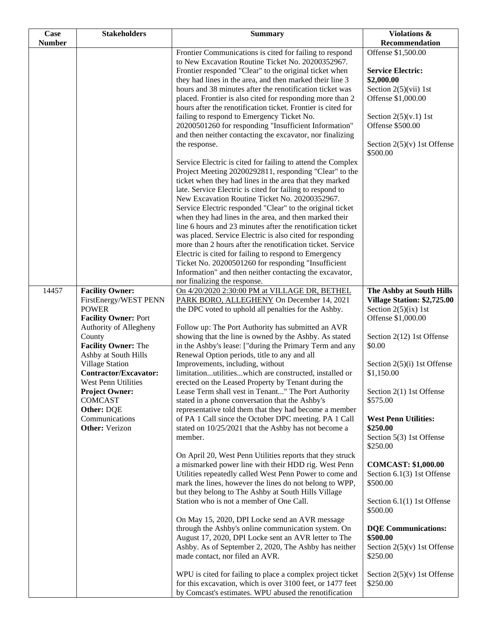| Case<br><b>Number</b> | <b>Stakeholders</b>                                 | <b>Summary</b>                                                                                                            | Violations &<br>Recommendation                        |
|-----------------------|-----------------------------------------------------|---------------------------------------------------------------------------------------------------------------------------|-------------------------------------------------------|
|                       |                                                     | Frontier Communications is cited for failing to respond                                                                   | Offense \$1,500.00                                    |
|                       |                                                     | to New Excavation Routine Ticket No. 20200352967.<br>Frontier responded "Clear" to the original ticket when               | <b>Service Electric:</b>                              |
|                       |                                                     | they had lines in the area, and then marked their line 3                                                                  | \$2,000.00                                            |
|                       |                                                     | hours and 38 minutes after the renotification ticket was                                                                  | Section $2(5)(\n \n  1st)$                            |
|                       |                                                     | placed. Frontier is also cited for responding more than 2<br>hours after the renotification ticket. Frontier is cited for | Offense \$1,000.00                                    |
|                       |                                                     | failing to respond to Emergency Ticket No.                                                                                | Section $2(5)(v.1)$ 1st                               |
|                       |                                                     | 20200501260 for responding "Insufficient Information"                                                                     | Offense \$500.00                                      |
|                       |                                                     | and then neither contacting the excavator, nor finalizing<br>the response.                                                | Section $2(5)(v)$ 1st Offense                         |
|                       |                                                     |                                                                                                                           | \$500.00                                              |
|                       |                                                     | Service Electric is cited for failing to attend the Complex<br>Project Meeting 20200292811, responding "Clear" to the     |                                                       |
|                       |                                                     | ticket when they had lines in the area that they marked                                                                   |                                                       |
|                       |                                                     | late. Service Electric is cited for failing to respond to                                                                 |                                                       |
|                       |                                                     | New Excavation Routine Ticket No. 20200352967.                                                                            |                                                       |
|                       |                                                     | Service Electric responded "Clear" to the original ticket<br>when they had lines in the area, and then marked their       |                                                       |
|                       |                                                     | line 6 hours and 23 minutes after the renotification ticket                                                               |                                                       |
|                       |                                                     | was placed. Service Electric is also cited for responding<br>more than 2 hours after the renotification ticket. Service   |                                                       |
|                       |                                                     | Electric is cited for failing to respond to Emergency                                                                     |                                                       |
|                       |                                                     | Ticket No. 20200501260 for responding "Insufficient                                                                       |                                                       |
|                       |                                                     | Information" and then neither contacting the excavator,<br>nor finalizing the response.                                   |                                                       |
| 14457                 | <b>Facility Owner:</b>                              | On 4/20/2020 2:30:00 PM at VILLAGE DR, BETHEL                                                                             | The Ashby at South Hills                              |
|                       | FirstEnergy/WEST PENN<br><b>POWER</b>               | PARK BORO, ALLEGHENY On December 14, 2021<br>the DPC voted to uphold all penalties for the Ashby.                         | Village Station: \$2,725.00<br>Section $2(5)(ix)$ 1st |
|                       | <b>Facility Owner: Port</b>                         |                                                                                                                           | Offense \$1,000.00                                    |
|                       | Authority of Allegheny                              | Follow up: The Port Authority has submitted an AVR                                                                        |                                                       |
|                       | County<br><b>Facility Owner: The</b>                | showing that the line is owned by the Ashby. As stated<br>in the Ashby's lease: ["during the Primary Term and any         | Section 2(12) 1st Offense<br>\$0.00                   |
|                       | Ashby at South Hills                                | Renewal Option periods, title to any and all                                                                              |                                                       |
|                       | Village Station                                     | Improvements, including, without                                                                                          | Section $2(5)(i)$ 1st Offense                         |
|                       | <b>Contractor/Excavator:</b><br>West Penn Utilities | limitationutilitieswhich are constructed, installed or<br>erected on the Leased Property by Tenant during the             | \$1,150.00                                            |
|                       | <b>Project Owner:</b>                               | Lease Term shall vest in Tenant" The Port Authority                                                                       | Section 2(1) 1st Offense                              |
|                       | <b>COMCAST</b>                                      | stated in a phone conversation that the Ashby's                                                                           | \$575.00                                              |
|                       | Other: DQE<br>Communications                        | representative told them that they had become a member<br>of PA 1 Call since the October DPC meeting. PA 1 Call           | <b>West Penn Utilities:</b>                           |
|                       | <b>Other:</b> Verizon                               | stated on 10/25/2021 that the Ashby has not become a                                                                      | \$250.00                                              |
|                       |                                                     | member.                                                                                                                   | Section 5(3) 1st Offense<br>\$250.00                  |
|                       |                                                     | On April 20, West Penn Utilities reports that they struck                                                                 |                                                       |
|                       |                                                     | a mismarked power line with their HDD rig. West Penn                                                                      | <b>COMCAST: \$1,000.00</b>                            |
|                       |                                                     | Utilities repeatedly called West Penn Power to come and<br>mark the lines, however the lines do not belong to WPP,        | Section 6.1(3) 1st Offense<br>\$500.00                |
|                       |                                                     | but they belong to The Ashby at South Hills Village                                                                       |                                                       |
|                       |                                                     | Station who is not a member of One Call.                                                                                  | Section $6.1(1)$ 1st Offense<br>\$500.00              |
|                       |                                                     | On May 15, 2020, DPI Locke send an AVR message                                                                            |                                                       |
|                       |                                                     | through the Ashby's online communication system. On<br>August 17, 2020, DPI Locke sent an AVR letter to The               | <b>DQE</b> Communications:<br>\$500.00                |
|                       |                                                     | Ashby. As of September 2, 2020, The Ashby has neither                                                                     | Section $2(5)(v)$ 1st Offense                         |
|                       |                                                     | made contact, nor filed an AVR.                                                                                           | \$250.00                                              |
|                       |                                                     | WPU is cited for failing to place a complex project ticket                                                                | Section $2(5)(v)$ 1st Offense                         |
|                       |                                                     | for this excavation, which is over 3100 feet, or 1477 feet                                                                | \$250.00                                              |
|                       |                                                     | by Comcast's estimates. WPU abused the renotification                                                                     |                                                       |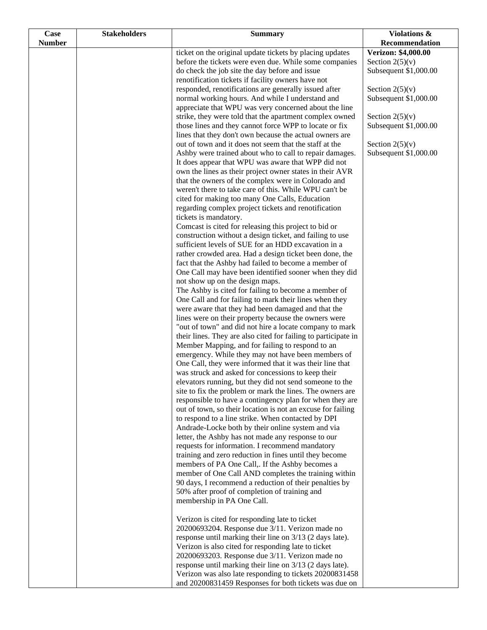| Case          | <b>Stakeholders</b> | <b>Summary</b>                                                                                                       | Violations &                               |
|---------------|---------------------|----------------------------------------------------------------------------------------------------------------------|--------------------------------------------|
| <b>Number</b> |                     |                                                                                                                      | Recommendation                             |
|               |                     | ticket on the original update tickets by placing updates                                                             | Verizon: \$4,000.00                        |
|               |                     | before the tickets were even due. While some companies                                                               | Section $2(5)(v)$                          |
|               |                     | do check the job site the day before and issue                                                                       | Subsequent \$1,000.00                      |
|               |                     | renotification tickets if facility owners have not                                                                   |                                            |
|               |                     | responded, renotifications are generally issued after<br>normal working hours. And while I understand and            | Section $2(5)(v)$<br>Subsequent \$1,000.00 |
|               |                     | appreciate that WPU was very concerned about the line                                                                |                                            |
|               |                     | strike, they were told that the apartment complex owned                                                              | Section $2(5)(v)$                          |
|               |                     | those lines and they cannot force WPP to locate or fix                                                               | Subsequent \$1,000.00                      |
|               |                     | lines that they don't own because the actual owners are                                                              |                                            |
|               |                     | out of town and it does not seem that the staff at the                                                               | Section $2(5)(v)$                          |
|               |                     | Ashby were trained about who to call to repair damages.                                                              | Subsequent \$1,000.00                      |
|               |                     | It does appear that WPU was aware that WPP did not                                                                   |                                            |
|               |                     | own the lines as their project owner states in their AVR                                                             |                                            |
|               |                     | that the owners of the complex were in Colorado and<br>weren't there to take care of this. While WPU can't be        |                                            |
|               |                     | cited for making too many One Calls, Education                                                                       |                                            |
|               |                     | regarding complex project tickets and renotification                                                                 |                                            |
|               |                     | tickets is mandatory.                                                                                                |                                            |
|               |                     | Comcast is cited for releasing this project to bid or                                                                |                                            |
|               |                     | construction without a design ticket, and failing to use                                                             |                                            |
|               |                     | sufficient levels of SUE for an HDD excavation in a                                                                  |                                            |
|               |                     | rather crowded area. Had a design ticket been done, the                                                              |                                            |
|               |                     | fact that the Ashby had failed to become a member of                                                                 |                                            |
|               |                     | One Call may have been identified sooner when they did                                                               |                                            |
|               |                     | not show up on the design maps.<br>The Ashby is cited for failing to become a member of                              |                                            |
|               |                     | One Call and for failing to mark their lines when they                                                               |                                            |
|               |                     | were aware that they had been damaged and that the                                                                   |                                            |
|               |                     | lines were on their property because the owners were                                                                 |                                            |
|               |                     | "out of town" and did not hire a locate company to mark                                                              |                                            |
|               |                     | their lines. They are also cited for failing to participate in                                                       |                                            |
|               |                     | Member Mapping, and for failing to respond to an                                                                     |                                            |
|               |                     | emergency. While they may not have been members of                                                                   |                                            |
|               |                     | One Call, they were informed that it was their line that                                                             |                                            |
|               |                     | was struck and asked for concessions to keep their                                                                   |                                            |
|               |                     | elevators running, but they did not send someone to the<br>site to fix the problem or mark the lines. The owners are |                                            |
|               |                     | responsible to have a contingency plan for when they are                                                             |                                            |
|               |                     | out of town, so their location is not an excuse for failing                                                          |                                            |
|               |                     | to respond to a line strike. When contacted by DPI                                                                   |                                            |
|               |                     | Andrade-Locke both by their online system and via                                                                    |                                            |
|               |                     | letter, the Ashby has not made any response to our                                                                   |                                            |
|               |                     | requests for information. I recommend mandatory                                                                      |                                            |
|               |                     | training and zero reduction in fines until they become                                                               |                                            |
|               |                     | members of PA One Call,. If the Ashby becomes a<br>member of One Call AND completes the training within              |                                            |
|               |                     | 90 days, I recommend a reduction of their penalties by                                                               |                                            |
|               |                     | 50% after proof of completion of training and                                                                        |                                            |
|               |                     | membership in PA One Call.                                                                                           |                                            |
|               |                     |                                                                                                                      |                                            |
|               |                     | Verizon is cited for responding late to ticket                                                                       |                                            |
|               |                     | 20200693204. Response due 3/11. Verizon made no                                                                      |                                            |
|               |                     | response until marking their line on 3/13 (2 days late).                                                             |                                            |
|               |                     | Verizon is also cited for responding late to ticket                                                                  |                                            |
|               |                     | 20200693203. Response due 3/11. Verizon made no<br>response until marking their line on 3/13 (2 days late).          |                                            |
|               |                     | Verizon was also late responding to tickets 20200831458                                                              |                                            |
|               |                     | and 20200831459 Responses for both tickets was due on                                                                |                                            |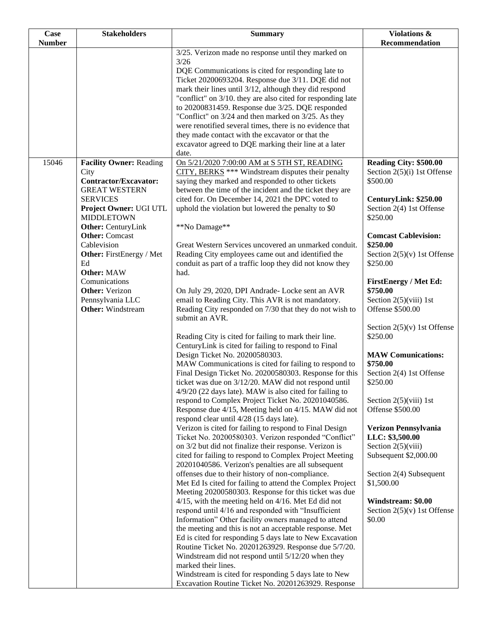| <b>Case</b>   | <b>Stakeholders</b>                                | <b>Summary</b>                                                                                                     | Violations &                             |
|---------------|----------------------------------------------------|--------------------------------------------------------------------------------------------------------------------|------------------------------------------|
| <b>Number</b> |                                                    |                                                                                                                    | Recommendation                           |
|               |                                                    | 3/25. Verizon made no response until they marked on<br>3/26                                                        |                                          |
|               |                                                    | DQE Communications is cited for responding late to                                                                 |                                          |
|               |                                                    | Ticket 20200693204. Response due 3/11. DQE did not                                                                 |                                          |
|               |                                                    | mark their lines until 3/12, although they did respond                                                             |                                          |
|               |                                                    | "conflict" on 3/10. they are also cited for responding late                                                        |                                          |
|               |                                                    | to 20200831459. Response due 3/25. DQE responded                                                                   |                                          |
|               |                                                    | "Conflict" on 3/24 and then marked on 3/25. As they<br>were renotified several times, there is no evidence that    |                                          |
|               |                                                    | they made contact with the excavator or that the                                                                   |                                          |
|               |                                                    | excavator agreed to DQE marking their line at a later                                                              |                                          |
|               |                                                    | date.                                                                                                              |                                          |
| 15046         | <b>Facility Owner: Reading</b>                     | On 5/21/2020 7:00:00 AM at S 5TH ST, READING                                                                       | Reading City: \$500.00                   |
|               | City<br><b>Contractor/Excavator:</b>               | CITY, BERKS *** Windstream disputes their penalty                                                                  | Section $2(5)(i)$ 1st Offense            |
|               | <b>GREAT WESTERN</b>                               | saying they marked and responded to other tickets<br>between the time of the incident and the ticket they are      | \$500.00                                 |
|               | <b>SERVICES</b>                                    | cited for. On December 14, 2021 the DPC voted to                                                                   | CenturyLink: \$250.00                    |
|               | Project Owner: UGI UTL                             | uphold the violation but lowered the penalty to \$0                                                                | Section 2(4) 1st Offense                 |
|               | <b>MIDDLETOWN</b>                                  |                                                                                                                    | \$250.00                                 |
|               | <b>Other:</b> CenturyLink<br><b>Other:</b> Comcast | **No Damage**                                                                                                      | <b>Comcast Cablevision:</b>              |
|               | Cablevision                                        | Great Western Services uncovered an unmarked conduit.                                                              | \$250.00                                 |
|               | <b>Other:</b> FirstEnergy / Met                    | Reading City employees came out and identified the                                                                 | Section $2(5)(v)$ 1st Offense            |
|               | Ed                                                 | conduit as part of a traffic loop they did not know they                                                           | \$250.00                                 |
|               | <b>Other: MAW</b>                                  | had.                                                                                                               |                                          |
|               | Comunications<br><b>Other:</b> Verizon             | On July 29, 2020, DPI Andrade-Locke sent an AVR                                                                    | <b>FirstEnergy / Met Ed:</b><br>\$750.00 |
|               | Pennsylvania LLC                                   | email to Reading City. This AVR is not mandatory.                                                                  | Section $2(5)(viii)$ 1st                 |
|               | <b>Other:</b> Windstream                           | Reading City responded on 7/30 that they do not wish to                                                            | Offense \$500.00                         |
|               |                                                    | submit an AVR.                                                                                                     |                                          |
|               |                                                    |                                                                                                                    | Section $2(5)(v)$ 1st Offense            |
|               |                                                    | Reading City is cited for failing to mark their line.<br>CenturyLink is cited for failing to respond to Final      | \$250.00                                 |
|               |                                                    | Design Ticket No. 20200580303.                                                                                     | <b>MAW Comunications:</b>                |
|               |                                                    | MAW Communications is cited for failing to respond to                                                              | \$750.00                                 |
|               |                                                    | Final Design Ticket No. 20200580303. Response for this                                                             | Section 2(4) 1st Offense                 |
|               |                                                    | ticket was due on 3/12/20. MAW did not respond until                                                               | \$250.00                                 |
|               |                                                    | 4/9/20 (22 days late). MAW is also cited for failing to<br>respond to Complex Project Ticket No. 20201040586.      | Section $2(5)(viii)$ 1st                 |
|               |                                                    | Response due 4/15, Meeting held on 4/15. MAW did not                                                               | Offense \$500.00                         |
|               |                                                    | respond clear until 4/28 (15 days late).                                                                           |                                          |
|               |                                                    | Verizon is cited for failing to respond to Final Design                                                            | Verizon Pennsylvania                     |
|               |                                                    | Ticket No. 20200580303. Verizon responded "Conflict"<br>on 3/2 but did not finalize their response. Verizon is     | LLC: \$3,500.00<br>Section $2(5)(viii)$  |
|               |                                                    | cited for failing to respond to Complex Project Meeting                                                            | Subsequent \$2,000.00                    |
|               |                                                    | 20201040586. Verizon's penalties are all subsequent                                                                |                                          |
|               |                                                    | offenses due to their history of non-compliance.                                                                   | Section 2(4) Subsequent                  |
|               |                                                    | Met Ed Is cited for failing to attend the Complex Project                                                          | \$1,500.00                               |
|               |                                                    | Meeting 20200580303. Response for this ticket was due<br>$4/15$ , with the meeting held on $4/16$ . Met Ed did not | Windstream: \$0.00                       |
|               |                                                    | respond until 4/16 and responded with "Insufficient                                                                | Section $2(5)(v)$ 1st Offense            |
|               |                                                    | Information" Other facility owners managed to attend                                                               | \$0.00                                   |
|               |                                                    | the meeting and this is not an acceptable response. Met                                                            |                                          |
|               |                                                    | Ed is cited for responding 5 days late to New Excavation                                                           |                                          |
|               |                                                    | Routine Ticket No. 20201263929. Response due 5/7/20.<br>Windstream did not respond until 5/12/20 when they         |                                          |
|               |                                                    | marked their lines.                                                                                                |                                          |
|               |                                                    | Windstream is cited for responding 5 days late to New                                                              |                                          |
|               |                                                    | Excavation Routine Ticket No. 20201263929. Response                                                                |                                          |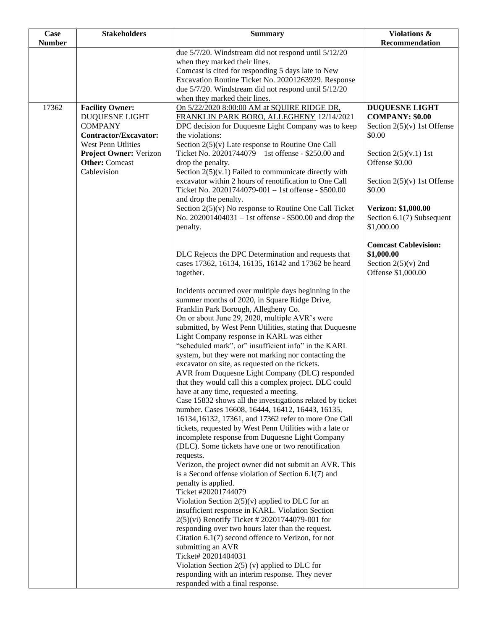| <b>Case</b>   | <b>Stakeholders</b>                             | <b>Summary</b>                                                                                           | Violations &                              |
|---------------|-------------------------------------------------|----------------------------------------------------------------------------------------------------------|-------------------------------------------|
| <b>Number</b> |                                                 |                                                                                                          | Recommendation                            |
|               |                                                 | due 5/7/20. Windstream did not respond until 5/12/20                                                     |                                           |
|               |                                                 | when they marked their lines.<br>Comcast is cited for responding 5 days late to New                      |                                           |
|               |                                                 | Excavation Routine Ticket No. 20201263929. Response                                                      |                                           |
|               |                                                 | due 5/7/20. Windstream did not respond until 5/12/20                                                     |                                           |
|               |                                                 | when they marked their lines.                                                                            |                                           |
| 17362         | <b>Facility Owner:</b>                          | On 5/22/2020 8:00:00 AM at SQUIRE RIDGE DR,                                                              | <b>DUQUESNE LIGHT</b>                     |
|               | <b>DUQUESNE LIGHT</b>                           | FRANKLIN PARK BORO, ALLEGHENY 12/14/2021                                                                 | <b>COMPANY: \$0.00</b>                    |
|               | <b>COMPANY</b>                                  | DPC decision for Duquesne Light Company was to keep                                                      | Section $2(5)(v)$ 1st Offense             |
|               | <b>Contractor/Excavator:</b>                    | the violations:                                                                                          | \$0.00                                    |
|               | <b>West Penn Utlities</b>                       | Section 2(5)(v) Late response to Routine One Call<br>Ticket No. 20201744079 - 1st offense - \$250.00 and |                                           |
|               | Project Owner: Verizon<br><b>Other:</b> Comcast | drop the penalty.                                                                                        | Section $2(5)(v.1)$ 1st<br>Offense \$0.00 |
|               | Cablevision                                     | Section $2(5)(v.1)$ Failed to communicate directly with                                                  |                                           |
|               |                                                 | excavator within 2 hours of renotification to One Call                                                   | Section $2(5)(v)$ 1st Offense             |
|               |                                                 | Ticket No. 20201744079-001 - 1st offense - \$500.00                                                      | \$0.00                                    |
|               |                                                 | and drop the penalty.                                                                                    |                                           |
|               |                                                 | Section $2(5)(v)$ No response to Routine One Call Ticket                                                 | Verizon: \$1,000.00                       |
|               |                                                 | No. 202001404031 - 1st offense - \$500.00 and drop the                                                   | Section 6.1(7) Subsequent                 |
|               |                                                 | penalty.                                                                                                 | \$1,000.00                                |
|               |                                                 |                                                                                                          | <b>Comcast Cablevision:</b>               |
|               |                                                 | DLC Rejects the DPC Determination and requests that                                                      | \$1,000.00                                |
|               |                                                 | cases 17362, 16134, 16135, 16142 and 17362 be heard                                                      | Section $2(5)(v)$ 2nd                     |
|               |                                                 | together.                                                                                                | Offense \$1,000.00                        |
|               |                                                 |                                                                                                          |                                           |
|               |                                                 | Incidents occurred over multiple days beginning in the                                                   |                                           |
|               |                                                 | summer months of 2020, in Square Ridge Drive,                                                            |                                           |
|               |                                                 | Franklin Park Borough, Allegheny Co.                                                                     |                                           |
|               |                                                 | On or about June 29, 2020, multiple AVR's were                                                           |                                           |
|               |                                                 | submitted, by West Penn Utilities, stating that Duquesne<br>Light Company response in KARL was either    |                                           |
|               |                                                 | "scheduled mark", or" insufficient info" in the KARL                                                     |                                           |
|               |                                                 | system, but they were not marking nor contacting the                                                     |                                           |
|               |                                                 | excavator on site, as requested on the tickets.                                                          |                                           |
|               |                                                 | AVR from Duquesne Light Company (DLC) responded                                                          |                                           |
|               |                                                 | that they would call this a complex project. DLC could                                                   |                                           |
|               |                                                 | have at any time, requested a meeting.                                                                   |                                           |
|               |                                                 | Case 15832 shows all the investigations related by ticket                                                |                                           |
|               |                                                 | number. Cases 16608, 16444, 16412, 16443, 16135,<br>16134,16132, 17361, and 17362 refer to more One Call |                                           |
|               |                                                 | tickets, requested by West Penn Utilities with a late or                                                 |                                           |
|               |                                                 | incomplete response from Duquesne Light Company                                                          |                                           |
|               |                                                 | (DLC). Some tickets have one or two renotification                                                       |                                           |
|               |                                                 | requests.                                                                                                |                                           |
|               |                                                 | Verizon, the project owner did not submit an AVR. This                                                   |                                           |
|               |                                                 | is a Second offense violation of Section $6.1(7)$ and                                                    |                                           |
|               |                                                 | penalty is applied.                                                                                      |                                           |
|               |                                                 | Ticket #20201744079                                                                                      |                                           |
|               |                                                 | Violation Section $2(5)(v)$ applied to DLC for an<br>insufficient response in KARL. Violation Section    |                                           |
|               |                                                 | 2(5)(vi) Renotify Ticket # 20201744079-001 for                                                           |                                           |
|               |                                                 | responding over two hours later than the request.                                                        |                                           |
|               |                                                 | Citation $6.1(7)$ second offence to Verizon, for not                                                     |                                           |
|               |                                                 | submitting an AVR                                                                                        |                                           |
|               |                                                 | Ticket# 20201404031                                                                                      |                                           |
|               |                                                 | Violation Section $2(5)$ (v) applied to DLC for                                                          |                                           |
|               |                                                 | responding with an interim response. They never                                                          |                                           |
|               |                                                 | responded with a final response.                                                                         |                                           |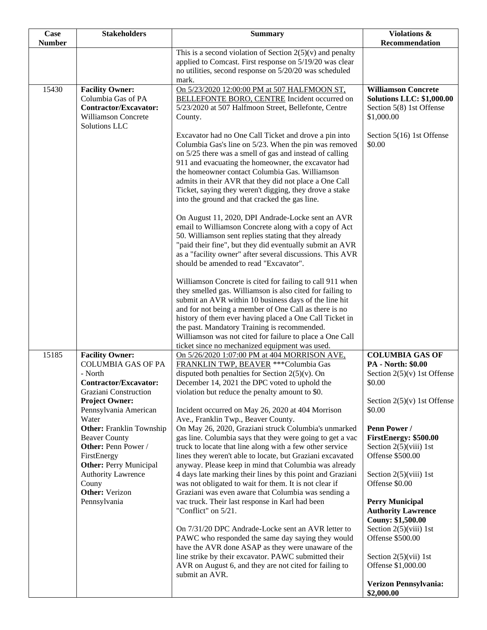| Case          | <b>Stakeholders</b>                                        | <b>Summary</b>                                                                                                      | Violations &                     |
|---------------|------------------------------------------------------------|---------------------------------------------------------------------------------------------------------------------|----------------------------------|
| <b>Number</b> |                                                            |                                                                                                                     | Recommendation                   |
|               |                                                            | This is a second violation of Section $2(5)(v)$ and penalty                                                         |                                  |
|               |                                                            | applied to Comcast. First response on 5/19/20 was clear                                                             |                                  |
|               |                                                            | no utilities, second response on 5/20/20 was scheduled<br>mark.                                                     |                                  |
| 15430         | <b>Facility Owner:</b>                                     | On 5/23/2020 12:00:00 PM at 507 HALFMOON ST,                                                                        | <b>Williamson Concrete</b>       |
|               | Columbia Gas of PA                                         | BELLEFONTE BORO, CENTRE Incident occurred on                                                                        | <b>Solutions LLC: \$1,000.00</b> |
|               | Contractor/Excavator:                                      | 5/23/2020 at 507 Halfmoon Street, Bellefonte, Centre                                                                | Section 5(8) 1st Offense         |
|               | <b>Williamson Concrete</b>                                 | County.                                                                                                             | \$1,000.00                       |
|               | Solutions LLC                                              |                                                                                                                     |                                  |
|               |                                                            | Excavator had no One Call Ticket and drove a pin into                                                               | Section 5(16) 1st Offense        |
|               |                                                            | Columbia Gas's line on 5/23. When the pin was removed                                                               | \$0.00                           |
|               |                                                            | on 5/25 there was a smell of gas and instead of calling                                                             |                                  |
|               |                                                            | 911 and evacuating the homeowner, the excavator had                                                                 |                                  |
|               |                                                            | the homeowner contact Columbia Gas. Williamson                                                                      |                                  |
|               |                                                            | admits in their AVR that they did not place a One Call                                                              |                                  |
|               |                                                            | Ticket, saying they weren't digging, they drove a stake                                                             |                                  |
|               |                                                            | into the ground and that cracked the gas line.                                                                      |                                  |
|               |                                                            | On August 11, 2020, DPI Andrade-Locke sent an AVR                                                                   |                                  |
|               |                                                            | email to Williamson Concrete along with a copy of Act                                                               |                                  |
|               |                                                            | 50. Williamson sent replies stating that they already                                                               |                                  |
|               |                                                            | "paid their fine", but they did eventually submit an AVR                                                            |                                  |
|               |                                                            | as a "facility owner" after several discussions. This AVR                                                           |                                  |
|               |                                                            | should be amended to read "Excavator".                                                                              |                                  |
|               |                                                            | Williamson Concrete is cited for failing to call 911 when                                                           |                                  |
|               |                                                            | they smelled gas. Williamson is also cited for failing to                                                           |                                  |
|               |                                                            | submit an AVR within 10 business days of the line hit                                                               |                                  |
|               |                                                            | and for not being a member of One Call as there is no                                                               |                                  |
|               |                                                            | history of them ever having placed a One Call Ticket in                                                             |                                  |
|               |                                                            | the past. Mandatory Training is recommended.                                                                        |                                  |
|               |                                                            | Williamson was not cited for failure to place a One Call                                                            |                                  |
| 15185         |                                                            | ticket since no mechanized equipment was used.                                                                      | <b>COLUMBIA GAS OF</b>           |
|               | <b>Facility Owner:</b><br><b>COLUMBIA GAS OF PA</b>        | On 5/26/2020 1:07:00 PM at 404 MORRISON AVE.<br>FRANKLIN TWP, BEAVER *** Columbia Gas                               | <b>PA</b> - North: \$0.00        |
|               | - North                                                    | disputed both penalties for Section $2(5)(v)$ . On                                                                  | Section $2(5)(v)$ 1st Offense    |
|               | Contractor/Excavator:                                      | December 14, 2021 the DPC voted to uphold the                                                                       | \$0.00                           |
|               | Graziani Construction                                      | violation but reduce the penalty amount to \$0.                                                                     |                                  |
|               | <b>Project Owner:</b>                                      |                                                                                                                     | Section $2(5)(v)$ 1st Offense    |
|               | Pennsylvania American                                      | Incident occurred on May 26, 2020 at 404 Morrison                                                                   | \$0.00                           |
|               | Water                                                      | Ave., Franklin Twp., Beaver County.                                                                                 |                                  |
|               | <b>Other:</b> Franklin Township                            | On May 26, 2020, Graziani struck Columbia's unmarked                                                                | Penn Power /                     |
|               | <b>Beaver County</b>                                       | gas line. Columbia says that they were going to get a vac                                                           | FirstEnergy: \$500.00            |
|               | Other: Penn Power /                                        | truck to locate that line along with a few other service                                                            | Section $2(5)(viii)$ 1st         |
|               | FirstEnergy                                                | lines they weren't able to locate, but Graziani excavated                                                           | Offense \$500.00                 |
|               | <b>Other: Perry Municipal</b><br><b>Authority Lawrence</b> | anyway. Please keep in mind that Columbia was already<br>4 days late marking their lines by this point and Graziani | Section $2(5)$ (viii) 1st        |
|               | Couny                                                      | was not obligated to wait for them. It is not clear if                                                              | Offense \$0.00                   |
|               | <b>Other:</b> Verizon                                      | Graziani was even aware that Columbia was sending a                                                                 |                                  |
|               | Pennsylvania                                               | vac truck. Their last response in Karl had been                                                                     | <b>Perry Municipal</b>           |
|               |                                                            | "Conflict" on 5/21.                                                                                                 | <b>Authority Lawrence</b>        |
|               |                                                            |                                                                                                                     | <b>Couny: \$1,500.00</b>         |
|               |                                                            | On 7/31/20 DPC Andrade-Locke sent an AVR letter to                                                                  | Section $2(5)(viii)$ 1st         |
|               |                                                            | PAWC who responded the same day saying they would                                                                   | Offense \$500.00                 |
|               |                                                            | have the AVR done ASAP as they were unaware of the                                                                  |                                  |
|               |                                                            | line strike by their excavator. PAWC submitted their                                                                | Section $2(5)(vii)$ 1st          |
|               |                                                            | AVR on August 6, and they are not cited for failing to                                                              | Offense \$1,000.00               |
|               |                                                            | submit an AVR.                                                                                                      | Verizon Pennsylvania:            |
|               |                                                            |                                                                                                                     | \$2,000.00                       |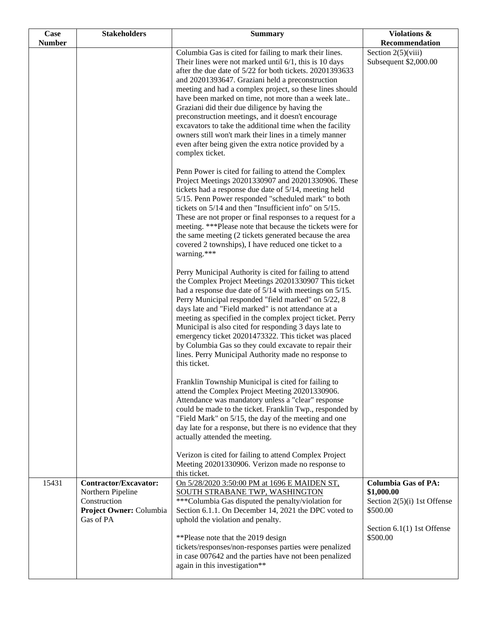| <b>Case</b>   | <b>Stakeholders</b>                                                                                       | <b>Summary</b>                                                                                                                                                                                                                                                                                                                                                                                                                                                                                                                                                                                                                                                   | Violations &                                                                                                                    |
|---------------|-----------------------------------------------------------------------------------------------------------|------------------------------------------------------------------------------------------------------------------------------------------------------------------------------------------------------------------------------------------------------------------------------------------------------------------------------------------------------------------------------------------------------------------------------------------------------------------------------------------------------------------------------------------------------------------------------------------------------------------------------------------------------------------|---------------------------------------------------------------------------------------------------------------------------------|
| <b>Number</b> |                                                                                                           |                                                                                                                                                                                                                                                                                                                                                                                                                                                                                                                                                                                                                                                                  | Recommendation                                                                                                                  |
|               |                                                                                                           | Columbia Gas is cited for failing to mark their lines.<br>Their lines were not marked until $6/1$ , this is 10 days<br>after the due date of 5/22 for both tickets. 20201393633<br>and 20201393647. Graziani held a preconstruction<br>meeting and had a complex project, so these lines should<br>have been marked on time, not more than a week late<br>Graziani did their due diligence by having the<br>preconstruction meetings, and it doesn't encourage<br>excavators to take the additional time when the facility<br>owners still won't mark their lines in a timely manner<br>even after being given the extra notice provided by a<br>complex ticket. | Section $2(5)(viii)$<br>Subsequent \$2,000.00                                                                                   |
|               |                                                                                                           | Penn Power is cited for failing to attend the Complex<br>Project Meetings 20201330907 and 20201330906. These<br>tickets had a response due date of 5/14, meeting held<br>5/15. Penn Power responded "scheduled mark" to both<br>tickets on 5/14 and then "Insufficient info" on 5/15.<br>These are not proper or final responses to a request for a<br>meeting. ***Please note that because the tickets were for<br>the same meeting (2 tickets generated because the area<br>covered 2 townships), I have reduced one ticket to a<br>warning.***                                                                                                                |                                                                                                                                 |
|               |                                                                                                           | Perry Municipal Authority is cited for failing to attend<br>the Complex Project Meetings 20201330907 This ticket<br>had a response due date of $5/14$ with meetings on $5/15$ .<br>Perry Municipal responded "field marked" on 5/22, 8<br>days late and "Field marked" is not attendance at a<br>meeting as specified in the complex project ticket. Perry<br>Municipal is also cited for responding 3 days late to<br>emergency ticket 20201473322. This ticket was placed<br>by Columbia Gas so they could excavate to repair their<br>lines. Perry Municipal Authority made no response to<br>this ticket.                                                    |                                                                                                                                 |
|               |                                                                                                           | Franklin Township Municipal is cited for failing to<br>attend the Complex Project Meeting 20201330906.<br>Attendance was mandatory unless a "clear" response<br>could be made to the ticket. Franklin Twp., responded by<br>"Field Mark" on 5/15, the day of the meeting and one<br>day late for a response, but there is no evidence that they<br>actually attended the meeting.<br>Verizon is cited for failing to attend Complex Project                                                                                                                                                                                                                      |                                                                                                                                 |
|               |                                                                                                           | Meeting 20201330906. Verizon made no response to<br>this ticket.                                                                                                                                                                                                                                                                                                                                                                                                                                                                                                                                                                                                 |                                                                                                                                 |
| 15431         | <b>Contractor/Excavator:</b><br>Northern Pipeline<br>Construction<br>Project Owner: Columbia<br>Gas of PA | On 5/28/2020 3:50:00 PM at 1696 E MAIDEN ST,<br>SOUTH STRABANE TWP, WASHINGTON<br>*** Columbia Gas disputed the penalty/violation for<br>Section 6.1.1. On December 14, 2021 the DPC voted to<br>uphold the violation and penalty.<br>**Please note that the 2019 design                                                                                                                                                                                                                                                                                                                                                                                         | <b>Columbia Gas of PA:</b><br>\$1,000.00<br>Section 2(5)(i) 1st Offense<br>\$500.00<br>Section $6.1(1)$ 1st Offense<br>\$500.00 |
|               |                                                                                                           | tickets/responses/non-responses parties were penalized<br>in case 007642 and the parties have not been penalized<br>again in this investigation**                                                                                                                                                                                                                                                                                                                                                                                                                                                                                                                |                                                                                                                                 |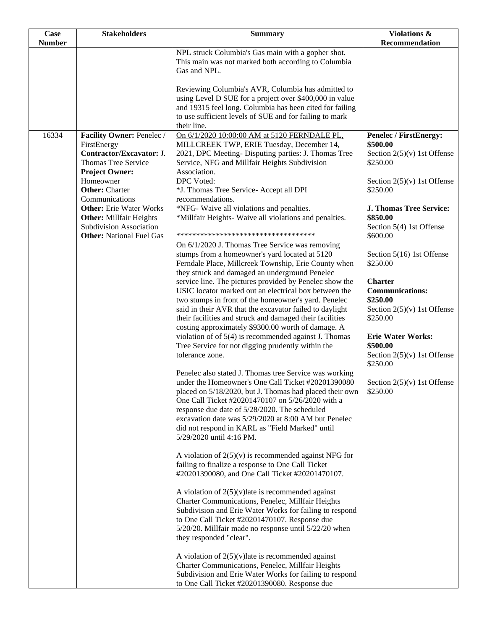| Case          | <b>Stakeholders</b>                                                             | <b>Summary</b>                                                                                                                                                                                                                                                                                                                                                                          | Violations &                                                                      |
|---------------|---------------------------------------------------------------------------------|-----------------------------------------------------------------------------------------------------------------------------------------------------------------------------------------------------------------------------------------------------------------------------------------------------------------------------------------------------------------------------------------|-----------------------------------------------------------------------------------|
| <b>Number</b> |                                                                                 | NPL struck Columbia's Gas main with a gopher shot.                                                                                                                                                                                                                                                                                                                                      | Recommendation                                                                    |
|               |                                                                                 | This main was not marked both according to Columbia<br>Gas and NPL.                                                                                                                                                                                                                                                                                                                     |                                                                                   |
|               |                                                                                 | Reviewing Columbia's AVR, Columbia has admitted to<br>using Level D SUE for a project over \$400,000 in value<br>and 19315 feel long. Columbia has been cited for failing                                                                                                                                                                                                               |                                                                                   |
|               |                                                                                 | to use sufficient levels of SUE and for failing to mark<br>their line.                                                                                                                                                                                                                                                                                                                  |                                                                                   |
| 16334         | Facility Owner: Penelec /<br>FirstEnergy                                        | On 6/1/2020 10:00:00 AM at 5120 FERNDALE PL,<br>MILLCREEK TWP, ERIE Tuesday, December 14,                                                                                                                                                                                                                                                                                               | <b>Penelec / FirstEnergy:</b><br>\$500.00                                         |
|               | Contractor/Excavator: J.<br><b>Thomas Tree Service</b><br><b>Project Owner:</b> | 2021, DPC Meeting-Disputing parties: J. Thomas Tree<br>Service, NFG and Millfair Heights Subdivision<br>Association.                                                                                                                                                                                                                                                                    | Section $2(5)(v)$ 1st Offense<br>\$250.00                                         |
|               | Homeowner<br><b>Other:</b> Charter<br>Communications                            | DPC Voted:<br>*J. Thomas Tree Service- Accept all DPI<br>recommendations.                                                                                                                                                                                                                                                                                                               | Section $2(5)(v)$ 1st Offense<br>\$250.00                                         |
|               | <b>Other:</b> Erie Water Works<br><b>Other:</b> Millfair Heights                | *NFG- Waive all violations and penalties.<br>*Millfair Heights- Waive all violations and penalties.                                                                                                                                                                                                                                                                                     | <b>J. Thomas Tree Service:</b><br>\$850.00                                        |
|               | <b>Subdivision Association</b><br><b>Other:</b> National Fuel Gas               | **********************************                                                                                                                                                                                                                                                                                                                                                      | Section 5(4) 1st Offense<br>\$600.00                                              |
|               |                                                                                 | On 6/1/2020 J. Thomas Tree Service was removing<br>stumps from a homeowner's yard located at 5120<br>Ferndale Place, Millcreek Township, Erie County when<br>they struck and damaged an underground Penelec                                                                                                                                                                             | Section 5(16) 1st Offense<br>\$250.00                                             |
|               |                                                                                 | service line. The pictures provided by Penelec show the<br>USIC locator marked out an electrical box between the<br>two stumps in front of the homeowner's yard. Penelec                                                                                                                                                                                                                | <b>Charter</b><br><b>Communications:</b><br>\$250.00                              |
|               |                                                                                 | said in their AVR that the excavator failed to daylight<br>their facilities and struck and damaged their facilities<br>costing approximately \$9300.00 worth of damage. A                                                                                                                                                                                                               | Section $2(5)(v)$ 1st Offense<br>\$250.00                                         |
|               |                                                                                 | violation of of 5(4) is recommended against J. Thomas<br>Tree Service for not digging prudently within the<br>tolerance zone.                                                                                                                                                                                                                                                           | <b>Erie Water Works:</b><br>\$500.00<br>Section $2(5)(v)$ 1st Offense<br>\$250.00 |
|               |                                                                                 | Penelec also stated J. Thomas tree Service was working<br>under the Homeowner's One Call Ticket #20201390080<br>placed on 5/18/2020, but J. Thomas had placed their own<br>One Call Ticket #20201470107 on 5/26/2020 with a<br>response due date of 5/28/2020. The scheduled<br>excavation date was 5/29/2020 at 8:00 AM but Penelec<br>did not respond in KARL as "Field Marked" until | Section $2(5)(v)$ 1st Offense<br>\$250.00                                         |
|               |                                                                                 | 5/29/2020 until 4:16 PM.                                                                                                                                                                                                                                                                                                                                                                |                                                                                   |
|               |                                                                                 | A violation of $2(5)(v)$ is recommended against NFG for<br>failing to finalize a response to One Call Ticket<br>#20201390080, and One Call Ticket #20201470107.                                                                                                                                                                                                                         |                                                                                   |
|               |                                                                                 | A violation of $2(5)(v)$ late is recommended against<br>Charter Communications, Penelec, Millfair Heights<br>Subdivision and Erie Water Works for failing to respond<br>to One Call Ticket #20201470107. Response due                                                                                                                                                                   |                                                                                   |
|               |                                                                                 | 5/20/20. Millfair made no response until 5/22/20 when<br>they responded "clear".                                                                                                                                                                                                                                                                                                        |                                                                                   |
|               |                                                                                 | A violation of $2(5)(v)$ late is recommended against<br>Charter Communications, Penelec, Millfair Heights<br>Subdivision and Erie Water Works for failing to respond<br>to One Call Ticket #20201390080. Response due                                                                                                                                                                   |                                                                                   |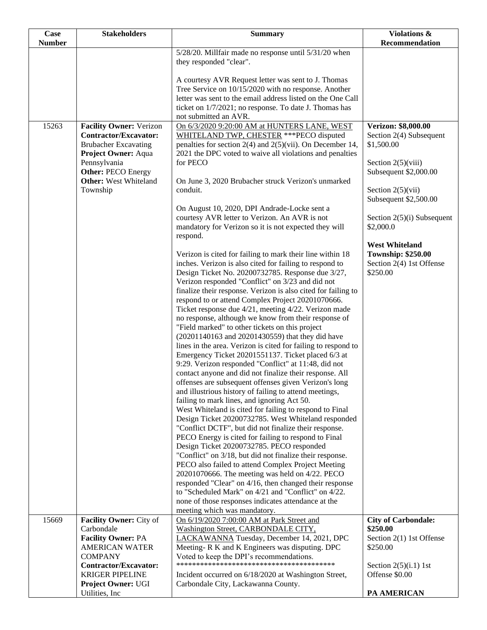| Case          | <b>Stakeholders</b>                                | <b>Summary</b>                                                                                                             | Violations &                         |
|---------------|----------------------------------------------------|----------------------------------------------------------------------------------------------------------------------------|--------------------------------------|
| <b>Number</b> |                                                    |                                                                                                                            | Recommendation                       |
|               |                                                    | 5/28/20. Millfair made no response until 5/31/20 when                                                                      |                                      |
|               |                                                    | they responded "clear".                                                                                                    |                                      |
|               |                                                    | A courtesy AVR Request letter was sent to J. Thomas                                                                        |                                      |
|               |                                                    | Tree Service on 10/15/2020 with no response. Another                                                                       |                                      |
|               |                                                    | letter was sent to the email address listed on the One Call                                                                |                                      |
|               |                                                    | ticket on 1/7/2021; no response. To date J. Thomas has                                                                     |                                      |
|               |                                                    | not submitted an AVR.                                                                                                      |                                      |
| 15263         | <b>Facility Owner: Verizon</b>                     | On 6/3/2020 9:20:00 AM at HUNTERS LANE, WEST                                                                               | Verizon: \$8,000.00                  |
|               | <b>Contractor/Excavator:</b>                       | WHITELAND TWP, CHESTER *** PECO disputed                                                                                   | Section 2(4) Subsequent              |
|               | <b>Brubacher Excavating</b><br>Project Owner: Aqua | penalties for section $2(4)$ and $2(5)(vii)$ . On December 14,<br>2021 the DPC voted to waive all violations and penalties | \$1,500.00                           |
|               | Pennsylvania                                       | for PECO                                                                                                                   | Section $2(5)(viii)$                 |
|               | <b>Other: PECO Energy</b>                          |                                                                                                                            | Subsequent \$2,000.00                |
|               | <b>Other:</b> West Whiteland                       | On June 3, 2020 Brubacher struck Verizon's unmarked                                                                        |                                      |
|               | Township                                           | conduit.                                                                                                                   | Section $2(5)(vii)$                  |
|               |                                                    |                                                                                                                            | Subsequent \$2,500.00                |
|               |                                                    | On August 10, 2020, DPI Andrade-Locke sent a                                                                               |                                      |
|               |                                                    | courtesy AVR letter to Verizon. An AVR is not                                                                              | Section $2(5)(i)$ Subsequent         |
|               |                                                    | mandatory for Verizon so it is not expected they will<br>respond.                                                          | \$2,000.0                            |
|               |                                                    |                                                                                                                            | <b>West Whiteland</b>                |
|               |                                                    | Verizon is cited for failing to mark their line within 18                                                                  | <b>Township: \$250.00</b>            |
|               |                                                    | inches. Verizon is also cited for failing to respond to                                                                    | Section 2(4) 1st Offense             |
|               |                                                    | Design Ticket No. 20200732785. Response due 3/27,                                                                          | \$250.00                             |
|               |                                                    | Verizon responded "Conflict" on 3/23 and did not                                                                           |                                      |
|               |                                                    | finalize their response. Verizon is also cited for failing to                                                              |                                      |
|               |                                                    | respond to or attend Complex Project 20201070666.                                                                          |                                      |
|               |                                                    | Ticket response due 4/21, meeting 4/22. Verizon made<br>no response, although we know from their response of               |                                      |
|               |                                                    | "Field marked" to other tickets on this project                                                                            |                                      |
|               |                                                    | (20201140163 and 20201430559) that they did have                                                                           |                                      |
|               |                                                    | lines in the area. Verizon is cited for failing to respond to                                                              |                                      |
|               |                                                    | Emergency Ticket 20201551137. Ticket placed 6/3 at                                                                         |                                      |
|               |                                                    | 9:29. Verizon responded "Conflict" at 11:48, did not                                                                       |                                      |
|               |                                                    | contact anyone and did not finalize their response. All                                                                    |                                      |
|               |                                                    | offenses are subsequent offenses given Verizon's long<br>and illustrious history of failing to attend meetings,            |                                      |
|               |                                                    | failing to mark lines, and ignoring Act 50.                                                                                |                                      |
|               |                                                    | West Whiteland is cited for failing to respond to Final                                                                    |                                      |
|               |                                                    | Design Ticket 20200732785. West Whiteland responded                                                                        |                                      |
|               |                                                    | "Conflict DCTF", but did not finalize their response.                                                                      |                                      |
|               |                                                    | PECO Energy is cited for failing to respond to Final                                                                       |                                      |
|               |                                                    | Design Ticket 20200732785. PECO responded                                                                                  |                                      |
|               |                                                    | "Conflict" on 3/18, but did not finalize their response.                                                                   |                                      |
|               |                                                    | PECO also failed to attend Complex Project Meeting<br>20201070666. The meeting was held on 4/22. PECO                      |                                      |
|               |                                                    | responded "Clear" on 4/16, then changed their response                                                                     |                                      |
|               |                                                    | to "Scheduled Mark" on 4/21 and "Conflict" on 4/22.                                                                        |                                      |
|               |                                                    | none of those responses indicates attendance at the                                                                        |                                      |
|               |                                                    | meeting which was mandatory.                                                                                               |                                      |
| 15669         | Facility Owner: City of                            | On 6/19/2020 7:00:00 AM at Park Street and                                                                                 | <b>City of Carbondale:</b>           |
|               | Carbondale                                         | Washington Street, CARBONDALE CITY,                                                                                        | \$250.00                             |
|               | <b>Facility Owner: PA</b><br><b>AMERICAN WATER</b> | LACKAWANNA Tuesday, December 14, 2021, DPC<br>Meeting-R K and K Engineers was disputing. DPC                               | Section 2(1) 1st Offense<br>\$250.00 |
|               | <b>COMPANY</b>                                     | Voted to keep the DPI's recommendations.                                                                                   |                                      |
|               | Contractor/Excavator:                              |                                                                                                                            | Section $2(5)(i.1)$ 1st              |
|               | <b>KRIGER PIPELINE</b>                             | Incident occurred on 6/18/2020 at Washington Street,                                                                       | Offense \$0.00                       |
|               | Project Owner: UGI                                 | Carbondale City, Lackawanna County.                                                                                        |                                      |
|               | Utilities, Inc.                                    |                                                                                                                            | PA AMERICAN                          |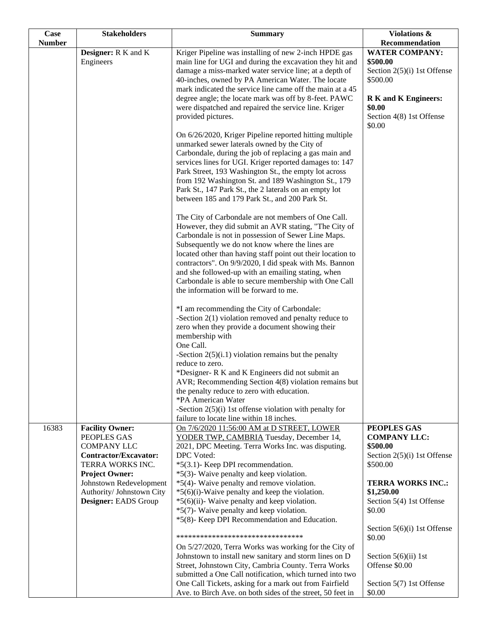| Case          | <b>Stakeholders</b>                                                                                                                                                                                                      | <b>Summary</b>                                                                                                                                                                                                                                                                                                                                                                                                                                                                                                                                                                                                                                                                                                                                                                                                                                                                                                                                                                                                                                                                                                                                                                                                                                                                                                                                                                                                                                                                                                                                                                                                                                                                                                                                                                                                                                                                                                                                                                | Violations &                                                                                                                                                                                                           |
|---------------|--------------------------------------------------------------------------------------------------------------------------------------------------------------------------------------------------------------------------|-------------------------------------------------------------------------------------------------------------------------------------------------------------------------------------------------------------------------------------------------------------------------------------------------------------------------------------------------------------------------------------------------------------------------------------------------------------------------------------------------------------------------------------------------------------------------------------------------------------------------------------------------------------------------------------------------------------------------------------------------------------------------------------------------------------------------------------------------------------------------------------------------------------------------------------------------------------------------------------------------------------------------------------------------------------------------------------------------------------------------------------------------------------------------------------------------------------------------------------------------------------------------------------------------------------------------------------------------------------------------------------------------------------------------------------------------------------------------------------------------------------------------------------------------------------------------------------------------------------------------------------------------------------------------------------------------------------------------------------------------------------------------------------------------------------------------------------------------------------------------------------------------------------------------------------------------------------------------------|------------------------------------------------------------------------------------------------------------------------------------------------------------------------------------------------------------------------|
| <b>Number</b> | Designer: R K and K<br>Engineers                                                                                                                                                                                         | Kriger Pipeline was installing of new 2-inch HPDE gas<br>main line for UGI and during the excavation they hit and<br>damage a miss-marked water service line; at a depth of<br>40-inches, owned by PA American Water. The locate<br>mark indicated the service line came off the main at a 45<br>degree angle; the locate mark was off by 8-feet. PAWC<br>were dispatched and repaired the service line. Kriger<br>provided pictures.<br>On 6/26/2020, Kriger Pipeline reported hitting multiple<br>unmarked sewer laterals owned by the City of<br>Carbondale, during the job of replacing a gas main and<br>services lines for UGI. Kriger reported damages to: 147<br>Park Street, 193 Washington St., the empty lot across<br>from 192 Washington St. and 189 Washington St., 179<br>Park St., 147 Park St., the 2 laterals on an empty lot<br>between 185 and 179 Park St., and 200 Park St.<br>The City of Carbondale are not members of One Call.<br>However, they did submit an AVR stating, "The City of<br>Carbondale is not in possession of Sewer Line Maps.<br>Subsequently we do not know where the lines are<br>located other than having staff point out their location to<br>contractors". On 9/9/2020, I did speak with Ms. Bannon<br>and she followed-up with an emailing stating, when<br>Carbondale is able to secure membership with One Call<br>the information will be forward to me.<br>*I am recommending the City of Carbondale:<br>-Section $2(1)$ violation removed and penalty reduce to<br>zero when they provide a document showing their<br>membership with<br>One Call.<br>-Section $2(5)(i.1)$ violation remains but the penalty<br>reduce to zero.<br>*Designer-RK and K Engineers did not submit an<br>AVR; Recommending Section 4(8) violation remains but<br>the penalty reduce to zero with education.<br>*PA American Water<br>-Section $2(5)(i)$ 1st offense violation with penalty for<br>failure to locate line within 18 inches. | Recommendation<br><b>WATER COMPANY:</b><br>\$500.00<br>Section $2(5)(i)$ 1st Offense<br>\$500.00<br><b>R</b> K and K Engineers:<br>\$0.00<br>Section 4(8) 1st Offense<br>\$0.00                                        |
| 16383         | <b>Facility Owner:</b><br>PEOPLES GAS<br><b>COMPANY LLC</b><br><b>Contractor/Excavator:</b><br>TERRA WORKS INC.<br><b>Project Owner:</b><br>Johnstown Redevelopment<br>Authority/ Johnstown City<br>Designer: EADS Group | On 7/6/2020 11:56:00 AM at D STREET, LOWER<br>YODER TWP, CAMBRIA Tuesday, December 14,<br>2021, DPC Meeting. Terra Works Inc. was disputing.<br>DPC Voted:<br>*5(3.1)- Keep DPI recommendation.<br>*5(3)- Waive penalty and keep violation.<br>*5(4)- Waive penalty and remove violation.<br>*5(6)(i)-Waive penalty and keep the violation.<br>*5(6)(ii)- Waive penalty and keep violation.<br>*5(7)- Waive penalty and keep violation.<br>*5(8)- Keep DPI Recommendation and Education.<br>********************************                                                                                                                                                                                                                                                                                                                                                                                                                                                                                                                                                                                                                                                                                                                                                                                                                                                                                                                                                                                                                                                                                                                                                                                                                                                                                                                                                                                                                                                  | PEOPLES GAS<br><b>COMPANY LLC:</b><br>\$500.00<br>Section $2(5)(i)$ 1st Offense<br>\$500.00<br><b>TERRA WORKS INC.:</b><br>\$1,250.00<br>Section 5(4) 1st Offense<br>\$0.00<br>Section $5(6)(i)$ 1st Offense<br>\$0.00 |
|               |                                                                                                                                                                                                                          | On 5/27/2020, Terra Works was working for the City of<br>Johnstown to install new sanitary and storm lines on D<br>Street, Johnstown City, Cambria County. Terra Works<br>submitted a One Call notification, which turned into two<br>One Call Tickets, asking for a mark out from Fairfield<br>Ave. to Birch Ave. on both sides of the street, 50 feet in                                                                                                                                                                                                                                                                                                                                                                                                                                                                                                                                                                                                                                                                                                                                                                                                                                                                                                                                                                                                                                                                                                                                                                                                                                                                                                                                                                                                                                                                                                                                                                                                                    | Section $5(6)(ii)$ 1st<br>Offense \$0.00<br>Section 5(7) 1st Offense<br>\$0.00                                                                                                                                         |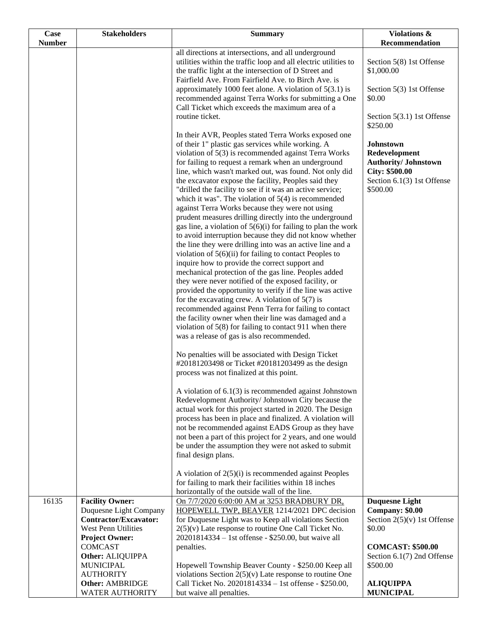| <b>Case</b>   | <b>Stakeholders</b>                                    | <b>Summary</b>                                                                                                  | Violations &                                     |
|---------------|--------------------------------------------------------|-----------------------------------------------------------------------------------------------------------------|--------------------------------------------------|
| <b>Number</b> |                                                        |                                                                                                                 | Recommendation                                   |
|               |                                                        | all directions at intersections, and all underground                                                            |                                                  |
|               |                                                        | utilities within the traffic loop and all electric utilities to                                                 | Section 5(8) 1st Offense                         |
|               |                                                        | the traffic light at the intersection of D Street and<br>Fairfield Ave. From Fairfield Ave. to Birch Ave. is    | \$1,000.00                                       |
|               |                                                        | approximately 1000 feet alone. A violation of $5(3.1)$ is                                                       | Section 5(3) 1st Offense                         |
|               |                                                        | recommended against Terra Works for submitting a One                                                            | \$0.00                                           |
|               |                                                        | Call Ticket which exceeds the maximum area of a                                                                 |                                                  |
|               |                                                        | routine ticket.                                                                                                 | Section 5(3.1) 1st Offense                       |
|               |                                                        |                                                                                                                 | \$250.00                                         |
|               |                                                        | In their AVR, Peoples stated Terra Works exposed one                                                            |                                                  |
|               |                                                        | of their 1" plastic gas services while working. A                                                               | <b>Johnstown</b>                                 |
|               |                                                        | violation of 5(3) is recommended against Terra Works                                                            | Redevelopment                                    |
|               |                                                        | for failing to request a remark when an underground                                                             | <b>Authority/ Johnstown</b>                      |
|               |                                                        | line, which wasn't marked out, was found. Not only did                                                          | <b>City: \$500.00</b>                            |
|               |                                                        | the excavator expose the facility, Peoples said they                                                            | Section 6.1(3) 1st Offense                       |
|               |                                                        | "drilled the facility to see if it was an active service;                                                       | \$500.00                                         |
|               |                                                        | which it was". The violation of $5(4)$ is recommended                                                           |                                                  |
|               |                                                        | against Terra Works because they were not using<br>prudent measures drilling directly into the underground      |                                                  |
|               |                                                        | gas line, a violation of $5(6)(i)$ for failing to plan the work                                                 |                                                  |
|               |                                                        | to avoid interruption because they did not know whether                                                         |                                                  |
|               |                                                        | the line they were drilling into was an active line and a                                                       |                                                  |
|               |                                                        | violation of $5(6)(ii)$ for failing to contact Peoples to                                                       |                                                  |
|               |                                                        | inquire how to provide the correct support and                                                                  |                                                  |
|               |                                                        | mechanical protection of the gas line. Peoples added                                                            |                                                  |
|               |                                                        | they were never notified of the exposed facility, or                                                            |                                                  |
|               |                                                        | provided the opportunity to verify if the line was active                                                       |                                                  |
|               |                                                        | for the excavating crew. A violation of $5(7)$ is                                                               |                                                  |
|               |                                                        | recommended against Penn Terra for failing to contact                                                           |                                                  |
|               |                                                        | the facility owner when their line was damaged and a                                                            |                                                  |
|               |                                                        | violation of $5(8)$ for failing to contact 911 when there<br>was a release of gas is also recommended.          |                                                  |
|               |                                                        |                                                                                                                 |                                                  |
|               |                                                        | No penalties will be associated with Design Ticket                                                              |                                                  |
|               |                                                        | #20181203498 or Ticket #20181203499 as the design                                                               |                                                  |
|               |                                                        | process was not finalized at this point.                                                                        |                                                  |
|               |                                                        |                                                                                                                 |                                                  |
|               |                                                        | A violation of $6.1(3)$ is recommended against Johnstown                                                        |                                                  |
|               |                                                        | Redevelopment Authority/ Johnstown City because the                                                             |                                                  |
|               |                                                        | actual work for this project started in 2020. The Design                                                        |                                                  |
|               |                                                        | process has been in place and finalized. A violation will<br>not be recommended against EADS Group as they have |                                                  |
|               |                                                        | not been a part of this project for 2 years, and one would                                                      |                                                  |
|               |                                                        | be under the assumption they were not asked to submit                                                           |                                                  |
|               |                                                        | final design plans.                                                                                             |                                                  |
|               |                                                        |                                                                                                                 |                                                  |
|               |                                                        | A violation of $2(5)(i)$ is recommended against Peoples                                                         |                                                  |
|               |                                                        | for failing to mark their facilities within 18 inches                                                           |                                                  |
|               |                                                        | horizontally of the outside wall of the line.                                                                   |                                                  |
| 16135         | <b>Facility Owner:</b>                                 | On 7/7/2020 6:00:00 AM at 3253 BRADBURY DR,                                                                     | <b>Duquesne Light</b>                            |
|               | Duquesne Light Company<br><b>Contractor/Excavator:</b> | HOPEWELL TWP, BEAVER 1214/2021 DPC decision<br>for Duquesne Light was to Keep all violations Section            | Company: \$0.00<br>Section $2(5)(v)$ 1st Offense |
|               | West Penn Utilities                                    | $2(5)(v)$ Late response to routine One Call Ticket No.                                                          | \$0.00                                           |
|               | <b>Project Owner:</b>                                  | 20201814334 - 1st offense - \$250.00, but waive all                                                             |                                                  |
|               | <b>COMCAST</b>                                         | penalties.                                                                                                      | <b>COMCAST: \$500.00</b>                         |
|               | Other: ALIQUIPPA                                       |                                                                                                                 | Section 6.1(7) 2nd Offense                       |
|               | <b>MUNICIPAL</b>                                       | Hopewell Township Beaver County - \$250.00 Keep all                                                             | \$500.00                                         |
|               | <b>AUTHORITY</b>                                       | violations Section $2(5)(v)$ Late response to routine One                                                       |                                                  |
|               | <b>Other: AMBRIDGE</b>                                 | Call Ticket No. 20201814334 - 1st offense - \$250.00,                                                           | <b>ALIQUIPPA</b>                                 |
|               | <b>WATER AUTHORITY</b>                                 | but waive all penalties.                                                                                        | <b>MUNICIPAL</b>                                 |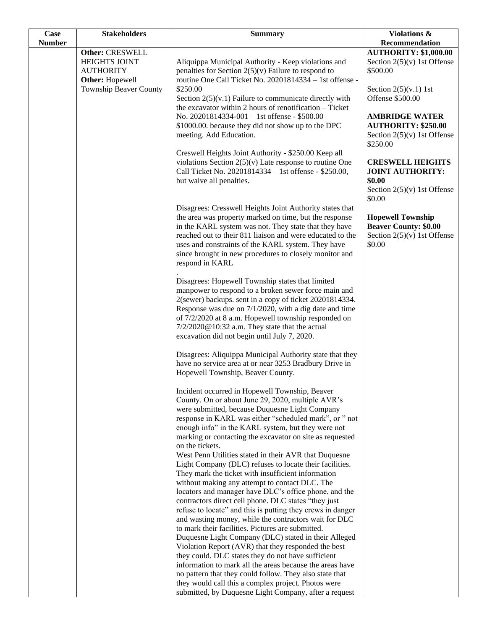| <b>AUTHORITY: \$1,000.00</b><br>Other: CRESWELL<br>HEIGHTS JOINT<br>Section $2(5)(v)$ 1st Offense<br>Aliquippa Municipal Authority - Keep violations and<br>penalties for Section $2(5)(v)$ Failure to respond to<br>\$500.00<br><b>AUTHORITY</b><br>routine One Call Ticket No. 20201814334 - 1st offense -<br><b>Other:</b> Hopewell<br><b>Township Beaver County</b><br>\$250.00<br>Section $2(5)(v.1)$ 1st<br>Offense \$500.00<br>Section $2(5)(v.1)$ Failure to communicate directly with<br>the excavator within 2 hours of renotification - Ticket<br>No. 20201814334-001 - 1st offense - \$500.00<br><b>AMBRIDGE WATER</b><br><b>AUTHORITY: \$250.00</b><br>\$1000.00. because they did not show up to the DPC<br>meeting. Add Education.<br>Section $2(5)(v)$ 1st Offense<br>\$250.00<br>Creswell Heights Joint Authority - \$250.00 Keep all<br>violations Section $2(5)(v)$ Late response to routine One<br><b>CRESWELL HEIGHTS</b><br>Call Ticket No. 20201814334 - 1st offense - \$250.00,<br><b>JOINT AUTHORITY:</b><br>\$0.00<br>but waive all penalties.<br>Section $2(5)(v)$ 1st Offense<br>\$0.00<br>Disagrees: Cresswell Heights Joint Authority states that<br>the area was property marked on time, but the response<br><b>Hopewell Township</b><br>in the KARL system was not. They state that they have<br><b>Beaver County: \$0.00</b><br>reached out to their 811 liaison and were educated to the<br>Section $2(5)(v)$ 1st Offense<br>uses and constraints of the KARL system. They have<br>\$0.00<br>since brought in new procedures to closely monitor and<br>respond in KARL<br>Disagrees: Hopewell Township states that limited<br>manpower to respond to a broken sewer force main and<br>2(sewer) backups. sent in a copy of ticket 20201814334.<br>Response was due on 7/1/2020, with a dig date and time<br>of 7/2/2020 at 8 a.m. Hopewell township responded on<br>7/2/2020@10:32 a.m. They state that the actual<br>excavation did not begin until July 7, 2020.<br>Disagrees: Aliquippa Municipal Authority state that they<br>have no service area at or near 3253 Bradbury Drive in<br>Hopewell Township, Beaver County.<br>Incident occurred in Hopewell Township, Beaver<br>County. On or about June 29, 2020, multiple AVR's<br>were submitted, because Duquesne Light Company<br>response in KARL was either "scheduled mark", or " not<br>enough info" in the KARL system, but they were not<br>marking or contacting the excavator on site as requested<br>on the tickets.<br>West Penn Utilities stated in their AVR that Duquesne<br>Light Company (DLC) refuses to locate their facilities.<br>They mark the ticket with insufficient information<br>without making any attempt to contact DLC. The<br>locators and manager have DLC's office phone, and the<br>contractors direct cell phone. DLC states "they just<br>refuse to locate" and this is putting they crews in danger<br>and wasting money, while the contractors wait for DLC<br>to mark their facilities. Pictures are submitted.<br>Duquesne Light Company (DLC) stated in their Alleged<br>Violation Report (AVR) that they responded the best<br>they could. DLC states they do not have sufficient<br>information to mark all the areas because the areas have<br>no pattern that they could follow. They also state that<br>they would call this a complex project. Photos were | Case          | <b>Stakeholders</b> | <b>Summary</b>                                        | <b>Violations &amp;</b> |
|-----------------------------------------------------------------------------------------------------------------------------------------------------------------------------------------------------------------------------------------------------------------------------------------------------------------------------------------------------------------------------------------------------------------------------------------------------------------------------------------------------------------------------------------------------------------------------------------------------------------------------------------------------------------------------------------------------------------------------------------------------------------------------------------------------------------------------------------------------------------------------------------------------------------------------------------------------------------------------------------------------------------------------------------------------------------------------------------------------------------------------------------------------------------------------------------------------------------------------------------------------------------------------------------------------------------------------------------------------------------------------------------------------------------------------------------------------------------------------------------------------------------------------------------------------------------------------------------------------------------------------------------------------------------------------------------------------------------------------------------------------------------------------------------------------------------------------------------------------------------------------------------------------------------------------------------------------------------------------------------------------------------------------------------------------------------------------------------------------------------------------------------------------------------------------------------------------------------------------------------------------------------------------------------------------------------------------------------------------------------------------------------------------------------------------------------------------------------------------------------------------------------------------------------------------------------------------------------------------------------------------------------------------------------------------------------------------------------------------------------------------------------------------------------------------------------------------------------------------------------------------------------------------------------------------------------------------------------------------------------------------------------------------------------------------------------------------------------------------------------------------------------------------------------------------------------------------------------------------------------------------------------------------------------------------------------------------------------------------------------------------------------------------|---------------|---------------------|-------------------------------------------------------|-------------------------|
|                                                                                                                                                                                                                                                                                                                                                                                                                                                                                                                                                                                                                                                                                                                                                                                                                                                                                                                                                                                                                                                                                                                                                                                                                                                                                                                                                                                                                                                                                                                                                                                                                                                                                                                                                                                                                                                                                                                                                                                                                                                                                                                                                                                                                                                                                                                                                                                                                                                                                                                                                                                                                                                                                                                                                                                                                                                                                                                                                                                                                                                                                                                                                                                                                                                                                                                                                                                                     | <b>Number</b> |                     |                                                       | Recommendation          |
|                                                                                                                                                                                                                                                                                                                                                                                                                                                                                                                                                                                                                                                                                                                                                                                                                                                                                                                                                                                                                                                                                                                                                                                                                                                                                                                                                                                                                                                                                                                                                                                                                                                                                                                                                                                                                                                                                                                                                                                                                                                                                                                                                                                                                                                                                                                                                                                                                                                                                                                                                                                                                                                                                                                                                                                                                                                                                                                                                                                                                                                                                                                                                                                                                                                                                                                                                                                                     |               |                     |                                                       |                         |
|                                                                                                                                                                                                                                                                                                                                                                                                                                                                                                                                                                                                                                                                                                                                                                                                                                                                                                                                                                                                                                                                                                                                                                                                                                                                                                                                                                                                                                                                                                                                                                                                                                                                                                                                                                                                                                                                                                                                                                                                                                                                                                                                                                                                                                                                                                                                                                                                                                                                                                                                                                                                                                                                                                                                                                                                                                                                                                                                                                                                                                                                                                                                                                                                                                                                                                                                                                                                     |               |                     |                                                       |                         |
|                                                                                                                                                                                                                                                                                                                                                                                                                                                                                                                                                                                                                                                                                                                                                                                                                                                                                                                                                                                                                                                                                                                                                                                                                                                                                                                                                                                                                                                                                                                                                                                                                                                                                                                                                                                                                                                                                                                                                                                                                                                                                                                                                                                                                                                                                                                                                                                                                                                                                                                                                                                                                                                                                                                                                                                                                                                                                                                                                                                                                                                                                                                                                                                                                                                                                                                                                                                                     |               |                     |                                                       |                         |
|                                                                                                                                                                                                                                                                                                                                                                                                                                                                                                                                                                                                                                                                                                                                                                                                                                                                                                                                                                                                                                                                                                                                                                                                                                                                                                                                                                                                                                                                                                                                                                                                                                                                                                                                                                                                                                                                                                                                                                                                                                                                                                                                                                                                                                                                                                                                                                                                                                                                                                                                                                                                                                                                                                                                                                                                                                                                                                                                                                                                                                                                                                                                                                                                                                                                                                                                                                                                     |               |                     |                                                       |                         |
|                                                                                                                                                                                                                                                                                                                                                                                                                                                                                                                                                                                                                                                                                                                                                                                                                                                                                                                                                                                                                                                                                                                                                                                                                                                                                                                                                                                                                                                                                                                                                                                                                                                                                                                                                                                                                                                                                                                                                                                                                                                                                                                                                                                                                                                                                                                                                                                                                                                                                                                                                                                                                                                                                                                                                                                                                                                                                                                                                                                                                                                                                                                                                                                                                                                                                                                                                                                                     |               |                     |                                                       |                         |
|                                                                                                                                                                                                                                                                                                                                                                                                                                                                                                                                                                                                                                                                                                                                                                                                                                                                                                                                                                                                                                                                                                                                                                                                                                                                                                                                                                                                                                                                                                                                                                                                                                                                                                                                                                                                                                                                                                                                                                                                                                                                                                                                                                                                                                                                                                                                                                                                                                                                                                                                                                                                                                                                                                                                                                                                                                                                                                                                                                                                                                                                                                                                                                                                                                                                                                                                                                                                     |               |                     |                                                       |                         |
|                                                                                                                                                                                                                                                                                                                                                                                                                                                                                                                                                                                                                                                                                                                                                                                                                                                                                                                                                                                                                                                                                                                                                                                                                                                                                                                                                                                                                                                                                                                                                                                                                                                                                                                                                                                                                                                                                                                                                                                                                                                                                                                                                                                                                                                                                                                                                                                                                                                                                                                                                                                                                                                                                                                                                                                                                                                                                                                                                                                                                                                                                                                                                                                                                                                                                                                                                                                                     |               |                     |                                                       |                         |
|                                                                                                                                                                                                                                                                                                                                                                                                                                                                                                                                                                                                                                                                                                                                                                                                                                                                                                                                                                                                                                                                                                                                                                                                                                                                                                                                                                                                                                                                                                                                                                                                                                                                                                                                                                                                                                                                                                                                                                                                                                                                                                                                                                                                                                                                                                                                                                                                                                                                                                                                                                                                                                                                                                                                                                                                                                                                                                                                                                                                                                                                                                                                                                                                                                                                                                                                                                                                     |               |                     |                                                       |                         |
|                                                                                                                                                                                                                                                                                                                                                                                                                                                                                                                                                                                                                                                                                                                                                                                                                                                                                                                                                                                                                                                                                                                                                                                                                                                                                                                                                                                                                                                                                                                                                                                                                                                                                                                                                                                                                                                                                                                                                                                                                                                                                                                                                                                                                                                                                                                                                                                                                                                                                                                                                                                                                                                                                                                                                                                                                                                                                                                                                                                                                                                                                                                                                                                                                                                                                                                                                                                                     |               |                     |                                                       |                         |
|                                                                                                                                                                                                                                                                                                                                                                                                                                                                                                                                                                                                                                                                                                                                                                                                                                                                                                                                                                                                                                                                                                                                                                                                                                                                                                                                                                                                                                                                                                                                                                                                                                                                                                                                                                                                                                                                                                                                                                                                                                                                                                                                                                                                                                                                                                                                                                                                                                                                                                                                                                                                                                                                                                                                                                                                                                                                                                                                                                                                                                                                                                                                                                                                                                                                                                                                                                                                     |               |                     |                                                       |                         |
|                                                                                                                                                                                                                                                                                                                                                                                                                                                                                                                                                                                                                                                                                                                                                                                                                                                                                                                                                                                                                                                                                                                                                                                                                                                                                                                                                                                                                                                                                                                                                                                                                                                                                                                                                                                                                                                                                                                                                                                                                                                                                                                                                                                                                                                                                                                                                                                                                                                                                                                                                                                                                                                                                                                                                                                                                                                                                                                                                                                                                                                                                                                                                                                                                                                                                                                                                                                                     |               |                     |                                                       |                         |
|                                                                                                                                                                                                                                                                                                                                                                                                                                                                                                                                                                                                                                                                                                                                                                                                                                                                                                                                                                                                                                                                                                                                                                                                                                                                                                                                                                                                                                                                                                                                                                                                                                                                                                                                                                                                                                                                                                                                                                                                                                                                                                                                                                                                                                                                                                                                                                                                                                                                                                                                                                                                                                                                                                                                                                                                                                                                                                                                                                                                                                                                                                                                                                                                                                                                                                                                                                                                     |               |                     |                                                       |                         |
|                                                                                                                                                                                                                                                                                                                                                                                                                                                                                                                                                                                                                                                                                                                                                                                                                                                                                                                                                                                                                                                                                                                                                                                                                                                                                                                                                                                                                                                                                                                                                                                                                                                                                                                                                                                                                                                                                                                                                                                                                                                                                                                                                                                                                                                                                                                                                                                                                                                                                                                                                                                                                                                                                                                                                                                                                                                                                                                                                                                                                                                                                                                                                                                                                                                                                                                                                                                                     |               |                     |                                                       |                         |
|                                                                                                                                                                                                                                                                                                                                                                                                                                                                                                                                                                                                                                                                                                                                                                                                                                                                                                                                                                                                                                                                                                                                                                                                                                                                                                                                                                                                                                                                                                                                                                                                                                                                                                                                                                                                                                                                                                                                                                                                                                                                                                                                                                                                                                                                                                                                                                                                                                                                                                                                                                                                                                                                                                                                                                                                                                                                                                                                                                                                                                                                                                                                                                                                                                                                                                                                                                                                     |               |                     |                                                       |                         |
|                                                                                                                                                                                                                                                                                                                                                                                                                                                                                                                                                                                                                                                                                                                                                                                                                                                                                                                                                                                                                                                                                                                                                                                                                                                                                                                                                                                                                                                                                                                                                                                                                                                                                                                                                                                                                                                                                                                                                                                                                                                                                                                                                                                                                                                                                                                                                                                                                                                                                                                                                                                                                                                                                                                                                                                                                                                                                                                                                                                                                                                                                                                                                                                                                                                                                                                                                                                                     |               |                     |                                                       |                         |
|                                                                                                                                                                                                                                                                                                                                                                                                                                                                                                                                                                                                                                                                                                                                                                                                                                                                                                                                                                                                                                                                                                                                                                                                                                                                                                                                                                                                                                                                                                                                                                                                                                                                                                                                                                                                                                                                                                                                                                                                                                                                                                                                                                                                                                                                                                                                                                                                                                                                                                                                                                                                                                                                                                                                                                                                                                                                                                                                                                                                                                                                                                                                                                                                                                                                                                                                                                                                     |               |                     |                                                       |                         |
|                                                                                                                                                                                                                                                                                                                                                                                                                                                                                                                                                                                                                                                                                                                                                                                                                                                                                                                                                                                                                                                                                                                                                                                                                                                                                                                                                                                                                                                                                                                                                                                                                                                                                                                                                                                                                                                                                                                                                                                                                                                                                                                                                                                                                                                                                                                                                                                                                                                                                                                                                                                                                                                                                                                                                                                                                                                                                                                                                                                                                                                                                                                                                                                                                                                                                                                                                                                                     |               |                     |                                                       |                         |
|                                                                                                                                                                                                                                                                                                                                                                                                                                                                                                                                                                                                                                                                                                                                                                                                                                                                                                                                                                                                                                                                                                                                                                                                                                                                                                                                                                                                                                                                                                                                                                                                                                                                                                                                                                                                                                                                                                                                                                                                                                                                                                                                                                                                                                                                                                                                                                                                                                                                                                                                                                                                                                                                                                                                                                                                                                                                                                                                                                                                                                                                                                                                                                                                                                                                                                                                                                                                     |               |                     |                                                       |                         |
|                                                                                                                                                                                                                                                                                                                                                                                                                                                                                                                                                                                                                                                                                                                                                                                                                                                                                                                                                                                                                                                                                                                                                                                                                                                                                                                                                                                                                                                                                                                                                                                                                                                                                                                                                                                                                                                                                                                                                                                                                                                                                                                                                                                                                                                                                                                                                                                                                                                                                                                                                                                                                                                                                                                                                                                                                                                                                                                                                                                                                                                                                                                                                                                                                                                                                                                                                                                                     |               |                     |                                                       |                         |
|                                                                                                                                                                                                                                                                                                                                                                                                                                                                                                                                                                                                                                                                                                                                                                                                                                                                                                                                                                                                                                                                                                                                                                                                                                                                                                                                                                                                                                                                                                                                                                                                                                                                                                                                                                                                                                                                                                                                                                                                                                                                                                                                                                                                                                                                                                                                                                                                                                                                                                                                                                                                                                                                                                                                                                                                                                                                                                                                                                                                                                                                                                                                                                                                                                                                                                                                                                                                     |               |                     |                                                       |                         |
|                                                                                                                                                                                                                                                                                                                                                                                                                                                                                                                                                                                                                                                                                                                                                                                                                                                                                                                                                                                                                                                                                                                                                                                                                                                                                                                                                                                                                                                                                                                                                                                                                                                                                                                                                                                                                                                                                                                                                                                                                                                                                                                                                                                                                                                                                                                                                                                                                                                                                                                                                                                                                                                                                                                                                                                                                                                                                                                                                                                                                                                                                                                                                                                                                                                                                                                                                                                                     |               |                     |                                                       |                         |
|                                                                                                                                                                                                                                                                                                                                                                                                                                                                                                                                                                                                                                                                                                                                                                                                                                                                                                                                                                                                                                                                                                                                                                                                                                                                                                                                                                                                                                                                                                                                                                                                                                                                                                                                                                                                                                                                                                                                                                                                                                                                                                                                                                                                                                                                                                                                                                                                                                                                                                                                                                                                                                                                                                                                                                                                                                                                                                                                                                                                                                                                                                                                                                                                                                                                                                                                                                                                     |               |                     |                                                       |                         |
|                                                                                                                                                                                                                                                                                                                                                                                                                                                                                                                                                                                                                                                                                                                                                                                                                                                                                                                                                                                                                                                                                                                                                                                                                                                                                                                                                                                                                                                                                                                                                                                                                                                                                                                                                                                                                                                                                                                                                                                                                                                                                                                                                                                                                                                                                                                                                                                                                                                                                                                                                                                                                                                                                                                                                                                                                                                                                                                                                                                                                                                                                                                                                                                                                                                                                                                                                                                                     |               |                     |                                                       |                         |
|                                                                                                                                                                                                                                                                                                                                                                                                                                                                                                                                                                                                                                                                                                                                                                                                                                                                                                                                                                                                                                                                                                                                                                                                                                                                                                                                                                                                                                                                                                                                                                                                                                                                                                                                                                                                                                                                                                                                                                                                                                                                                                                                                                                                                                                                                                                                                                                                                                                                                                                                                                                                                                                                                                                                                                                                                                                                                                                                                                                                                                                                                                                                                                                                                                                                                                                                                                                                     |               |                     |                                                       |                         |
|                                                                                                                                                                                                                                                                                                                                                                                                                                                                                                                                                                                                                                                                                                                                                                                                                                                                                                                                                                                                                                                                                                                                                                                                                                                                                                                                                                                                                                                                                                                                                                                                                                                                                                                                                                                                                                                                                                                                                                                                                                                                                                                                                                                                                                                                                                                                                                                                                                                                                                                                                                                                                                                                                                                                                                                                                                                                                                                                                                                                                                                                                                                                                                                                                                                                                                                                                                                                     |               |                     |                                                       |                         |
|                                                                                                                                                                                                                                                                                                                                                                                                                                                                                                                                                                                                                                                                                                                                                                                                                                                                                                                                                                                                                                                                                                                                                                                                                                                                                                                                                                                                                                                                                                                                                                                                                                                                                                                                                                                                                                                                                                                                                                                                                                                                                                                                                                                                                                                                                                                                                                                                                                                                                                                                                                                                                                                                                                                                                                                                                                                                                                                                                                                                                                                                                                                                                                                                                                                                                                                                                                                                     |               |                     |                                                       |                         |
|                                                                                                                                                                                                                                                                                                                                                                                                                                                                                                                                                                                                                                                                                                                                                                                                                                                                                                                                                                                                                                                                                                                                                                                                                                                                                                                                                                                                                                                                                                                                                                                                                                                                                                                                                                                                                                                                                                                                                                                                                                                                                                                                                                                                                                                                                                                                                                                                                                                                                                                                                                                                                                                                                                                                                                                                                                                                                                                                                                                                                                                                                                                                                                                                                                                                                                                                                                                                     |               |                     |                                                       |                         |
|                                                                                                                                                                                                                                                                                                                                                                                                                                                                                                                                                                                                                                                                                                                                                                                                                                                                                                                                                                                                                                                                                                                                                                                                                                                                                                                                                                                                                                                                                                                                                                                                                                                                                                                                                                                                                                                                                                                                                                                                                                                                                                                                                                                                                                                                                                                                                                                                                                                                                                                                                                                                                                                                                                                                                                                                                                                                                                                                                                                                                                                                                                                                                                                                                                                                                                                                                                                                     |               |                     |                                                       |                         |
|                                                                                                                                                                                                                                                                                                                                                                                                                                                                                                                                                                                                                                                                                                                                                                                                                                                                                                                                                                                                                                                                                                                                                                                                                                                                                                                                                                                                                                                                                                                                                                                                                                                                                                                                                                                                                                                                                                                                                                                                                                                                                                                                                                                                                                                                                                                                                                                                                                                                                                                                                                                                                                                                                                                                                                                                                                                                                                                                                                                                                                                                                                                                                                                                                                                                                                                                                                                                     |               |                     |                                                       |                         |
|                                                                                                                                                                                                                                                                                                                                                                                                                                                                                                                                                                                                                                                                                                                                                                                                                                                                                                                                                                                                                                                                                                                                                                                                                                                                                                                                                                                                                                                                                                                                                                                                                                                                                                                                                                                                                                                                                                                                                                                                                                                                                                                                                                                                                                                                                                                                                                                                                                                                                                                                                                                                                                                                                                                                                                                                                                                                                                                                                                                                                                                                                                                                                                                                                                                                                                                                                                                                     |               |                     |                                                       |                         |
|                                                                                                                                                                                                                                                                                                                                                                                                                                                                                                                                                                                                                                                                                                                                                                                                                                                                                                                                                                                                                                                                                                                                                                                                                                                                                                                                                                                                                                                                                                                                                                                                                                                                                                                                                                                                                                                                                                                                                                                                                                                                                                                                                                                                                                                                                                                                                                                                                                                                                                                                                                                                                                                                                                                                                                                                                                                                                                                                                                                                                                                                                                                                                                                                                                                                                                                                                                                                     |               |                     |                                                       |                         |
|                                                                                                                                                                                                                                                                                                                                                                                                                                                                                                                                                                                                                                                                                                                                                                                                                                                                                                                                                                                                                                                                                                                                                                                                                                                                                                                                                                                                                                                                                                                                                                                                                                                                                                                                                                                                                                                                                                                                                                                                                                                                                                                                                                                                                                                                                                                                                                                                                                                                                                                                                                                                                                                                                                                                                                                                                                                                                                                                                                                                                                                                                                                                                                                                                                                                                                                                                                                                     |               |                     |                                                       |                         |
|                                                                                                                                                                                                                                                                                                                                                                                                                                                                                                                                                                                                                                                                                                                                                                                                                                                                                                                                                                                                                                                                                                                                                                                                                                                                                                                                                                                                                                                                                                                                                                                                                                                                                                                                                                                                                                                                                                                                                                                                                                                                                                                                                                                                                                                                                                                                                                                                                                                                                                                                                                                                                                                                                                                                                                                                                                                                                                                                                                                                                                                                                                                                                                                                                                                                                                                                                                                                     |               |                     |                                                       |                         |
|                                                                                                                                                                                                                                                                                                                                                                                                                                                                                                                                                                                                                                                                                                                                                                                                                                                                                                                                                                                                                                                                                                                                                                                                                                                                                                                                                                                                                                                                                                                                                                                                                                                                                                                                                                                                                                                                                                                                                                                                                                                                                                                                                                                                                                                                                                                                                                                                                                                                                                                                                                                                                                                                                                                                                                                                                                                                                                                                                                                                                                                                                                                                                                                                                                                                                                                                                                                                     |               |                     |                                                       |                         |
|                                                                                                                                                                                                                                                                                                                                                                                                                                                                                                                                                                                                                                                                                                                                                                                                                                                                                                                                                                                                                                                                                                                                                                                                                                                                                                                                                                                                                                                                                                                                                                                                                                                                                                                                                                                                                                                                                                                                                                                                                                                                                                                                                                                                                                                                                                                                                                                                                                                                                                                                                                                                                                                                                                                                                                                                                                                                                                                                                                                                                                                                                                                                                                                                                                                                                                                                                                                                     |               |                     |                                                       |                         |
|                                                                                                                                                                                                                                                                                                                                                                                                                                                                                                                                                                                                                                                                                                                                                                                                                                                                                                                                                                                                                                                                                                                                                                                                                                                                                                                                                                                                                                                                                                                                                                                                                                                                                                                                                                                                                                                                                                                                                                                                                                                                                                                                                                                                                                                                                                                                                                                                                                                                                                                                                                                                                                                                                                                                                                                                                                                                                                                                                                                                                                                                                                                                                                                                                                                                                                                                                                                                     |               |                     |                                                       |                         |
|                                                                                                                                                                                                                                                                                                                                                                                                                                                                                                                                                                                                                                                                                                                                                                                                                                                                                                                                                                                                                                                                                                                                                                                                                                                                                                                                                                                                                                                                                                                                                                                                                                                                                                                                                                                                                                                                                                                                                                                                                                                                                                                                                                                                                                                                                                                                                                                                                                                                                                                                                                                                                                                                                                                                                                                                                                                                                                                                                                                                                                                                                                                                                                                                                                                                                                                                                                                                     |               |                     |                                                       |                         |
|                                                                                                                                                                                                                                                                                                                                                                                                                                                                                                                                                                                                                                                                                                                                                                                                                                                                                                                                                                                                                                                                                                                                                                                                                                                                                                                                                                                                                                                                                                                                                                                                                                                                                                                                                                                                                                                                                                                                                                                                                                                                                                                                                                                                                                                                                                                                                                                                                                                                                                                                                                                                                                                                                                                                                                                                                                                                                                                                                                                                                                                                                                                                                                                                                                                                                                                                                                                                     |               |                     |                                                       |                         |
|                                                                                                                                                                                                                                                                                                                                                                                                                                                                                                                                                                                                                                                                                                                                                                                                                                                                                                                                                                                                                                                                                                                                                                                                                                                                                                                                                                                                                                                                                                                                                                                                                                                                                                                                                                                                                                                                                                                                                                                                                                                                                                                                                                                                                                                                                                                                                                                                                                                                                                                                                                                                                                                                                                                                                                                                                                                                                                                                                                                                                                                                                                                                                                                                                                                                                                                                                                                                     |               |                     |                                                       |                         |
|                                                                                                                                                                                                                                                                                                                                                                                                                                                                                                                                                                                                                                                                                                                                                                                                                                                                                                                                                                                                                                                                                                                                                                                                                                                                                                                                                                                                                                                                                                                                                                                                                                                                                                                                                                                                                                                                                                                                                                                                                                                                                                                                                                                                                                                                                                                                                                                                                                                                                                                                                                                                                                                                                                                                                                                                                                                                                                                                                                                                                                                                                                                                                                                                                                                                                                                                                                                                     |               |                     |                                                       |                         |
|                                                                                                                                                                                                                                                                                                                                                                                                                                                                                                                                                                                                                                                                                                                                                                                                                                                                                                                                                                                                                                                                                                                                                                                                                                                                                                                                                                                                                                                                                                                                                                                                                                                                                                                                                                                                                                                                                                                                                                                                                                                                                                                                                                                                                                                                                                                                                                                                                                                                                                                                                                                                                                                                                                                                                                                                                                                                                                                                                                                                                                                                                                                                                                                                                                                                                                                                                                                                     |               |                     |                                                       |                         |
|                                                                                                                                                                                                                                                                                                                                                                                                                                                                                                                                                                                                                                                                                                                                                                                                                                                                                                                                                                                                                                                                                                                                                                                                                                                                                                                                                                                                                                                                                                                                                                                                                                                                                                                                                                                                                                                                                                                                                                                                                                                                                                                                                                                                                                                                                                                                                                                                                                                                                                                                                                                                                                                                                                                                                                                                                                                                                                                                                                                                                                                                                                                                                                                                                                                                                                                                                                                                     |               |                     |                                                       |                         |
|                                                                                                                                                                                                                                                                                                                                                                                                                                                                                                                                                                                                                                                                                                                                                                                                                                                                                                                                                                                                                                                                                                                                                                                                                                                                                                                                                                                                                                                                                                                                                                                                                                                                                                                                                                                                                                                                                                                                                                                                                                                                                                                                                                                                                                                                                                                                                                                                                                                                                                                                                                                                                                                                                                                                                                                                                                                                                                                                                                                                                                                                                                                                                                                                                                                                                                                                                                                                     |               |                     |                                                       |                         |
|                                                                                                                                                                                                                                                                                                                                                                                                                                                                                                                                                                                                                                                                                                                                                                                                                                                                                                                                                                                                                                                                                                                                                                                                                                                                                                                                                                                                                                                                                                                                                                                                                                                                                                                                                                                                                                                                                                                                                                                                                                                                                                                                                                                                                                                                                                                                                                                                                                                                                                                                                                                                                                                                                                                                                                                                                                                                                                                                                                                                                                                                                                                                                                                                                                                                                                                                                                                                     |               |                     |                                                       |                         |
|                                                                                                                                                                                                                                                                                                                                                                                                                                                                                                                                                                                                                                                                                                                                                                                                                                                                                                                                                                                                                                                                                                                                                                                                                                                                                                                                                                                                                                                                                                                                                                                                                                                                                                                                                                                                                                                                                                                                                                                                                                                                                                                                                                                                                                                                                                                                                                                                                                                                                                                                                                                                                                                                                                                                                                                                                                                                                                                                                                                                                                                                                                                                                                                                                                                                                                                                                                                                     |               |                     |                                                       |                         |
|                                                                                                                                                                                                                                                                                                                                                                                                                                                                                                                                                                                                                                                                                                                                                                                                                                                                                                                                                                                                                                                                                                                                                                                                                                                                                                                                                                                                                                                                                                                                                                                                                                                                                                                                                                                                                                                                                                                                                                                                                                                                                                                                                                                                                                                                                                                                                                                                                                                                                                                                                                                                                                                                                                                                                                                                                                                                                                                                                                                                                                                                                                                                                                                                                                                                                                                                                                                                     |               |                     |                                                       |                         |
|                                                                                                                                                                                                                                                                                                                                                                                                                                                                                                                                                                                                                                                                                                                                                                                                                                                                                                                                                                                                                                                                                                                                                                                                                                                                                                                                                                                                                                                                                                                                                                                                                                                                                                                                                                                                                                                                                                                                                                                                                                                                                                                                                                                                                                                                                                                                                                                                                                                                                                                                                                                                                                                                                                                                                                                                                                                                                                                                                                                                                                                                                                                                                                                                                                                                                                                                                                                                     |               |                     |                                                       |                         |
|                                                                                                                                                                                                                                                                                                                                                                                                                                                                                                                                                                                                                                                                                                                                                                                                                                                                                                                                                                                                                                                                                                                                                                                                                                                                                                                                                                                                                                                                                                                                                                                                                                                                                                                                                                                                                                                                                                                                                                                                                                                                                                                                                                                                                                                                                                                                                                                                                                                                                                                                                                                                                                                                                                                                                                                                                                                                                                                                                                                                                                                                                                                                                                                                                                                                                                                                                                                                     |               |                     |                                                       |                         |
|                                                                                                                                                                                                                                                                                                                                                                                                                                                                                                                                                                                                                                                                                                                                                                                                                                                                                                                                                                                                                                                                                                                                                                                                                                                                                                                                                                                                                                                                                                                                                                                                                                                                                                                                                                                                                                                                                                                                                                                                                                                                                                                                                                                                                                                                                                                                                                                                                                                                                                                                                                                                                                                                                                                                                                                                                                                                                                                                                                                                                                                                                                                                                                                                                                                                                                                                                                                                     |               |                     |                                                       |                         |
|                                                                                                                                                                                                                                                                                                                                                                                                                                                                                                                                                                                                                                                                                                                                                                                                                                                                                                                                                                                                                                                                                                                                                                                                                                                                                                                                                                                                                                                                                                                                                                                                                                                                                                                                                                                                                                                                                                                                                                                                                                                                                                                                                                                                                                                                                                                                                                                                                                                                                                                                                                                                                                                                                                                                                                                                                                                                                                                                                                                                                                                                                                                                                                                                                                                                                                                                                                                                     |               |                     |                                                       |                         |
|                                                                                                                                                                                                                                                                                                                                                                                                                                                                                                                                                                                                                                                                                                                                                                                                                                                                                                                                                                                                                                                                                                                                                                                                                                                                                                                                                                                                                                                                                                                                                                                                                                                                                                                                                                                                                                                                                                                                                                                                                                                                                                                                                                                                                                                                                                                                                                                                                                                                                                                                                                                                                                                                                                                                                                                                                                                                                                                                                                                                                                                                                                                                                                                                                                                                                                                                                                                                     |               |                     |                                                       |                         |
|                                                                                                                                                                                                                                                                                                                                                                                                                                                                                                                                                                                                                                                                                                                                                                                                                                                                                                                                                                                                                                                                                                                                                                                                                                                                                                                                                                                                                                                                                                                                                                                                                                                                                                                                                                                                                                                                                                                                                                                                                                                                                                                                                                                                                                                                                                                                                                                                                                                                                                                                                                                                                                                                                                                                                                                                                                                                                                                                                                                                                                                                                                                                                                                                                                                                                                                                                                                                     |               |                     |                                                       |                         |
|                                                                                                                                                                                                                                                                                                                                                                                                                                                                                                                                                                                                                                                                                                                                                                                                                                                                                                                                                                                                                                                                                                                                                                                                                                                                                                                                                                                                                                                                                                                                                                                                                                                                                                                                                                                                                                                                                                                                                                                                                                                                                                                                                                                                                                                                                                                                                                                                                                                                                                                                                                                                                                                                                                                                                                                                                                                                                                                                                                                                                                                                                                                                                                                                                                                                                                                                                                                                     |               |                     |                                                       |                         |
|                                                                                                                                                                                                                                                                                                                                                                                                                                                                                                                                                                                                                                                                                                                                                                                                                                                                                                                                                                                                                                                                                                                                                                                                                                                                                                                                                                                                                                                                                                                                                                                                                                                                                                                                                                                                                                                                                                                                                                                                                                                                                                                                                                                                                                                                                                                                                                                                                                                                                                                                                                                                                                                                                                                                                                                                                                                                                                                                                                                                                                                                                                                                                                                                                                                                                                                                                                                                     |               |                     | submitted, by Duquesne Light Company, after a request |                         |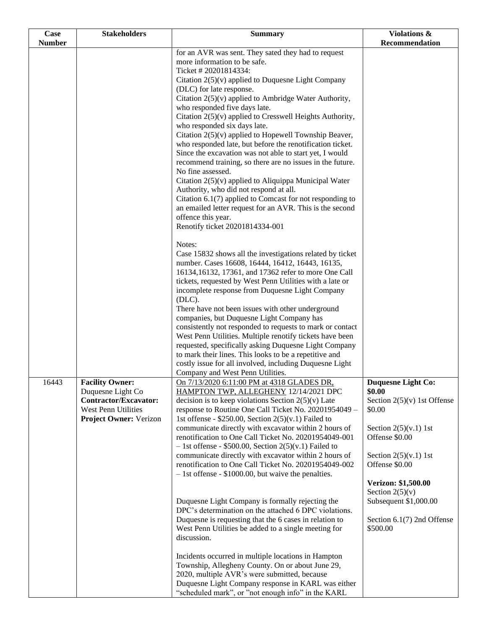| Case          | <b>Stakeholders</b>                                                                                                   | <b>Summary</b>                                                                                                                                                                                                                                                                                                                                                                                                                                                                                                                                                                                                                                                                                                                                                                                                                                                                                                                                      | Violations &                                                                                                                                                                                    |
|---------------|-----------------------------------------------------------------------------------------------------------------------|-----------------------------------------------------------------------------------------------------------------------------------------------------------------------------------------------------------------------------------------------------------------------------------------------------------------------------------------------------------------------------------------------------------------------------------------------------------------------------------------------------------------------------------------------------------------------------------------------------------------------------------------------------------------------------------------------------------------------------------------------------------------------------------------------------------------------------------------------------------------------------------------------------------------------------------------------------|-------------------------------------------------------------------------------------------------------------------------------------------------------------------------------------------------|
| <b>Number</b> |                                                                                                                       |                                                                                                                                                                                                                                                                                                                                                                                                                                                                                                                                                                                                                                                                                                                                                                                                                                                                                                                                                     | Recommendation                                                                                                                                                                                  |
|               |                                                                                                                       | for an AVR was sent. They sated they had to request<br>more information to be safe.<br>Ticket # 20201814334:<br>Citation $2(5)(v)$ applied to Duquesne Light Company<br>(DLC) for late response.<br>Citation $2(5)(v)$ applied to Ambridge Water Authority,<br>who responded five days late.<br>Citation 2(5)(v) applied to Cresswell Heights Authority,<br>who responded six days late.<br>Citation 2(5)(v) applied to Hopewell Township Beaver,<br>who responded late, but before the renotification ticket.<br>Since the excavation was not able to start yet, I would<br>recommend training, so there are no issues in the future.<br>No fine assessed.<br>Citation $2(5)(v)$ applied to Aliquippa Municipal Water<br>Authority, who did not respond at all.<br>Citation $6.1(7)$ applied to Comcast for not responding to<br>an emailed letter request for an AVR. This is the second<br>offence this year.<br>Renotify ticket 20201814334-001 |                                                                                                                                                                                                 |
|               |                                                                                                                       | Notes:<br>Case 15832 shows all the investigations related by ticket<br>number. Cases 16608, 16444, 16412, 16443, 16135,<br>16134, 16132, 17361, and 17362 refer to more One Call<br>tickets, requested by West Penn Utilities with a late or<br>incomplete response from Duquesne Light Company<br>$(DLC)$ .<br>There have not been issues with other underground<br>companies, but Duquesne Light Company has<br>consistently not responded to requests to mark or contact<br>West Penn Utilities. Multiple renotify tickets have been<br>requested, specifically asking Duquesne Light Company<br>to mark their lines. This looks to be a repetitive and<br>costly issue for all involved, including Duquesne Light<br>Company and West Penn Utilities.                                                                                                                                                                                           |                                                                                                                                                                                                 |
| 16443         | <b>Facility Owner:</b><br>Duquesne Light Co<br>Contractor/Excavator:<br>West Penn Utilities<br>Project Owner: Verizon | On 7/13/2020 6:11:00 PM at 4318 GLADES DR.<br>HAMPTON TWP, ALLEGHENY 12/14/2021 DPC<br>decision is to keep violations Section $2(5)(v)$ Late<br>response to Routine One Call Ticket No. 20201954049 -<br>1st offense - \$250.00, Section $2(5)(v.1)$ Failed to<br>communicate directly with excavator within 2 hours of<br>renotification to One Call Ticket No. 20201954049-001<br>$-$ 1st offense - \$500.00, Section 2(5)(v.1) Failed to<br>communicate directly with excavator within 2 hours of<br>renotification to One Call Ticket No. 20201954049-002<br>$-1$ st offense - \$1000.00, but waive the penalties.                                                                                                                                                                                                                                                                                                                              | Duquesne Light Co:<br>\$0.00<br>Section $2(5)(v)$ 1st Offense<br>\$0.00<br>Section $2(5)(v.1)$ 1st<br>Offense \$0.00<br>Section $2(5)(v.1)$ 1st<br>Offense \$0.00<br><b>Verizon: \$1,500.00</b> |
|               |                                                                                                                       | Duquesne Light Company is formally rejecting the<br>DPC's determination on the attached 6 DPC violations.<br>Duquesne is requesting that the 6 cases in relation to<br>West Penn Utilities be added to a single meeting for<br>discussion.<br>Incidents occurred in multiple locations in Hampton<br>Township, Allegheny County. On or about June 29,<br>2020, multiple AVR's were submitted, because<br>Duquesne Light Company response in KARL was either<br>"scheduled mark", or "not enough info" in the KARL                                                                                                                                                                                                                                                                                                                                                                                                                                   | Section $2(5)(v)$<br>Subsequent \$1,000.00<br>Section $6.1(7)$ 2nd Offense<br>\$500.00                                                                                                          |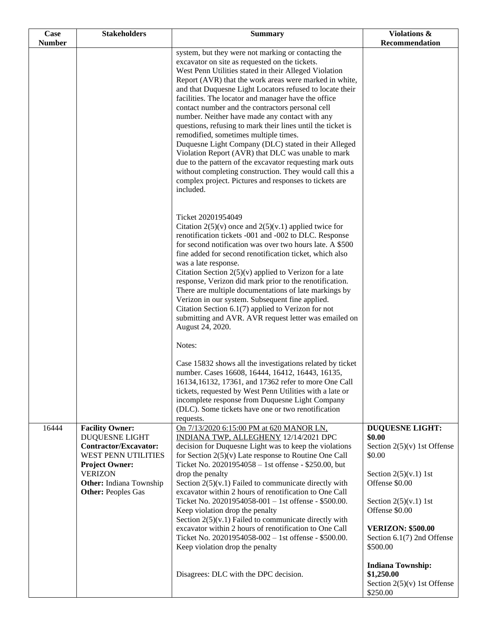| Case          | <b>Stakeholders</b>                                                                                                                                                                                              | <b>Summary</b>                                                                                                                                                                                                                                                                                                                                                                                                                                                                                                                                                                                                                                                                                                                                                                                                                                                        | <b>Violations &amp;</b><br>Recommendation                                                                                                                                                                                                                               |
|---------------|------------------------------------------------------------------------------------------------------------------------------------------------------------------------------------------------------------------|-----------------------------------------------------------------------------------------------------------------------------------------------------------------------------------------------------------------------------------------------------------------------------------------------------------------------------------------------------------------------------------------------------------------------------------------------------------------------------------------------------------------------------------------------------------------------------------------------------------------------------------------------------------------------------------------------------------------------------------------------------------------------------------------------------------------------------------------------------------------------|-------------------------------------------------------------------------------------------------------------------------------------------------------------------------------------------------------------------------------------------------------------------------|
| <b>Number</b> |                                                                                                                                                                                                                  | system, but they were not marking or contacting the<br>excavator on site as requested on the tickets.<br>West Penn Utilities stated in their Alleged Violation<br>Report (AVR) that the work areas were marked in white,<br>and that Duquesne Light Locators refused to locate their<br>facilities. The locator and manager have the office<br>contact number and the contractors personal cell<br>number. Neither have made any contact with any<br>questions, refusing to mark their lines until the ticket is<br>remodified, sometimes multiple times.<br>Duquesne Light Company (DLC) stated in their Alleged<br>Violation Report (AVR) that DLC was unable to mark<br>due to the pattern of the excavator requesting mark outs<br>without completing construction. They would call this a<br>complex project. Pictures and responses to tickets are<br>included. |                                                                                                                                                                                                                                                                         |
|               |                                                                                                                                                                                                                  | Ticket 20201954049<br>Citation $2(5)(v)$ once and $2(5)(v.1)$ applied twice for<br>renotification tickets -001 and -002 to DLC. Response<br>for second notification was over two hours late. A \$500<br>fine added for second renotification ticket, which also<br>was a late response.<br>Citation Section $2(5)(v)$ applied to Verizon for a late<br>response, Verizon did mark prior to the renotification.<br>There are multiple documentations of late markings by<br>Verizon in our system. Subsequent fine applied.<br>Citation Section $6.1(7)$ applied to Verizon for not<br>submitting and AVR. AVR request letter was emailed on<br>August 24, 2020.                                                                                                                                                                                                       |                                                                                                                                                                                                                                                                         |
|               |                                                                                                                                                                                                                  | Notes:<br>Case 15832 shows all the investigations related by ticket<br>number. Cases 16608, 16444, 16412, 16443, 16135,<br>16134,16132, 17361, and 17362 refer to more One Call<br>tickets, requested by West Penn Utilities with a late or<br>incomplete response from Duquesne Light Company<br>(DLC). Some tickets have one or two renotification<br>requests.                                                                                                                                                                                                                                                                                                                                                                                                                                                                                                     |                                                                                                                                                                                                                                                                         |
| 16444         | <b>Facility Owner:</b><br><b>DUQUESNE LIGHT</b><br><b>Contractor/Excavator:</b><br>WEST PENN UTILITIES<br><b>Project Owner:</b><br><b>VERIZON</b><br><b>Other:</b> Indiana Township<br><b>Other: Peoples Gas</b> | On 7/13/2020 6:15:00 PM at 620 MANOR LN,<br>INDIANA TWP, ALLEGHENY 12/14/2021 DPC<br>decision for Duquesne Light was to keep the violations<br>for Section $2(5)(v)$ Late response to Routine One Call<br>Ticket No. 20201954058 - 1st offense - \$250.00, but<br>drop the penalty<br>Section $2(5)(v.1)$ Failed to communicate directly with<br>excavator within 2 hours of renotification to One Call<br>Ticket No. 20201954058-001 - 1st offense - \$500.00.<br>Keep violation drop the penalty<br>Section $2(5)(v.1)$ Failed to communicate directly with<br>excavator within 2 hours of renotification to One Call<br>Ticket No. 20201954058-002 - 1st offense - \$500.00.<br>Keep violation drop the penalty                                                                                                                                                    | <b>DUQUESNE LIGHT:</b><br>\$0.00<br>Section $2(5)(v)$ 1st Offense<br>\$0.00<br>Section $2(5)(v.1)$ 1st<br>Offense \$0.00<br>Section $2(5)(v.1)$ 1st<br>Offense \$0.00<br><b>VERIZON: \$500.00</b><br>Section 6.1(7) 2nd Offense<br>\$500.00<br><b>Indiana Township:</b> |
|               |                                                                                                                                                                                                                  | Disagrees: DLC with the DPC decision.                                                                                                                                                                                                                                                                                                                                                                                                                                                                                                                                                                                                                                                                                                                                                                                                                                 | \$1,250.00<br>Section $2(5)(v)$ 1st Offense<br>\$250.00                                                                                                                                                                                                                 |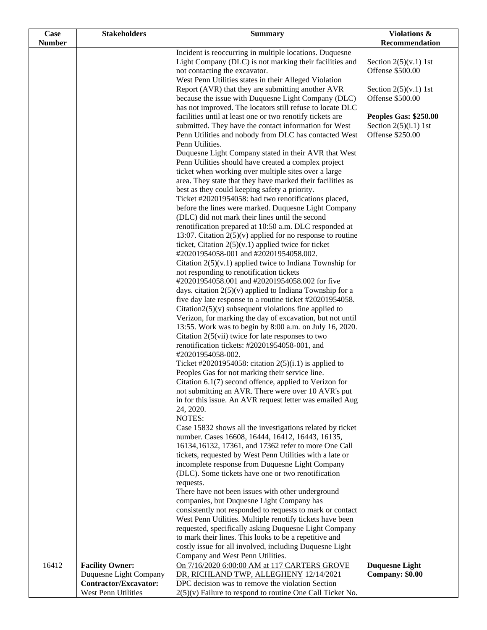| <b>Case</b><br><b>Number</b> | <b>Stakeholders</b>          | <b>Summary</b>                                                                                                     | Violations &<br>Recommendation |
|------------------------------|------------------------------|--------------------------------------------------------------------------------------------------------------------|--------------------------------|
|                              |                              |                                                                                                                    |                                |
|                              |                              | Incident is reoccurring in multiple locations. Duquesne<br>Light Company (DLC) is not marking their facilities and | Section $2(5)(v.1)$ 1st        |
|                              |                              | not contacting the excavator.                                                                                      | Offense \$500.00               |
|                              |                              | West Penn Utilities states in their Alleged Violation                                                              |                                |
|                              |                              | Report (AVR) that they are submitting another AVR                                                                  | Section $2(5)(v.1)$ 1st        |
|                              |                              | because the issue with Duquesne Light Company (DLC)                                                                | Offense \$500.00               |
|                              |                              | has not improved. The locators still refuse to locate DLC                                                          |                                |
|                              |                              | facilities until at least one or two renotify tickets are                                                          | Peoples Gas: \$250.00          |
|                              |                              | submitted. They have the contact information for West                                                              | Section $2(5)(i.1)$ 1st        |
|                              |                              | Penn Utilities and nobody from DLC has contacted West                                                              | Offense \$250.00               |
|                              |                              | Penn Utilities.                                                                                                    |                                |
|                              |                              | Duquesne Light Company stated in their AVR that West                                                               |                                |
|                              |                              | Penn Utilities should have created a complex project                                                               |                                |
|                              |                              | ticket when working over multiple sites over a large                                                               |                                |
|                              |                              | area. They state that they have marked their facilities as                                                         |                                |
|                              |                              | best as they could keeping safety a priority.                                                                      |                                |
|                              |                              | Ticket #20201954058: had two renotifications placed,                                                               |                                |
|                              |                              | before the lines were marked. Duquesne Light Company                                                               |                                |
|                              |                              | (DLC) did not mark their lines until the second                                                                    |                                |
|                              |                              | renotification prepared at 10:50 a.m. DLC responded at                                                             |                                |
|                              |                              | 13:07. Citation $2(5)(v)$ applied for no response to routine                                                       |                                |
|                              |                              | ticket, Citation $2(5)(v.1)$ applied twice for ticket<br>#20201954058-001 and #20201954058.002.                    |                                |
|                              |                              | Citation $2(5)(v.1)$ applied twice to Indiana Township for                                                         |                                |
|                              |                              | not responding to renotification tickets                                                                           |                                |
|                              |                              | #20201954058.001 and #20201954058.002 for five                                                                     |                                |
|                              |                              | days. citation $2(5)(v)$ applied to Indiana Township for a                                                         |                                |
|                              |                              | five day late response to a routine ticket #20201954058.                                                           |                                |
|                              |                              | Citation $2(5)(v)$ subsequent violations fine applied to                                                           |                                |
|                              |                              | Verizon, for marking the day of excavation, but not until                                                          |                                |
|                              |                              | 13:55. Work was to begin by 8:00 a.m. on July 16, 2020.                                                            |                                |
|                              |                              | Citation $2(5(vii))$ twice for late responses to two                                                               |                                |
|                              |                              | renotification tickets: #20201954058-001, and                                                                      |                                |
|                              |                              | #20201954058-002.                                                                                                  |                                |
|                              |                              | Ticket #20201954058: citation $2(5)(i.1)$ is applied to                                                            |                                |
|                              |                              | Peoples Gas for not marking their service line.                                                                    |                                |
|                              |                              | Citation 6.1(7) second offence, applied to Verizon for                                                             |                                |
|                              |                              | not submitting an AVR. There were over 10 AVR's put<br>in for this issue. An AVR request letter was emailed Aug    |                                |
|                              |                              | 24, 2020.                                                                                                          |                                |
|                              |                              | <b>NOTES:</b>                                                                                                      |                                |
|                              |                              | Case 15832 shows all the investigations related by ticket                                                          |                                |
|                              |                              | number. Cases 16608, 16444, 16412, 16443, 16135,                                                                   |                                |
|                              |                              | 16134,16132, 17361, and 17362 refer to more One Call                                                               |                                |
|                              |                              | tickets, requested by West Penn Utilities with a late or                                                           |                                |
|                              |                              | incomplete response from Duquesne Light Company                                                                    |                                |
|                              |                              | (DLC). Some tickets have one or two renotification                                                                 |                                |
|                              |                              | requests.                                                                                                          |                                |
|                              |                              | There have not been issues with other underground                                                                  |                                |
|                              |                              | companies, but Duquesne Light Company has                                                                          |                                |
|                              |                              | consistently not responded to requests to mark or contact                                                          |                                |
|                              |                              | West Penn Utilities. Multiple renotify tickets have been                                                           |                                |
|                              |                              | requested, specifically asking Duquesne Light Company<br>to mark their lines. This looks to be a repetitive and    |                                |
|                              |                              | costly issue for all involved, including Duquesne Light                                                            |                                |
|                              |                              | Company and West Penn Utilities.                                                                                   |                                |
| 16412                        | <b>Facility Owner:</b>       | On 7/16/2020 6:00:00 AM at 117 CARTERS GROVE                                                                       | <b>Duquesne Light</b>          |
|                              | Duquesne Light Company       | DR, RICHLAND TWP, ALLEGHENY 12/14/2021                                                                             | Company: \$0.00                |
|                              | <b>Contractor/Excavator:</b> | DPC decision was to remove the violation Section                                                                   |                                |
|                              | West Penn Utilities          | $2(5)(v)$ Failure to respond to routine One Call Ticket No.                                                        |                                |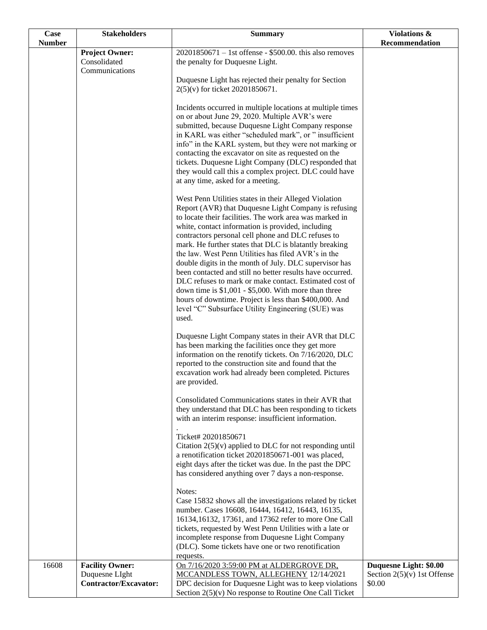| Case          | <b>Stakeholders</b>          | <b>Summary</b>                                                                                                     | <b>Violations &amp;</b>       |
|---------------|------------------------------|--------------------------------------------------------------------------------------------------------------------|-------------------------------|
| <b>Number</b> | <b>Project Owner:</b>        | $20201850671 - 1$ st offense - \$500.00. this also removes                                                         | Recommendation                |
|               | Consolidated                 | the penalty for Duquesne Light.                                                                                    |                               |
|               | Communications               |                                                                                                                    |                               |
|               |                              | Duquesne Light has rejected their penalty for Section                                                              |                               |
|               |                              | 2(5)(v) for ticket 20201850671.                                                                                    |                               |
|               |                              | Incidents occurred in multiple locations at multiple times                                                         |                               |
|               |                              | on or about June 29, 2020. Multiple AVR's were                                                                     |                               |
|               |                              | submitted, because Duquesne Light Company response<br>in KARL was either "scheduled mark", or " insufficient       |                               |
|               |                              | info" in the KARL system, but they were not marking or                                                             |                               |
|               |                              | contacting the excavator on site as requested on the                                                               |                               |
|               |                              | tickets. Duquesne Light Company (DLC) responded that                                                               |                               |
|               |                              | they would call this a complex project. DLC could have<br>at any time, asked for a meeting.                        |                               |
|               |                              |                                                                                                                    |                               |
|               |                              | West Penn Utilities states in their Alleged Violation                                                              |                               |
|               |                              | Report (AVR) that Duquesne Light Company is refusing<br>to locate their facilities. The work area was marked in    |                               |
|               |                              | white, contact information is provided, including                                                                  |                               |
|               |                              | contractors personal cell phone and DLC refuses to                                                                 |                               |
|               |                              | mark. He further states that DLC is blatantly breaking                                                             |                               |
|               |                              | the law. West Penn Utilities has filed AVR's in the<br>double digits in the month of July. DLC supervisor has      |                               |
|               |                              | been contacted and still no better results have occurred.                                                          |                               |
|               |                              | DLC refuses to mark or make contact. Estimated cost of                                                             |                               |
|               |                              | down time is $$1,001 - $5,000$ . With more than three                                                              |                               |
|               |                              | hours of downtime. Project is less than \$400,000. And<br>level "C" Subsurface Utility Engineering (SUE) was       |                               |
|               |                              | used.                                                                                                              |                               |
|               |                              |                                                                                                                    |                               |
|               |                              | Duquesne Light Company states in their AVR that DLC<br>has been marking the facilities once they get more          |                               |
|               |                              | information on the renotify tickets. On 7/16/2020, DLC                                                             |                               |
|               |                              | reported to the construction site and found that the                                                               |                               |
|               |                              | excavation work had already been completed. Pictures<br>are provided.                                              |                               |
|               |                              | Consolidated Communications states in their AVR that                                                               |                               |
|               |                              | they understand that DLC has been responding to tickets                                                            |                               |
|               |                              | with an interim response: insufficient information.                                                                |                               |
|               |                              | Ticket# 20201850671                                                                                                |                               |
|               |                              | Citation $2(5)(v)$ applied to DLC for not responding until                                                         |                               |
|               |                              | a renotification ticket 20201850671-001 was placed,                                                                |                               |
|               |                              | eight days after the ticket was due. In the past the DPC<br>has considered anything over 7 days a non-response.    |                               |
|               |                              |                                                                                                                    |                               |
|               |                              | Notes:                                                                                                             |                               |
|               |                              | Case 15832 shows all the investigations related by ticket<br>number. Cases 16608, 16444, 16412, 16443, 16135,      |                               |
|               |                              | 16134,16132, 17361, and 17362 refer to more One Call                                                               |                               |
|               |                              | tickets, requested by West Penn Utilities with a late or                                                           |                               |
|               |                              | incomplete response from Duquesne Light Company                                                                    |                               |
|               |                              | (DLC). Some tickets have one or two renotification<br>requests.                                                    |                               |
| 16608         | <b>Facility Owner:</b>       | On 7/16/2020 3:59:00 PM at ALDERGROVE DR.                                                                          | Duquesne Light: \$0.00        |
|               | Duquesne LIght               | MCCANDLESS TOWN, ALLEGHENY 12/14/2021                                                                              | Section $2(5)(v)$ 1st Offense |
|               | <b>Contractor/Excavator:</b> | DPC decision for Duquesne Light was to keep violations<br>Section $2(5)(v)$ No response to Routine One Call Ticket | \$0.00                        |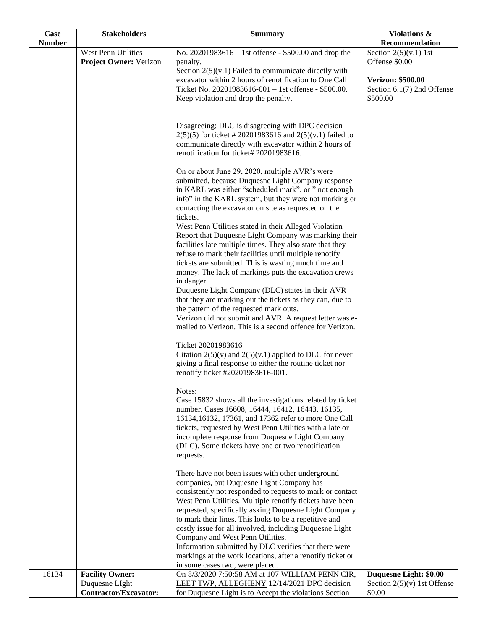| <b>Case</b>   | <b>Stakeholders</b>                           | <b>Summary</b>                                                                                                                                                                                                                                                                                                                                                                                                                                                                                     | Violations &                                                       |
|---------------|-----------------------------------------------|----------------------------------------------------------------------------------------------------------------------------------------------------------------------------------------------------------------------------------------------------------------------------------------------------------------------------------------------------------------------------------------------------------------------------------------------------------------------------------------------------|--------------------------------------------------------------------|
| <b>Number</b> |                                               |                                                                                                                                                                                                                                                                                                                                                                                                                                                                                                    | Recommendation                                                     |
|               | West Penn Utilities<br>Project Owner: Verizon | No. 20201983616 – 1st offense - \$500.00 and drop the<br>penalty.<br>Section $2(5)(v.1)$ Failed to communicate directly with                                                                                                                                                                                                                                                                                                                                                                       | Section $2(5)(v.1)$ 1st<br>Offense \$0.00                          |
|               |                                               | excavator within 2 hours of renotification to One Call<br>Ticket No. 20201983616-001 - 1st offense - \$500.00.<br>Keep violation and drop the penalty.                                                                                                                                                                                                                                                                                                                                             | <b>Verizon: \$500.00</b><br>Section 6.1(7) 2nd Offense<br>\$500.00 |
|               |                                               | Disagreeing: DLC is disagreeing with DPC decision<br>$2(5)(5)$ for ticket # 20201983616 and $2(5)(v.1)$ failed to<br>communicate directly with excavator within 2 hours of<br>renotification for ticket# 20201983616.                                                                                                                                                                                                                                                                              |                                                                    |
|               |                                               | On or about June 29, 2020, multiple AVR's were<br>submitted, because Duquesne Light Company response<br>in KARL was either "scheduled mark", or " not enough<br>info" in the KARL system, but they were not marking or<br>contacting the excavator on site as requested on the<br>tickets.                                                                                                                                                                                                         |                                                                    |
|               |                                               | West Penn Utilities stated in their Alleged Violation<br>Report that Duquesne Light Company was marking their<br>facilities late multiple times. They also state that they<br>refuse to mark their facilities until multiple renotify<br>tickets are submitted. This is wasting much time and<br>money. The lack of markings puts the excavation crews<br>in danger.                                                                                                                               |                                                                    |
|               |                                               | Duquesne Light Company (DLC) states in their AVR<br>that they are marking out the tickets as they can, due to<br>the pattern of the requested mark outs.<br>Verizon did not submit and AVR. A request letter was e-<br>mailed to Verizon. This is a second offence for Verizon.                                                                                                                                                                                                                    |                                                                    |
|               |                                               | Ticket 20201983616<br>Citation $2(5)(v)$ and $2(5)(v.1)$ applied to DLC for never<br>giving a final response to either the routine ticket nor<br>renotify ticket #20201983616-001.                                                                                                                                                                                                                                                                                                                 |                                                                    |
|               |                                               | Notes:<br>Case 15832 shows all the investigations related by ticket<br>number. Cases 16608, 16444, 16412, 16443, 16135,<br>16134,16132, 17361, and 17362 refer to more One Call<br>tickets, requested by West Penn Utilities with a late or<br>incomplete response from Duquesne Light Company<br>(DLC). Some tickets have one or two renotification<br>requests.                                                                                                                                  |                                                                    |
|               |                                               | There have not been issues with other underground<br>companies, but Duquesne Light Company has<br>consistently not responded to requests to mark or contact<br>West Penn Utilities. Multiple renotify tickets have been<br>requested, specifically asking Duquesne Light Company<br>to mark their lines. This looks to be a repetitive and<br>costly issue for all involved, including Duquesne Light<br>Company and West Penn Utilities.<br>Information submitted by DLC verifies that there were |                                                                    |
|               |                                               | markings at the work locations, after a renotify ticket or                                                                                                                                                                                                                                                                                                                                                                                                                                         |                                                                    |
| 16134         | <b>Facility Owner:</b>                        | in some cases two, were placed.<br>On 8/3/2020 7:50:58 AM at 107 WILLIAM PENN CIR,                                                                                                                                                                                                                                                                                                                                                                                                                 | Duquesne Light: \$0.00                                             |
|               | Duquesne LIght                                | LEET TWP, ALLEGHENY 12/14/2021 DPC decision                                                                                                                                                                                                                                                                                                                                                                                                                                                        | Section $2(5)(v)$ 1st Offense                                      |
|               | Contractor/Excavator:                         | for Duquesne Light is to Accept the violations Section                                                                                                                                                                                                                                                                                                                                                                                                                                             | \$0.00                                                             |